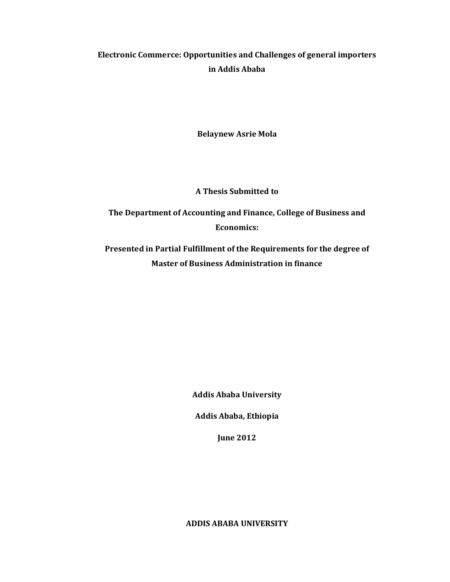# Electronic Commerce: Opportunities and Challenges of general importers in Addis Ababa

**Belaynew Asrie Mola** 

**A Thesis Submitted to** 

The Department of Accounting and Finance, College of Business and **Economics:** 

Presented in Partial Fulfillment of the Requirements for the degree of **Master of Business Administration in finance** 

**Addis Ababa University** 

Addis Ababa, Ethiopia

**June 2012** 

**ADDIS ABABA UNIVERSITY**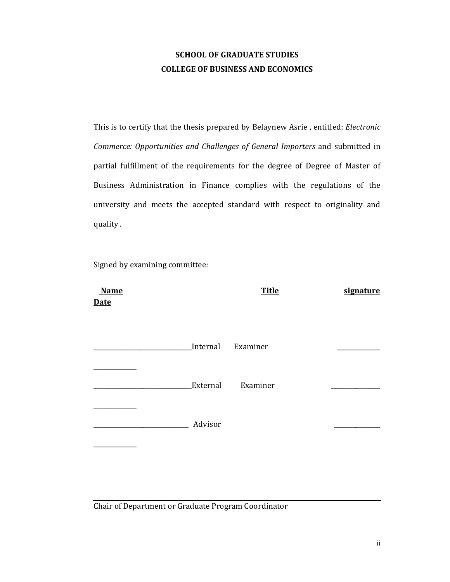# **SCHOOL OF GRADUATE STUDIES COLLEGE OF BUSINESS AND ECONOMICS**

This is to certify that the thesis prepared by Belaynew Asrie, entitled: Electronic Commerce: Opportunities and Challenges of General Importers and submitted in partial fulfillment of the requirements for the degree of Degree of Master of Business Administration in Finance complies with the regulations of the university and meets the accepted standard with respect to originality and quality.

Signed by examining committee:

| <b>Name</b><br><b>Date</b> |          | <b>Title</b>      | signature |
|----------------------------|----------|-------------------|-----------|
|                            |          | Internal Examiner |           |
|                            | External | Examiner          |           |
|                            | Advisor  |                   |           |
|                            |          |                   |           |

Chair of Department or Graduate Program Coordinator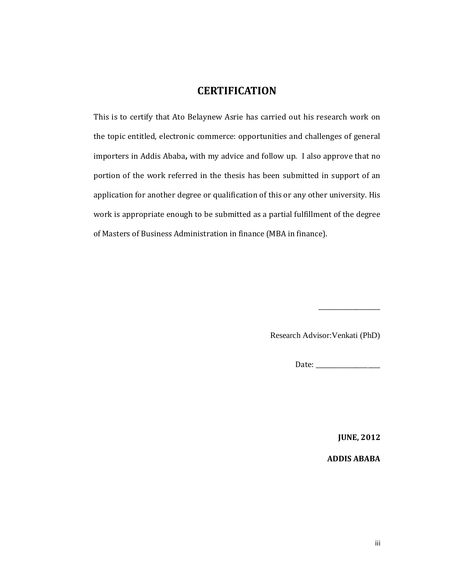# **CERTIFICATION**

This is to certify that Ato Belaynew Asrie has carried out his research work on the topic entitled, electronic commerce: opportunities and challenges of general importers in Addis Ababa, with my advice and follow up. I also approve that no portion of the work referred in the thesis has been submitted in support of an application for another degree or qualification of this or any other university. His work is appropriate enough to be submitted as a partial fulfillment of the degree of Masters of Business Administration in finance (MBA in finance).

Research Advisor: Venkati (PhD)

**JUNE, 2012** 

**ADDIS ABABA**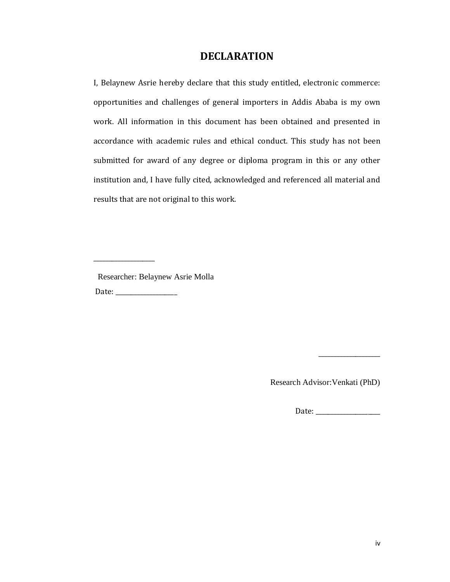# **DECLARATION**

I, Belaynew Asrie hereby declare that this study entitled, electronic commerce: opportunities and challenges of general importers in Addis Ababa is my own work. All information in this document has been obtained and presented in accordance with academic rules and ethical conduct. This study has not been submitted for award of any degree or diploma program in this or any other institution and, I have fully cited, acknowledged and referenced all material and results that are not original to this work.

Researcher: Belaynew Asrie Molla 

Research Advisor: Venkati (PhD)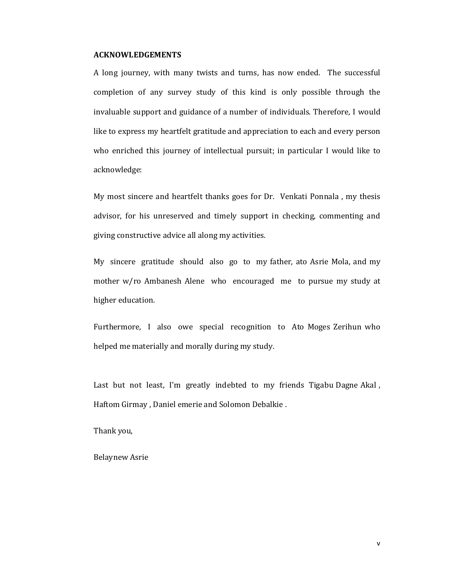#### **ACKNOWLEDGEMENTS**

A long journey, with many twists and turns, has now ended. The successful completion of any survey study of this kind is only possible through the invaluable support and guidance of a number of individuals. Therefore, I would like to express my heartfelt gratitude and appreciation to each and every person who enriched this journey of intellectual pursuit; in particular I would like to acknowledge:

My most sincere and heartfelt thanks goes for Dr. Venkati Ponnala , my thesis advisor, for his unreserved and timely support in checking, commenting and giving constructive advice all along my activities.

My sincere gratitude should also go to my father, ato Asrie Mola, and my mother w/ro Ambanesh Alene who encouraged me to pursue my study at higher education.

Furthermore, I also owe special recognition to Ato Moges Zerihun who helped me materially and morally during my study.

Last but not least, I'm greatly indebted to my friends Tigabu Dagne Akal , Haftom Girmay , Daniel emerie and Solomon Debalkie .

Thank you,

Belaynew Asrie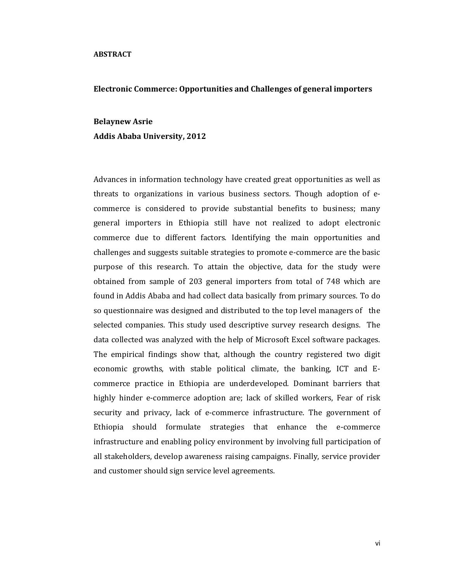#### **ABSTRACT**

#### **Electronic Commerce: Opportunities and Challenges of general importers**

# **Belaynew Asrie Addis Ababa University, 2012**

Advances in information technology have created great opportunities as well as threats to organizations in various business sectors. Though adoption of ecommerce is considered to provide substantial benefits to business; many general importers in Ethiopia still have not realized to adopt electronic commerce due to different factors. Identifying the main opportunities and challenges and suggests suitable strategies to promote e-commerce are the basic purpose of this research. To attain the objective, data for the study were obtained from sample of 203 general importers from total of 748 which are found in Addis Ababa and had collect data basically from primary sources. To do so questionnaire was designed and distributed to the top level managers of the selected companies. This study used descriptive survey research designs. The data collected was analyzed with the help of Microsoft Excel software packages. The empirical findings show that, although the country registered two digit economic growths, with stable political climate, the banking, ICT and Ecommerce practice in Ethiopia are underdeveloped. Dominant barriers that highly hinder e-commerce adoption are; lack of skilled workers, Fear of risk security and privacy, lack of e-commerce infrastructure. The government of Ethiopia should formulate strategies that enhance the e-commerce infrastructure and enabling policy environment by involving full participation of all stakeholders, develop awareness raising campaigns. Finally, service provider and customer should sign service level agreements.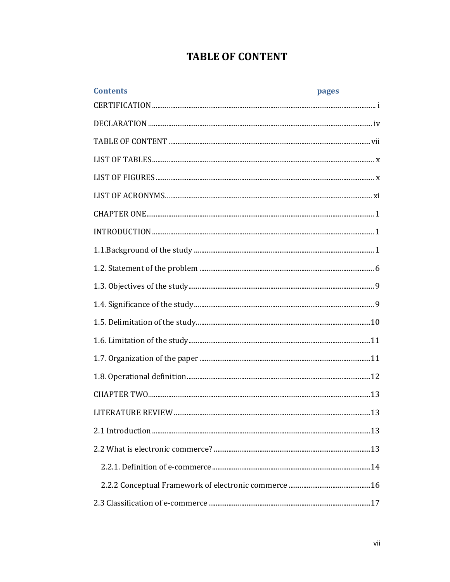# **TABLE OF CONTENT**

| <b>Contents</b> | pages |
|-----------------|-------|
|                 |       |
|                 |       |
|                 |       |
|                 |       |
|                 |       |
|                 |       |
|                 |       |
|                 |       |
|                 |       |
|                 |       |
|                 |       |
|                 |       |
|                 |       |
|                 |       |
|                 |       |
|                 |       |
|                 |       |
|                 |       |
|                 |       |
|                 |       |
|                 |       |
|                 |       |
|                 |       |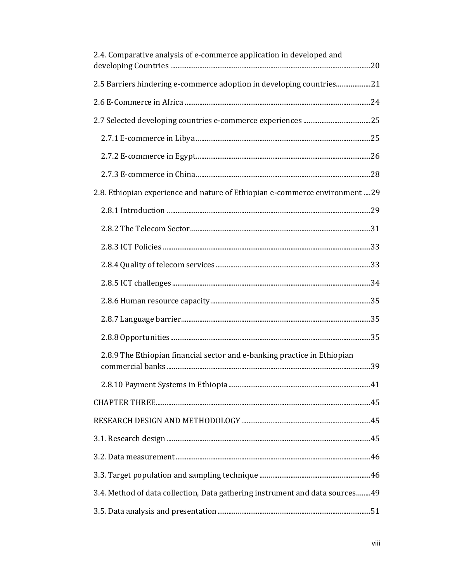| 2.4. Comparative analysis of e-commerce application in developed and          |  |
|-------------------------------------------------------------------------------|--|
| 2.5 Barriers hindering e-commerce adoption in developing countries21          |  |
|                                                                               |  |
|                                                                               |  |
|                                                                               |  |
|                                                                               |  |
|                                                                               |  |
| 2.8. Ethiopian experience and nature of Ethiopian e-commerce environment29    |  |
|                                                                               |  |
|                                                                               |  |
|                                                                               |  |
|                                                                               |  |
|                                                                               |  |
|                                                                               |  |
|                                                                               |  |
|                                                                               |  |
| 2.8.9 The Ethiopian financial sector and e-banking practice in Ethiopian      |  |
|                                                                               |  |
|                                                                               |  |
|                                                                               |  |
|                                                                               |  |
|                                                                               |  |
|                                                                               |  |
| 3.4. Method of data collection, Data gathering instrument and data sources 49 |  |
|                                                                               |  |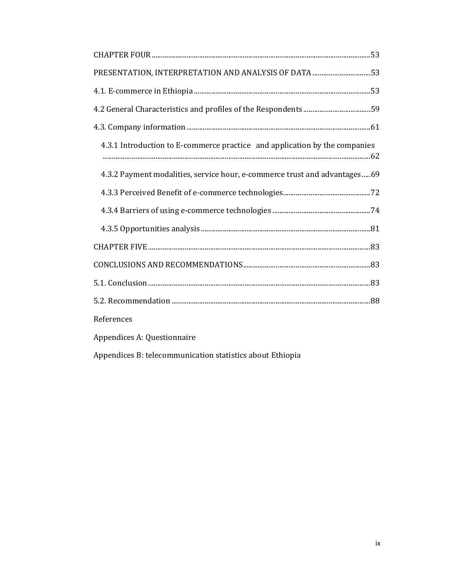| PRESENTATION, INTERPRETATION AND ANALYSIS OF DATA 53                       |
|----------------------------------------------------------------------------|
|                                                                            |
|                                                                            |
|                                                                            |
| 4.3.1 Introduction to E-commerce practice and application by the companies |
| 4.3.2 Payment modalities, service hour, e-commerce trust and advantages69  |
|                                                                            |
|                                                                            |
|                                                                            |
|                                                                            |
|                                                                            |
|                                                                            |
|                                                                            |
| References                                                                 |
| Appendices A: Questionnaire                                                |
| Appendices B: telecommunication statistics about Ethiopia                  |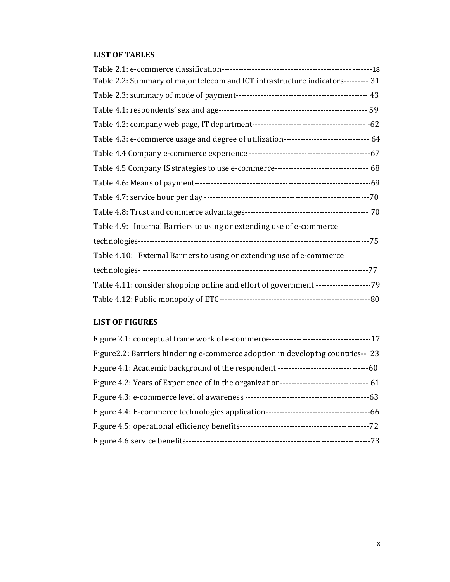# **LIST OF TABLES**

| Table 2.2: Summary of major telecom and ICT infrastructure indicators--------- 31       |  |
|-----------------------------------------------------------------------------------------|--|
|                                                                                         |  |
|                                                                                         |  |
|                                                                                         |  |
| Table 4.3: e-commerce usage and degree of utilization------------------------------- 64 |  |
|                                                                                         |  |
|                                                                                         |  |
|                                                                                         |  |
|                                                                                         |  |
|                                                                                         |  |
| Table 4.9: Internal Barriers to using or extending use of e-commerce                    |  |
|                                                                                         |  |
| Table 4.10: External Barriers to using or extending use of e-commerce                   |  |
|                                                                                         |  |
| Table 4.11: consider shopping online and effort of government --------------------79    |  |
|                                                                                         |  |

## **LIST OF FIGURES**

| Figure 2.2: Barriers hindering e-commerce adoption in developing countries-- 23 |  |
|---------------------------------------------------------------------------------|--|
|                                                                                 |  |
|                                                                                 |  |
|                                                                                 |  |
|                                                                                 |  |
|                                                                                 |  |
|                                                                                 |  |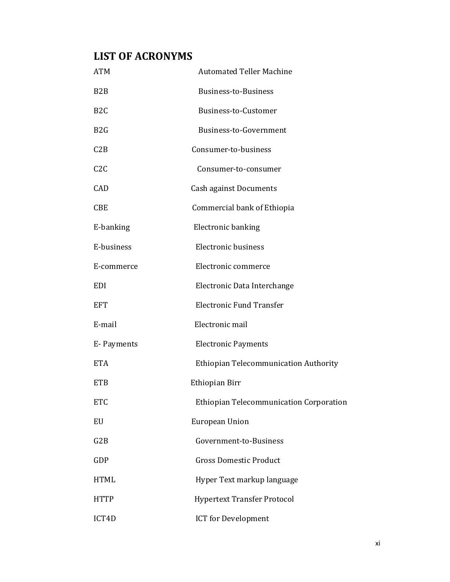# **LIST OF ACRONYMS**

| <b>ATM</b>       | <b>Automated Teller Machine</b>         |  |  |
|------------------|-----------------------------------------|--|--|
| B <sub>2</sub> B | Business-to-Business                    |  |  |
| B <sub>2</sub> C | Business-to-Customer                    |  |  |
| B <sub>2</sub> G | Business-to-Government                  |  |  |
| C2B              | Consumer-to-business                    |  |  |
| C2C              | Consumer-to-consumer                    |  |  |
| CAD              | <b>Cash against Documents</b>           |  |  |
| <b>CBE</b>       | Commercial bank of Ethiopia             |  |  |
| E-banking        | <b>Electronic banking</b>               |  |  |
| E-business       | <b>Electronic business</b>              |  |  |
| E-commerce       | Electronic commerce                     |  |  |
| <b>EDI</b>       | Electronic Data Interchange             |  |  |
| <b>EFT</b>       | <b>Electronic Fund Transfer</b>         |  |  |
| E-mail           | Electronic mail                         |  |  |
| E- Payments      | <b>Electronic Payments</b>              |  |  |
| <b>ETA</b>       | Ethiopian Telecommunication Authority   |  |  |
| <b>ETB</b>       | Ethiopian Birr                          |  |  |
| <b>ETC</b>       | Ethiopian Telecommunication Corporation |  |  |
| EU               | European Union                          |  |  |
| G2B              | Government-to-Business                  |  |  |
| <b>GDP</b>       | <b>Gross Domestic Product</b>           |  |  |
| <b>HTML</b>      | Hyper Text markup language              |  |  |
| <b>HTTP</b>      | <b>Hypertext Transfer Protocol</b>      |  |  |
| ICT4D            | <b>ICT</b> for Development              |  |  |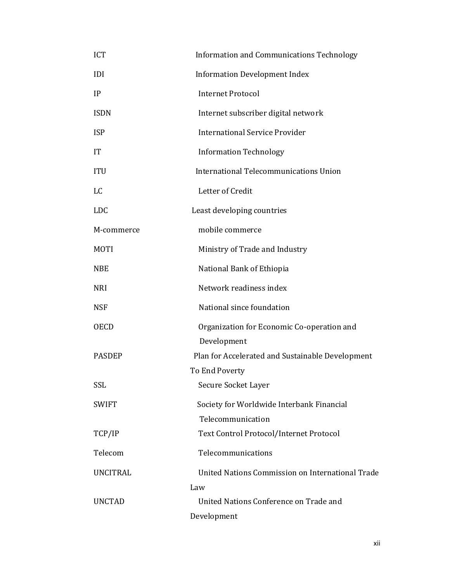| ICT             | <b>Information and Communications Technology</b>          |  |  |
|-----------------|-----------------------------------------------------------|--|--|
| <b>IDI</b>      | <b>Information Development Index</b>                      |  |  |
| IP              | <b>Internet Protocol</b>                                  |  |  |
| <b>ISDN</b>     | Internet subscriber digital network                       |  |  |
| <b>ISP</b>      | <b>International Service Provider</b>                     |  |  |
| IT              | <b>Information Technology</b>                             |  |  |
| <b>ITU</b>      | International Telecommunications Union                    |  |  |
| LC              | Letter of Credit                                          |  |  |
| <b>LDC</b>      | Least developing countries                                |  |  |
| M-commerce      | mobile commerce                                           |  |  |
| <b>MOTI</b>     | Ministry of Trade and Industry                            |  |  |
| <b>NBE</b>      | National Bank of Ethiopia                                 |  |  |
| <b>NRI</b>      | Network readiness index                                   |  |  |
| <b>NSF</b>      | National since foundation                                 |  |  |
| <b>OECD</b>     | Organization for Economic Co-operation and<br>Development |  |  |
| <b>PASDEP</b>   | Plan for Accelerated and Sustainable Development          |  |  |
|                 | To End Poverty                                            |  |  |
| <b>SSL</b>      | Secure Socket Layer                                       |  |  |
| <b>SWIFT</b>    | Society for Worldwide Interbank Financial                 |  |  |
|                 | Telecommunication                                         |  |  |
| TCP/IP          | Text Control Protocol/Internet Protocol                   |  |  |
| Telecom         | Telecommunications                                        |  |  |
| <b>UNCITRAL</b> | United Nations Commission on International Trade          |  |  |
|                 | Law                                                       |  |  |
| <b>UNCTAD</b>   | United Nations Conference on Trade and                    |  |  |
|                 | Development                                               |  |  |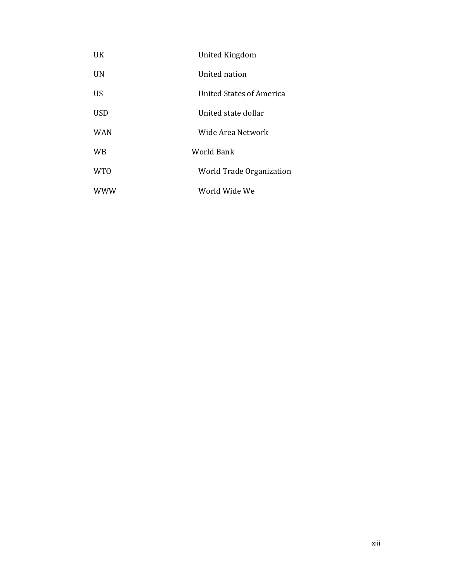| UK.             | <b>United Kingdom</b>    |
|-----------------|--------------------------|
| <b>UN</b>       | United nation            |
| US              | United States of America |
| <b>USD</b>      | United state dollar      |
| <b>WAN</b>      | Wide Area Network        |
| <b>WB</b>       | World Bank               |
| WT <sub>0</sub> | World Trade Organization |
| <b>WWW</b>      | World Wide We            |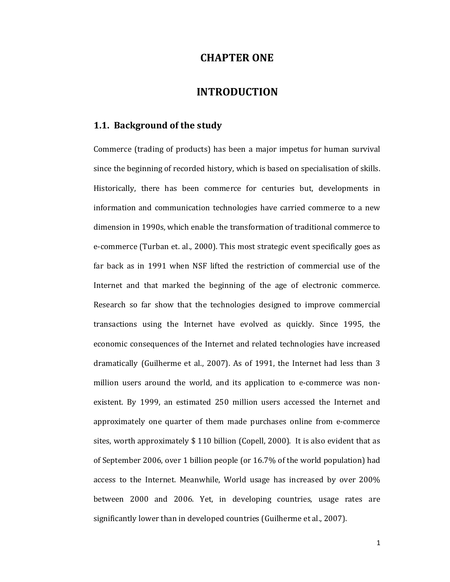# **CHAPTER ONE**

# **INTRODUCTION**

## **1.1. Background of the study**

Commerce (trading of products) has been a major impetus for human survival since the beginning of recorded history, which is based on specialisation of skills. Historically, there has been commerce for centuries but, developments in information and communication technologies have carried commerce to a new dimension in 1990s, which enable the transformation of traditional commerce to e-commerce (Turban et. al., 2000). This most strategic event specifically goes as far back as in 1991 when NSF lifted the restriction of commercial use of the Internet and that marked the beginning of the age of electronic commerce. Research so far show that the technologies designed to improve commercial transactions using the Internet have evolved as quickly. Since 1995, the economic consequences of the Internet and related technologies have increased dramatically (Guilherme et al., 2007). As of 1991, the Internet had less than 3 million users around the world, and its application to e-commerce was nonexistent. By 1999, an estimated 250 million users accessed the Internet and approximately one quarter of them made purchases online from e-commerce sites, worth approximately \$ 110 billion (Copell, 2000). It is also evident that as of September 2006, over 1 billion people (or 16.7% of the world population) had access to the Internet. Meanwhile, World usage has increased by over 200% between 2000 and 2006. Yet, in developing countries, usage rates are significantly lower than in developed countries (Guilherme et al., 2007).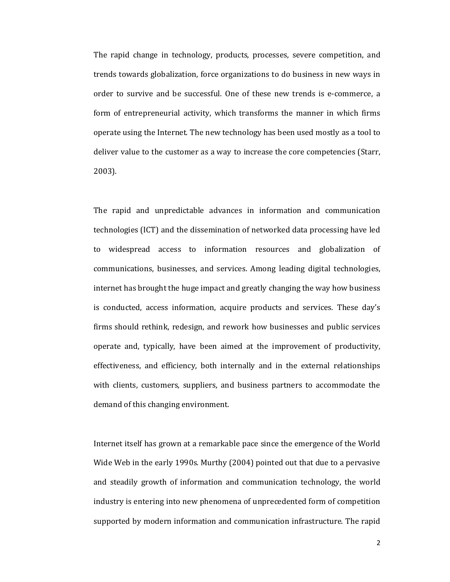The rapid change in technology, products, processes, severe competition, and trends towards globalization, force organizations to do business in new ways in order to survive and be successful. One of these new trends is e-commerce, a form of entrepreneurial activity, which transforms the manner in which firms operate using the Internet. The new technology has been used mostly as a tool to deliver value to the customer as a way to increase the core competencies (Starr, 2003).

The rapid and unpredictable advances in information and communication technologies (ICT) and the dissemination of networked data processing have led to widespread access to information resources and globalization of communications, businesses, and services. Among leading digital technologies, internet has brought the huge impact and greatly changing the way how business is conducted, access information, acquire products and services. These day's firms should rethink, redesign, and rework how businesses and public services operate and, typically, have been aimed at the improvement of productivity, effectiveness, and efficiency, both internally and in the external relationships with clients, customers, suppliers, and business partners to accommodate the demand of this changing environment.

Internet itself has grown at a remarkable pace since the emergence of the World Wide Web in the early 1990s. Murthy (2004) pointed out that due to a pervasive and steadily growth of information and communication technology, the world industry is entering into new phenomena of unprecedented form of competition supported by modern information and communication infrastructure. The rapid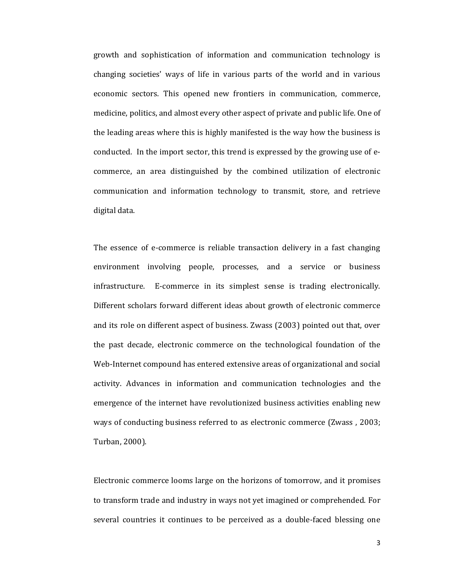growth and sophistication of information and communication technology is changing societies' ways of life in various parts of the world and in various economic sectors. This opened new frontiers in communication, commerce, medicine, politics, and almost every other aspect of private and public life. One of the leading areas where this is highly manifested is the way how the business is conducted. In the import sector, this trend is expressed by the growing use of ecommerce, an area distinguished by the combined utilization of electronic communication and information technology to transmit, store, and retrieve digital data.

The essence of e-commerce is reliable transaction delivery in a fast changing environment involving people, processes, and a service or business infrastructure. E-commerce in its simplest sense is trading electronically. Different scholars forward different ideas about growth of electronic commerce and its role on different aspect of business. Zwass (2003) pointed out that, over the past decade, electronic commerce on the technological foundation of the Web-Internet compound has entered extensive areas of organizational and social activity. Advances in information and communication technologies and the emergence of the internet have revolutionized business activities enabling new ways of conducting business referred to as electronic commerce (Zwass , 2003; Turban, 2000).

Electronic commerce looms large on the horizons of tomorrow, and it promises to transform trade and industry in ways not yet imagined or comprehended. For several countries it continues to be perceived as a double-faced blessing one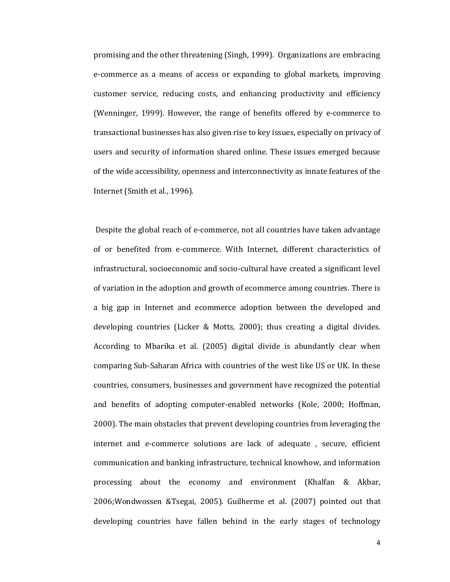promising and the other threatening (Singh, 1999). Organizations are embracing e-commerce as a means of access or expanding to global markets, improving customer service, reducing costs, and enhancing productivity and efficiency (Wenninger, 1999). However, the range of benefits offered by e-commerce to transactional businesses has also given rise to key issues, especially on privacy of users and security of information shared online. These issues emerged because of the wide accessibility, openness and interconnectivity as innate features of the Internet (Smith et al., 1996).

Despite the global reach of e-commerce, not all countries have taken advantage of or benefited from e-commerce. With Internet, different characteristics of infrastructural, socioeconomic and socio-cultural have created a significant level of variation in the adoption and growth of ecommerce among countries. There is a big gap in Internet and ecommerce adoption between the developed and developing countries (Licker & Motts, 2000); thus creating a digital divides. According to Mbarika et al. (2005) digital divide is abundantly clear when comparing Sub-Saharan Africa with countries of the west like US or UK. In these countries, consumers, businesses and government have recognized the potential and benefits of adopting computer-enabled networks (Kole, 2000; Hoffman, 2000). The main obstacles that prevent developing countries from leveraging the internet and e-commerce solutions are lack of adequate, secure, efficient communication and banking infrastructure, technical knowhow, and information processing about the economy and environment (Khalfan & Akbar, 2006; Wondwossen & Tsegai, 2005). Guilherme et al. (2007) pointed out that developing countries have fallen behind in the early stages of technology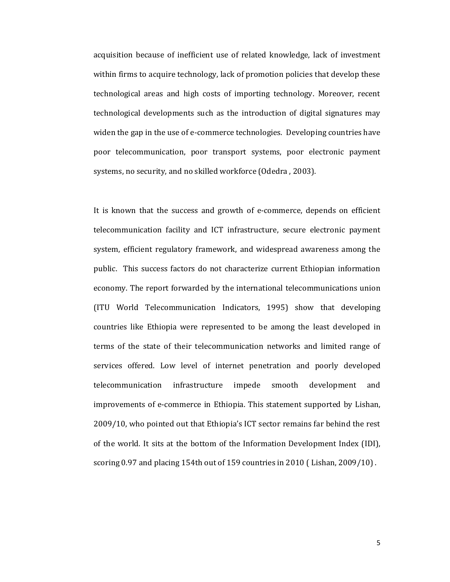acquisition because of inefficient use of related knowledge, lack of investment within firms to acquire technology, lack of promotion policies that develop these technological areas and high costs of importing technology. Moreover, recent technological developments such as the introduction of digital signatures may widen the gap in the use of e-commerce technologies. Developing countries have poor telecommunication, poor transport systems, poor electronic payment systems, no security, and no skilled workforce (Odedra, 2003).

It is known that the success and growth of e-commerce, depends on efficient telecommunication facility and ICT infrastructure, secure electronic payment system, efficient regulatory framework, and widespread awareness among the public. This success factors do not characterize current Ethiopian information economy. The report forwarded by the international telecommunications union (ITU World Telecommunication Indicators, 1995) show that developing countries like Ethiopia were represented to be among the least developed in terms of the state of their telecommunication networks and limited range of services offered. Low level of internet penetration and poorly developed infrastructure telecommunication impede smooth development and improvements of e-commerce in Ethiopia. This statement supported by Lishan, 2009/10, who pointed out that Ethiopia's ICT sector remains far behind the rest of the world. It sits at the bottom of the Information Development Index (IDI), scoring 0.97 and placing 154th out of 159 countries in 2010 (Lishan,  $2009/10$ ).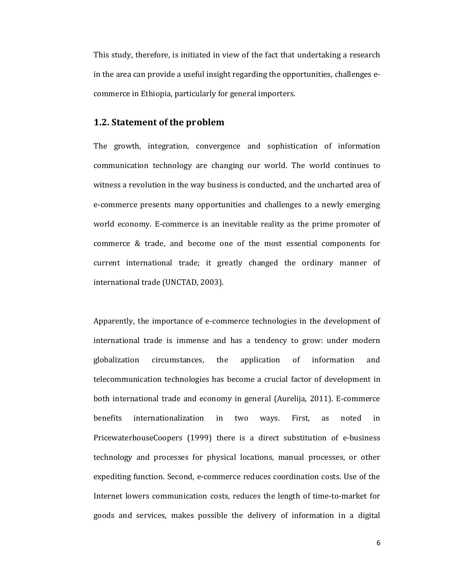This study, therefore, is initiated in view of the fact that undertaking a research in the area can provide a useful insight regarding the opportunities, challenges ecommerce in Ethiopia, particularly for general importers.

## 1.2. Statement of the problem

The growth, integration, convergence and sophistication of information communication technology are changing our world. The world continues to witness a revolution in the way business is conducted, and the uncharted area of e-commerce presents many opportunities and challenges to a newly emerging world economy. E-commerce is an inevitable reality as the prime promoter of commerce & trade, and become one of the most essential components for current international trade; it greatly changed the ordinary manner of international trade (UNCTAD, 2003).

Apparently, the importance of e-commerce technologies in the development of international trade is immense and has a tendency to grow: under modern globalization the application of information circumstances, and telecommunication technologies has become a crucial factor of development in both international trade and economy in general (Aurelija, 2011). E-commerce benefits internationalization in two ways. First. as noted in PricewaterhouseCoopers (1999) there is a direct substitution of e-business technology and processes for physical locations, manual processes, or other expediting function. Second, e-commerce reduces coordination costs. Use of the Internet lowers communication costs, reduces the length of time-to-market for goods and services, makes possible the delivery of information in a digital

6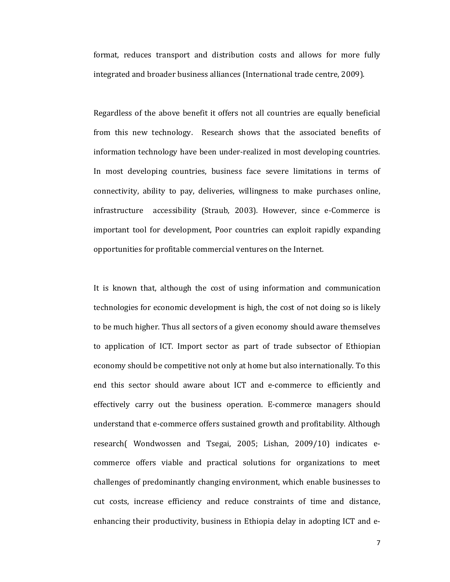format, reduces transport and distribution costs and allows for more fully integrated and broader business alliances (International trade centre, 2009).

Regardless of the above benefit it offers not all countries are equally beneficial from this new technology. Research shows that the associated benefits of information technology have been under-realized in most developing countries. In most developing countries, business face severe limitations in terms of connectivity, ability to pay, deliveries, willingness to make purchases online, infrastructure accessibility (Straub, 2003). However, since e-Commerce is important tool for development, Poor countries can exploit rapidly expanding opportunities for profitable commercial ventures on the Internet.

It is known that, although the cost of using information and communication technologies for economic development is high, the cost of not doing so is likely to be much higher. Thus all sectors of a given economy should aware themselves to application of ICT. Import sector as part of trade subsector of Ethiopian economy should be competitive not only at home but also internationally. To this end this sector should aware about ICT and e-commerce to efficiently and effectively carry out the business operation. E-commerce managers should understand that e-commerce offers sustained growth and profitability. Although research (Wondwossen and Tsegai, 2005; Lishan, 2009/10) indicates ecommerce offers viable and practical solutions for organizations to meet challenges of predominantly changing environment, which enable businesses to cut costs, increase efficiency and reduce constraints of time and distance, enhancing their productivity, business in Ethiopia delay in adopting ICT and e-

 $\overline{7}$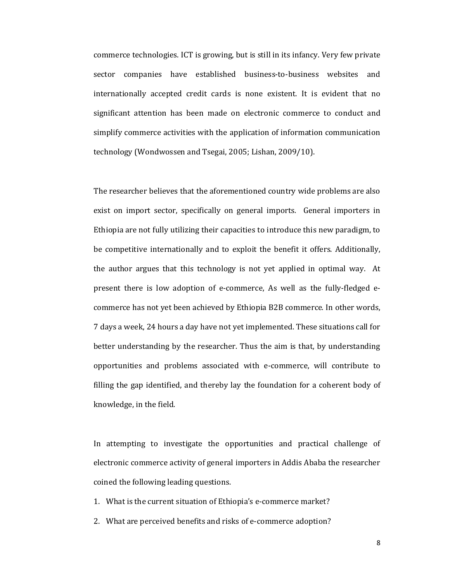commerce technologies. ICT is growing, but is still in its infancy. Very few private sector companies have established business-to-business websites and internationally accepted credit cards is none existent. It is evident that no significant attention has been made on electronic commerce to conduct and simplify commerce activities with the application of information communication technology (Wondwossen and Tsegai, 2005; Lishan, 2009/10).

The researcher believes that the aforementioned country wide problems are also exist on import sector, specifically on general imports. General importers in Ethiopia are not fully utilizing their capacities to introduce this new paradigm, to be competitive internationally and to exploit the benefit it offers. Additionally, the author argues that this technology is not yet applied in optimal way. At present there is low adoption of e-commerce, As well as the fully-fledged ecommerce has not yet been achieved by Ethiopia B2B commerce. In other words, 7 days a week, 24 hours a day have not yet implemented. These situations call for better understanding by the researcher. Thus the aim is that, by understanding opportunities and problems associated with e-commerce, will contribute to filling the gap identified, and thereby lay the foundation for a coherent body of knowledge, in the field.

In attempting to investigate the opportunities and practical challenge of electronic commerce activity of general importers in Addis Ababa the researcher coined the following leading questions.

- 1. What is the current situation of Ethiopia's e-commerce market?
- 2. What are perceived benefits and risks of e-commerce adoption?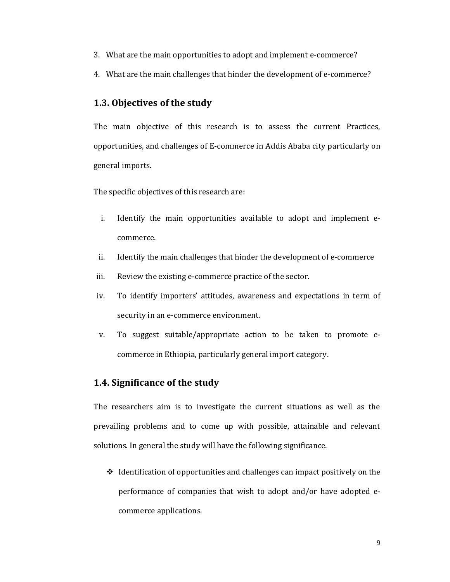- 3. What are the main opportunities to adopt and implement e-commerce?
- 4. What are the main challenges that hinder the development of e-commerce?

## **1.3. Objectives of the study**

The main objective of this research is to assess the current Practices, opportunities, and challenges of E-commerce in Addis Ababa city particularly on general imports.

The specific objectives of this research are:

- i. Identify the main opportunities available to adopt and implement ecommerce.
- ii. Identify the main challenges that hinder the development of e-commerce
- iii. Review the existing e-commerce practice of the sector.
- iv. To identify importers' attitudes, awareness and expectations in term of security in an e-commerce environment.
- v. To suggest suitable/appropriate action to be taken to promote ecommerce in Ethiopia, particularly general import category.

### **1.4. Significance of the study**

The researchers aim is to investigate the current situations as well as the prevailing problems and to come up with possible, attainable and relevant solutions. In general the study will have the following significance.

 $\triangleleft$  Identification of opportunities and challenges can impact positively on the performance of companies that wish to adopt and/or have adopted ecommerce applications.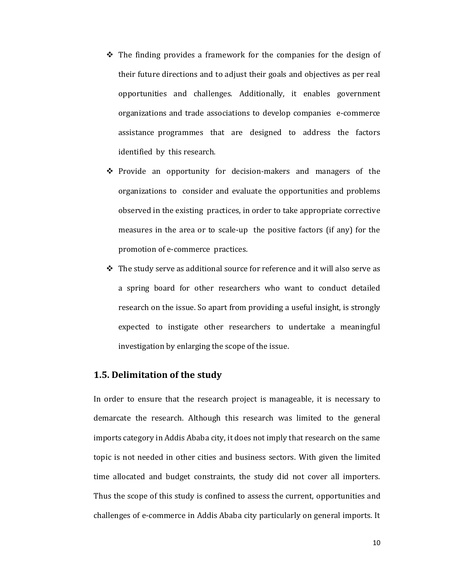- $\div$  The finding provides a framework for the companies for the design of their future directions and to adjust their goals and objectives as per real opportunities and challenges. Additionally, it enables government organizations and trade associations to develop companies e-commerce assistance programmes that are designed to address the factors identified by this research.
- $\hat{\mathbf{v}}$  Provide an opportunity for decision-makers and managers of the organizations to consider and evaluate the opportunities and problems observed in the existing practices, in order to take appropriate corrective measures in the area or to scale-up the positive factors (if any) for the promotion of e-commerce practices.
- The study serve as additional source for reference and it will also serve as a spring board for other researchers who want to conduct detailed research on the issue. So apart from providing a useful insight, is strongly expected to instigate other researchers to undertake a meaningful investigation by enlarging the scope of the issue.

### **1.5. Delimitation of the study**

In order to ensure that the research project is manageable, it is necessary to demarcate the research. Although this research was limited to the general imports category in Addis Ababa city, it does not imply that research on the same topic is not needed in other cities and business sectors. With given the limited time allocated and budget constraints, the study did not cover all importers. Thus the scope of this study is confined to assess the current, opportunities and challenges of e-commerce in Addis Ababa city particularly on general imports. It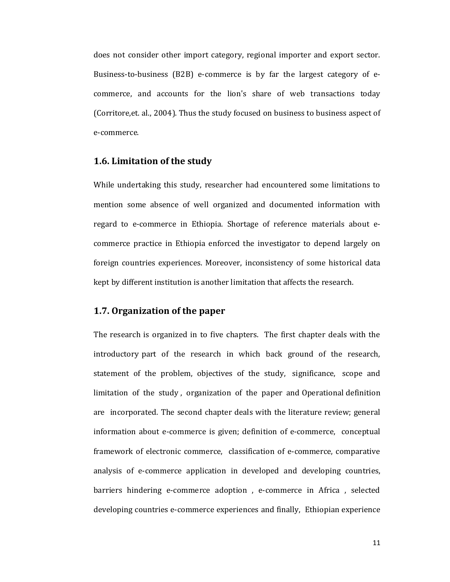does not consider other import category, regional importer and export sector. Business-to-business (B2B) e-commerce is by far the largest category of ecommerce, and accounts for the lion's share of web transactions today (Corritore, et. al., 2004). Thus the study focused on business to business aspect of e-commerce.

#### 1.6. Limitation of the study

While undertaking this study, researcher had encountered some limitations to mention some absence of well organized and documented information with regard to e-commerce in Ethiopia. Shortage of reference materials about ecommerce practice in Ethiopia enforced the investigator to depend largely on foreign countries experiences. Moreover, inconsistency of some historical data kept by different institution is another limitation that affects the research.

## 1.7. Organization of the paper

The research is organized in to five chapters. The first chapter deals with the introductory part of the research in which back ground of the research, statement of the problem, objectives of the study, significance, scope and limitation of the study, organization of the paper and Operational definition are incorporated. The second chapter deals with the literature review; general information about e-commerce is given; definition of e-commerce, conceptual framework of electronic commerce, classification of e-commerce, comparative analysis of e-commerce application in developed and developing countries, barriers hindering e-commerce adoption, e-commerce in Africa, selected developing countries e-commerce experiences and finally, Ethiopian experience

11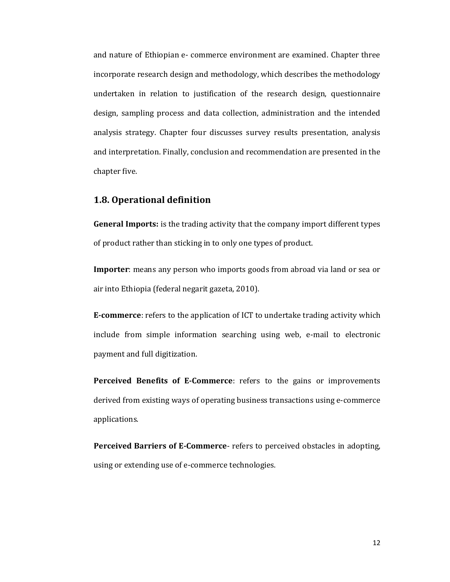and nature of Ethiopian e- commerce environment are examined. Chapter three incorporate research design and methodology, which describes the methodology undertaken in relation to justification of the research design, questionnaire design, sampling process and data collection, administration and the intended analysis strategy. Chapter four discusses survey results presentation, analysis and interpretation. Finally, conclusion and recommendation are presented in the chapter five.

## **1.8. Operational definition**

**General Imports:** is the trading activity that the company import different types of product rather than sticking in to only one types of product.

**Importer**: means any person who imports goods from abroad via land or sea or air into Ethiopia (federal negarit gazeta, 2010).

**E-commerce**: refers to the application of ICT to undertake trading activity which include from simple information searching using web, e-mail to electronic payment and full digitization.

**Perceived Benefits of E-Commerce**: refers to the gains or improvements derived from existing ways of operating business transactions using e-commerce applications.

**Perceived Barriers of E-Commerce**- refers to perceived obstacles in adopting, using or extending use of e-commerce technologies.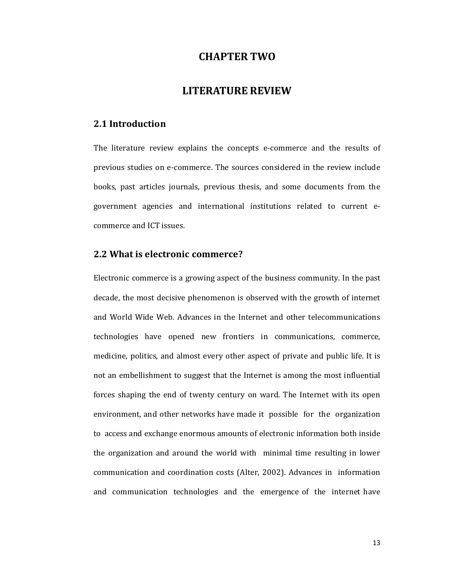## **CHAPTER TWO**

# **LITERATURE REVIEW**

#### 2.1 Introduction

The literature review explains the concepts e-commerce and the results of previous studies on e-commerce. The sources considered in the review include books, past articles journals, previous thesis, and some documents from the government agencies and international institutions related to current ecommerce and ICT issues.

### 2.2 What is electronic commerce?

Electronic commerce is a growing aspect of the business community. In the past decade, the most decisive phenomenon is observed with the growth of internet and World Wide Web. Advances in the Internet and other telecommunications technologies have opened new frontiers in communications, commerce, medicine, politics, and almost every other aspect of private and public life. It is not an embellishment to suggest that the Internet is among the most influential forces shaping the end of twenty century on ward. The Internet with its open environment, and other networks have made it possible for the organization to access and exchange enormous amounts of electronic information both inside the organization and around the world with minimal time resulting in lower communication and coordination costs (Alter, 2002). Advances in information and communication technologies and the emergence of the internet have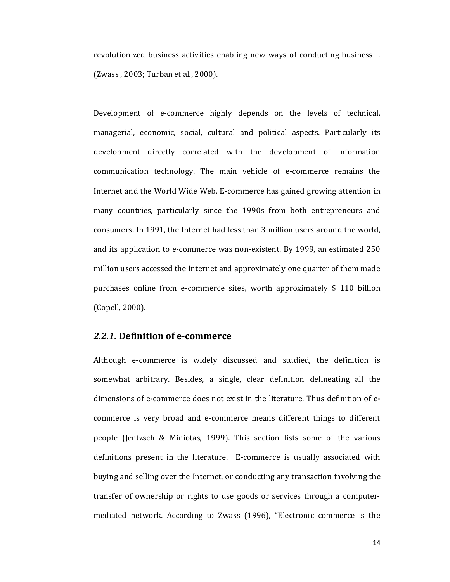revolutionized business activities enabling new ways of conducting business . (Zwass , 2003; Turban et al., 2000).

Development of e-commerce highly depends on the levels of technical, managerial, economic, social, cultural and political aspects. Particularly its development directly correlated with the development of information communication technology. The main vehicle of e-commerce remains the Internet and the World Wide Web. E-commerce has gained growing attention in many countries, particularly since the 1990s from both entrepreneurs and consumers. In 1991, the Internet had less than 3 million users around the world, and its application to e-commerce was non-existent. By 1999, an estimated 250 million users accessed the Internet and approximately one quarter of them made purchases online from e-commerce sites, worth approximately \$ 110 billion (Copell, 2000).

### *2.2.1.* **Definition of e-commerce**

Although e-commerce is widely discussed and studied, the definition is somewhat arbitrary. Besides, a single, clear definition delineating all the dimensions of e-commerce does not exist in the literature. Thus definition of ecommerce is very broad and e-commerce means different things to different people (Jentzsch & Miniotas, 1999). This section lists some of the various definitions present in the literature. E-commerce is usually associated with buying and selling over the Internet, or conducting any transaction involving the transfer of ownership or rights to use goods or services through a computermediated network. According to Zwass (1996), "Electronic commerce is the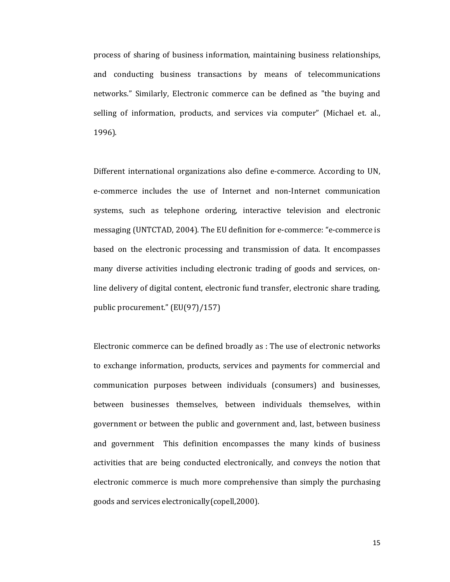process of sharing of business information, maintaining business relationships, and conducting business transactions by means of telecommunications networks." Similarly, Electronic commerce can be defined as "the buying and selling of information, products, and services via computer" (Michael et. al., 1996).

Different international organizations also define e-commerce. According to UN, e-commerce includes the use of Internet and non-Internet communication systems, such as telephone ordering, interactive television and electronic messaging (UNTCTAD, 2004). The EU definition for e-commerce: "e-commerce is based on the electronic processing and transmission of data. It encompasses many diverse activities including electronic trading of goods and services, online delivery of digital content, electronic fund transfer, electronic share trading, public procurement." (EU(97)/157)

Electronic commerce can be defined broadly as : The use of electronic networks to exchange information, products, services and payments for commercial and communication purposes between individuals (consumers) and businesses, between businesses themselves, between individuals themselves, within government or between the public and government and, last, between business and government This definition encompasses the many kinds of business activities that are being conducted electronically, and conveys the notion that electronic commerce is much more comprehensive than simply the purchasing goods and services electronically (copell, 2000).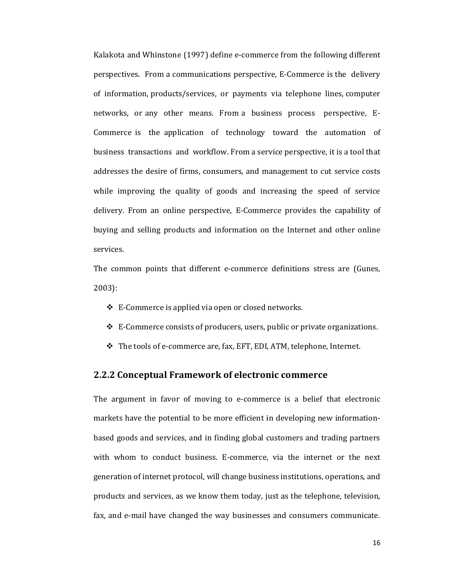Kalakota and Whinstone (1997) define e-commerce from the following different perspectives. From a communications perspective, E-Commerce is the delivery of information, products/services, or payments via telephone lines, computer networks, or any other means. From a business process perspective, E-Commerce is the application of technology toward the automation of business transactions and workflow. From a service perspective, it is a tool that addresses the desire of firms, consumers, and management to cut service costs while improving the quality of goods and increasing the speed of service delivery. From an online perspective, E-Commerce provides the capability of buying and selling products and information on the Internet and other online services.

The common points that different e-commerce definitions stress are (Gunes, 2003):

- $\div$  E-Commerce is applied via open or closed networks.
- E-Commerce consists of producers, users, public or private organizations.
- The tools of e-commerce are, fax, EFT, EDI, ATM, telephone, Internet.

#### **2.2.2 Conceptual Framework of electronic commerce**

The argument in favor of moving to e-commerce is a belief that electronic markets have the potential to be more efficient in developing new informationbased goods and services, and in finding global customers and trading partners with whom to conduct business. E-commerce, via the internet or the next generation of internet protocol, will change business institutions, operations, and products and services, as we know them today, just as the telephone, television, fax, and e-mail have changed the way businesses and consumers communicate.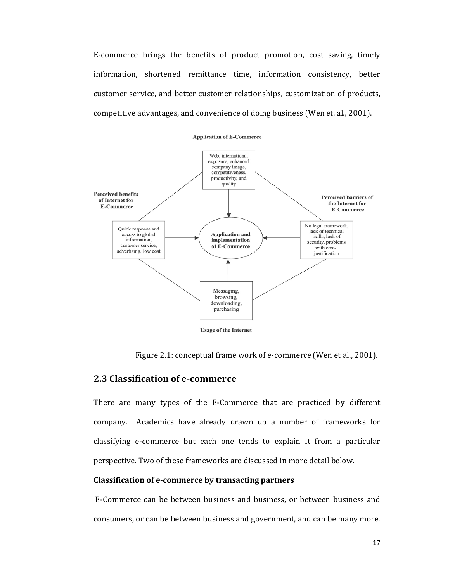E-commerce brings the benefits of product promotion, cost saving, timely information, shortened remittance time, information consistency, better customer service, and better customer relationships, customization of products, competitive advantages, and convenience of doing business (Wen et. al., 2001).



Figure 2.1: conceptual frame work of e-commerce (Wen et al., 2001).

## **2.3 Classification of e-commerce**

There are many types of the E-Commerce that are practiced by different company. Academics have already drawn up a number of frameworks for classifying e-commerce but each one tends to explain it from a particular perspective. Two of these frameworks are discussed in more detail below.

#### **Classification of e-commerce by transacting partners**

E-Commerce can be between business and business, or between business and consumers, or can be between business and government, and can be many more.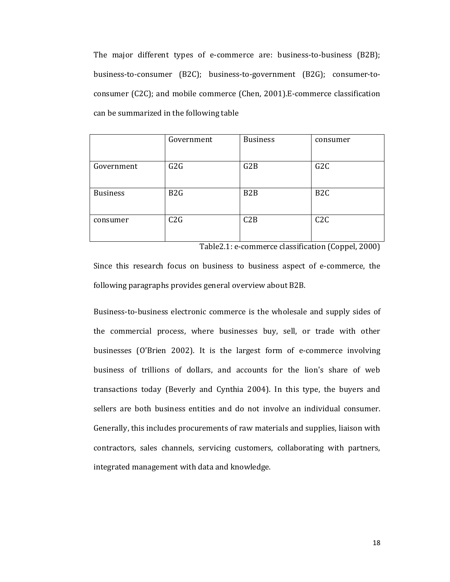The major different types of e-commerce are: business-to-business (B2B); business-to-consumer (B2C); business-to-government (B2G); consumer-toconsumer (C2C); and mobile commerce (Chen, 2001).E-commerce classification can be summarized in the following table

|                 | Government       | <b>Business</b>  | consumer         |
|-----------------|------------------|------------------|------------------|
|                 |                  |                  |                  |
| Government      | G2G              | G2B              | G2C              |
|                 |                  |                  |                  |
| <b>Business</b> | B <sub>2</sub> G | B <sub>2</sub> B | B <sub>2</sub> C |
|                 |                  |                  |                  |
| consumer        | C2G              | C2B              | C2C              |
|                 |                  |                  |                  |

Table2.1: e-commerce classification (Coppel, 2000)

Since this research focus on business to business aspect of e-commerce, the following paragraphs provides general overview about B2B.

Business-to-business electronic commerce is the wholesale and supply sides of the commercial process, where businesses buy, sell, or trade with other businesses (O'Brien 2002). It is the largest form of e-commerce involving business of trillions of dollars, and accounts for the lion's share of web transactions today (Beverly and Cynthia 2004). In this type, the buyers and sellers are both business entities and do not involve an individual consumer. Generally, this includes procurements of raw materials and supplies, liaison with contractors, sales channels, servicing customers, collaborating with partners, integrated management with data and knowledge.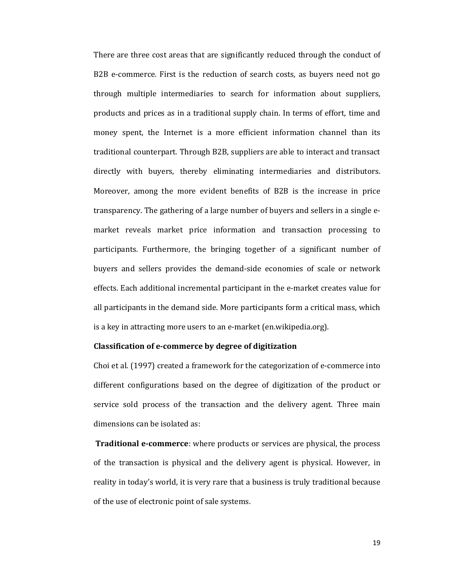There are three cost areas that are significantly reduced through the conduct of B2B e-commerce. First is the reduction of search costs, as buyers need not go through multiple intermediaries to search for information about suppliers, products and prices as in a traditional supply chain. In terms of effort, time and money spent, the Internet is a more efficient information channel than its traditional counterpart. Through B2B, suppliers are able to interact and transact directly with buyers, thereby eliminating intermediaries and distributors. Moreover, among the more evident benefits of B2B is the increase in price transparency. The gathering of a large number of buyers and sellers in a single emarket reveals market price information and transaction processing to participants. Furthermore, the bringing together of a significant number of buyers and sellers provides the demand-side economies of scale or network effects. Each additional incremental participant in the e-market creates value for all participants in the demand side. More participants form a critical mass, which is a key in attracting more users to an e-market (en.wikipedia.org).

#### **Classification of e-commerce by degree of digitization**

Choi et al. (1997) created a framework for the categorization of e-commerce into different configurations based on the degree of digitization of the product or service sold process of the transaction and the delivery agent. Three main dimensions can be isolated as:

**Traditional e-commerce**: where products or services are physical, the process of the transaction is physical and the delivery agent is physical. However, in reality in today's world, it is very rare that a business is truly traditional because of the use of electronic point of sale systems.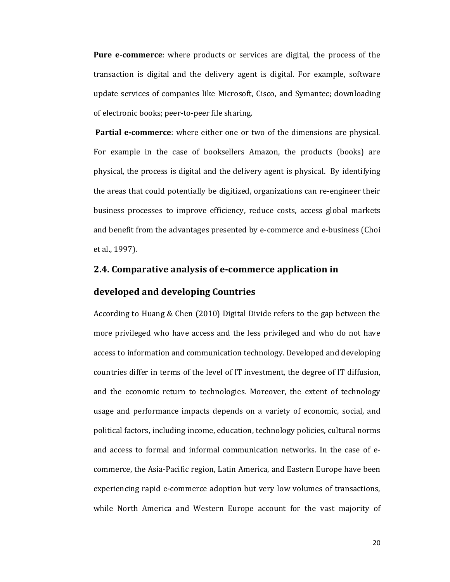**Pure e-commerce**: where products or services are digital, the process of the transaction is digital and the delivery agent is digital. For example, software update services of companies like Microsoft, Cisco, and Symantec; downloading of electronic books; peer-to-peer file sharing.

**Partial e-commerce**: where either one or two of the dimensions are physical. For example in the case of booksellers Amazon, the products (books) are physical, the process is digital and the delivery agent is physical. By identifying the areas that could potentially be digitized, organizations can re-engineer their business processes to improve efficiency, reduce costs, access global markets and benefit from the advantages presented by e-commerce and e-business (Choi et al., 1997).

## **2.4. Comparative analysis of e-commerce application in**

### **developed and developing Countries**

According to Huang & Chen (2010) Digital Divide refers to the gap between the more privileged who have access and the less privileged and who do not have access to information and communication technology. Developed and developing countries differ in terms of the level of IT investment, the degree of IT diffusion, and the economic return to technologies. Moreover, the extent of technology usage and performance impacts depends on a variety of economic, social, and political factors, including income, education, technology policies, cultural norms and access to formal and informal communication networks. In the case of ecommerce, the Asia-Pacific region, Latin America, and Eastern Europe have been experiencing rapid e-commerce adoption but very low volumes of transactions, while North America and Western Europe account for the vast majority of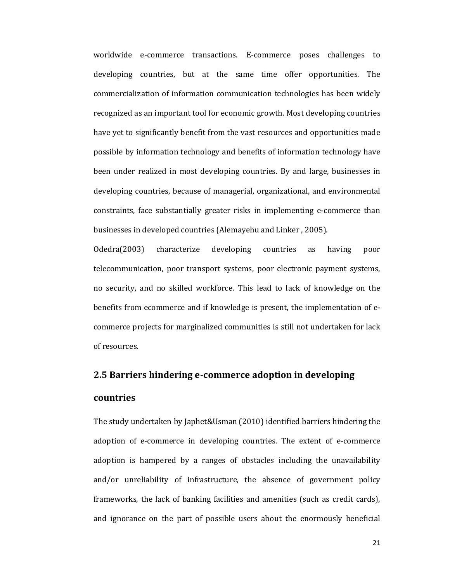worldwide e-commerce transactions. E-commerce poses challenges to developing countries, but at the same time offer opportunities. The commercialization of information communication technologies has been widely recognized as an important tool for economic growth. Most developing countries have yet to significantly benefit from the vast resources and opportunities made possible by information technology and benefits of information technology have been under realized in most developing countries. By and large, businesses in developing countries, because of managerial, organizational, and environmental constraints, face substantially greater risks in implementing e-commerce than businesses in developed countries (Alemayehu and Linker , 2005).

Odedra(2003) characterize developing countries as having poor telecommunication, poor transport systems, poor electronic payment systems, no security, and no skilled workforce. This lead to lack of knowledge on the benefits from ecommerce and if knowledge is present, the implementation of ecommerce projects for marginalized communities is still not undertaken for lack of resources.

# **2.5 Barriers hindering e-commerce adoption in developing**

#### **countries**

The study undertaken by Japhet&Usman (2010) identified barriers hindering the adoption of e-commerce in developing countries. The extent of e-commerce adoption is hampered by a ranges of obstacles including the unavailability and/or unreliability of infrastructure, the absence of government policy frameworks, the lack of banking facilities and amenities (such as credit cards), and ignorance on the part of possible users about the enormously beneficial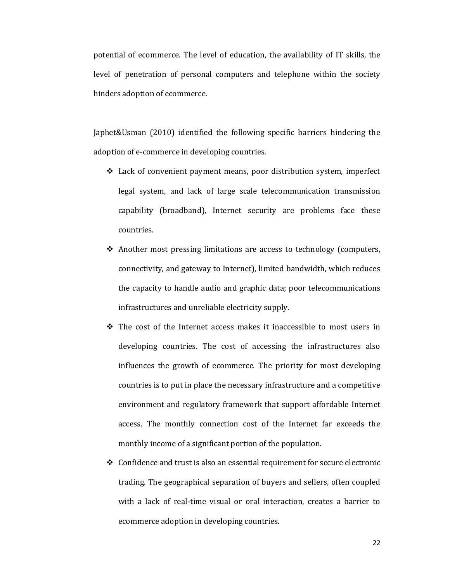potential of ecommerce. The level of education, the availability of IT skills, the level of penetration of personal computers and telephone within the society hinders adoption of ecommerce.

Japhet&Usman (2010) identified the following specific barriers hindering the adoption of e-commerce in developing countries.

- Lack of convenient payment means, poor distribution system, imperfect legal system, and lack of large scale telecommunication transmission capability (broadband), Internet security are problems face these countries.
- ◆ Another most pressing limitations are access to technology (computers, connectivity, and gateway to Internet), limited bandwidth, which reduces the capacity to handle audio and graphic data; poor telecommunications infrastructures and unreliable electricity supply.
- $\hat{\cdot}$  The cost of the Internet access makes it inaccessible to most users in developing countries. The cost of accessing the infrastructures also influences the growth of ecommerce. The priority for most developing countries is to put in place the necessary infrastructure and a competitive environment and regulatory framework that support affordable Internet access. The monthly connection cost of the Internet far exceeds the monthly income of a significant portion of the population.
- $\triangle$  Confidence and trust is also an essential requirement for secure electronic trading. The geographical separation of buyers and sellers, often coupled with a lack of real-time visual or oral interaction, creates a barrier to ecommerce adoption in developing countries.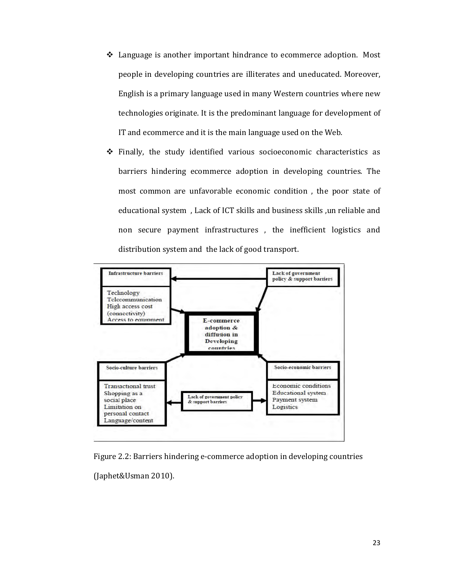- \* Language is another important hindrance to ecommerce adoption. Most people in developing countries are illiterates and uneducated. Moreover, English is a primary language used in many Western countries where new technologies originate. It is the predominant language for development of IT and ecommerce and it is the main language used on the Web.
- \* Finally, the study identified various socioeconomic characteristics as barriers hindering ecommerce adoption in developing countries. The most common are unfavorable economic condition, the poor state of educational system, Lack of ICT skills and business skills, un reliable and non secure payment infrastructures, the inefficient logistics and distribution system and the lack of good transport.



Figure 2.2: Barriers hindering e-commerce adoption in developing countries

(Japhet&Usman 2010).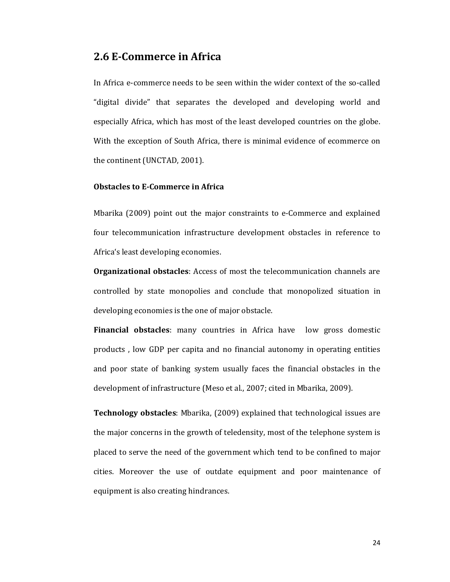# **2.6 E-Commerce in Africa**

In Africa e-commerce needs to be seen within the wider context of the so-called "digital divide" that separates the developed and developing world and especially Africa, which has most of the least developed countries on the globe. With the exception of South Africa, there is minimal evidence of ecommerce on the continent (UNCTAD, 2001).

#### **Obstacles to E-Commerce in Africa**

Mbarika (2009) point out the major constraints to e-Commerce and explained four telecommunication infrastructure development obstacles in reference to Africa's least developing economies.

**Organizational obstacles**: Access of most the telecommunication channels are controlled by state monopolies and conclude that monopolized situation in developing economies is the one of major obstacle.

**Financial obstacles**: many countries in Africa have low gross domestic products , low GDP per capita and no financial autonomy in operating entities and poor state of banking system usually faces the financial obstacles in the development of infrastructure (Meso et al., 2007; cited in Mbarika, 2009).

**Technology obstacles**: Mbarika, (2009) explained that technological issues are the major concerns in the growth of teledensity, most of the telephone system is placed to serve the need of the government which tend to be confined to major cities. Moreover the use of outdate equipment and poor maintenance of equipment is also creating hindrances.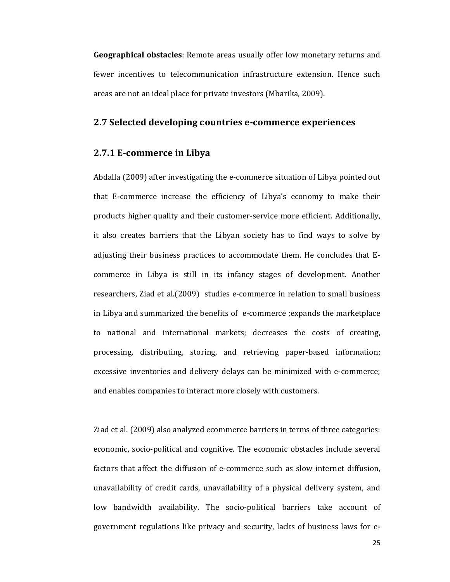**Geographical obstacles**: Remote areas usually offer low monetary returns and fewer incentives to telecommunication infrastructure extension. Hence such areas are not an ideal place for private investors (Mbarika, 2009).

# **2.7 Selected developing countries e-commerce experiences**

# **2.7.1 E-commerce in Libya**

Abdalla (2009) after investigating the e-commerce situation of Libya pointed out that E-commerce increase the efficiency of Libya's economy to make their products higher quality and their customer-service more efficient. Additionally, it also creates barriers that the Libyan society has to find ways to solve by adjusting their business practices to accommodate them. He concludes that Ecommerce in Libya is still in its infancy stages of development. Another researchers, Ziad et al.(2009) studies e-commerce in relation to small business in Libya and summarized the benefits of e-commerce ;expands the marketplace to national and international markets; decreases the costs of creating, processing, distributing, storing, and retrieving paper-based information; excessive inventories and delivery delays can be minimized with e-commerce; and enables companies to interact more closely with customers.

Ziad et al. (2009) also analyzed ecommerce barriers in terms of three categories: economic, socio-political and cognitive. The economic obstacles include several factors that affect the diffusion of e-commerce such as slow internet diffusion, unavailability of credit cards, unavailability of a physical delivery system, and low bandwidth availability. The socio-political barriers take account of government regulations like privacy and security, lacks of business laws for e-

25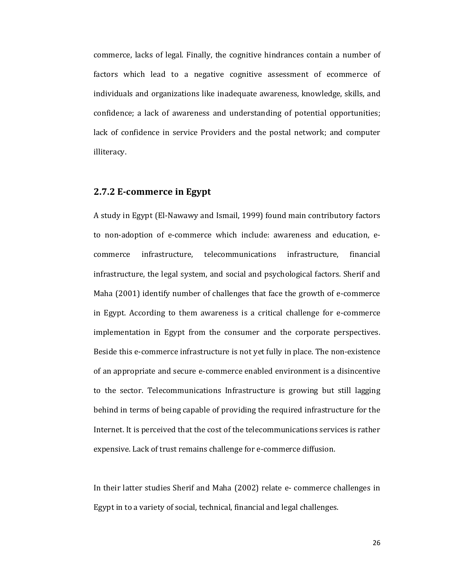commerce, lacks of legal. Finally, the cognitive hindrances contain a number of factors which lead to a negative cognitive assessment of ecommerce of individuals and organizations like inadequate awareness, knowledge, skills, and confidence; a lack of awareness and understanding of potential opportunities; lack of confidence in service Providers and the postal network; and computer illiteracy.

## **2.7.2 E-commerce in Egypt**

A study in Egypt (El-Nawawy and Ismail, 1999) found main contributory factors to non-adoption of e-commerce which include: awareness and education, ecommerce infrastructure, telecommunications infrastructure, financial infrastructure, the legal system, and social and psychological factors. Sherif and Maha (2001) identify number of challenges that face the growth of e-commerce in Egypt. According to them awareness is a critical challenge for e-commerce implementation in Egypt from the consumer and the corporate perspectives. Beside this e-commerce infrastructure is not yet fully in place. The non-existence of an appropriate and secure e-commerce enabled environment is a disincentive to the sector. Telecommunications Infrastructure is growing but still lagging behind in terms of being capable of providing the required infrastructure for the Internet. It is perceived that the cost of the telecommunications services is rather expensive. Lack of trust remains challenge for e-commerce diffusion.

In their latter studies Sherif and Maha (2002) relate e- commerce challenges in Egypt in to a variety of social, technical, financial and legal challenges.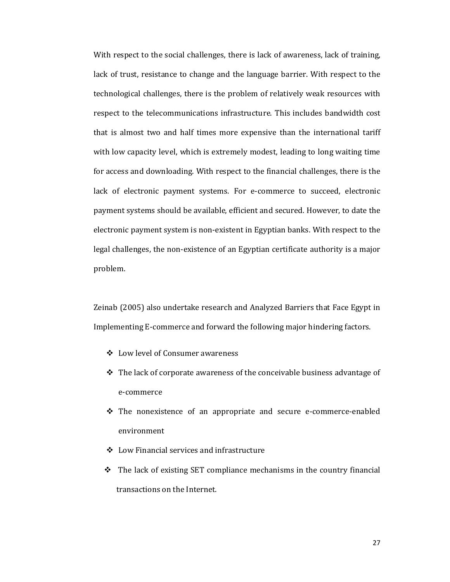With respect to the social challenges, there is lack of awareness, lack of training, lack of trust, resistance to change and the language barrier. With respect to the technological challenges, there is the problem of relatively weak resources with respect to the telecommunications infrastructure. This includes bandwidth cost that is almost two and half times more expensive than the international tariff with low capacity level, which is extremely modest, leading to long waiting time for access and downloading. With respect to the financial challenges, there is the lack of electronic payment systems. For e-commerce to succeed, electronic payment systems should be available, efficient and secured. However, to date the electronic payment system is non-existent in Egyptian banks. With respect to the legal challenges, the non-existence of an Egyptian certificate authority is a major problem.

Zeinab (2005) also undertake research and Analyzed Barriers that Face Egypt in Implementing E-commerce and forward the following major hindering factors.

- Low level of Consumer awareness
- $\div$  The lack of corporate awareness of the conceivable business advantage of e-commerce
- The nonexistence of an appropriate and secure e-commerce-enabled environment
- Low Financial services and infrastructure
- $\div$  The lack of existing SET compliance mechanisms in the country financial transactions on the Internet.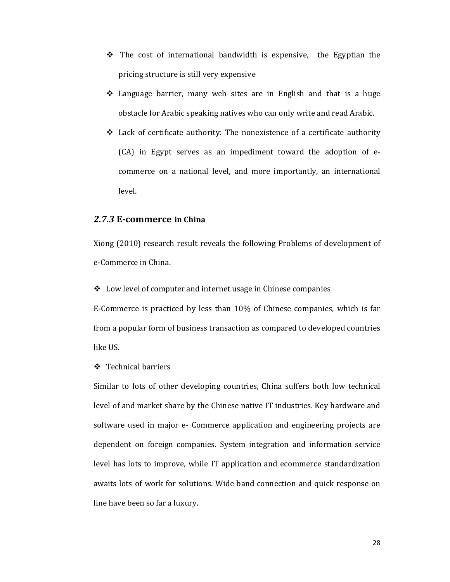- $\div$  The cost of international bandwidth is expensive, the Egyptian the pricing structure is still very expensive
- Language barrier, many web sites are in English and that is a huge obstacle for Arabic speaking natives who can only write and read Arabic.
- Lack of certificate authority: The nonexistence of a certificate authority (CA) in Egypt serves as an impediment toward the adoption of ecommerce on a national level, and more importantly, an international level.

# *2.7.3* **E-commerce in China**

Xiong (2010) research result reveals the following Problems of development of e-Commerce in China.

 $\triangleleft$  Low level of computer and internet usage in Chinese companies

E-Commerce is practiced by less than 10% of Chinese companies, which is far from a popular form of business transaction as compared to developed countries like US.

**❖** Technical barriers

Similar to lots of other developing countries, China suffers both low technical level of and market share by the Chinese native IT industries. Key hardware and software used in major e- Commerce application and engineering projects are dependent on foreign companies. System integration and information service level has lots to improve, while IT application and ecommerce standardization awaits lots of work for solutions. Wide band connection and quick response on line have been so far a luxury.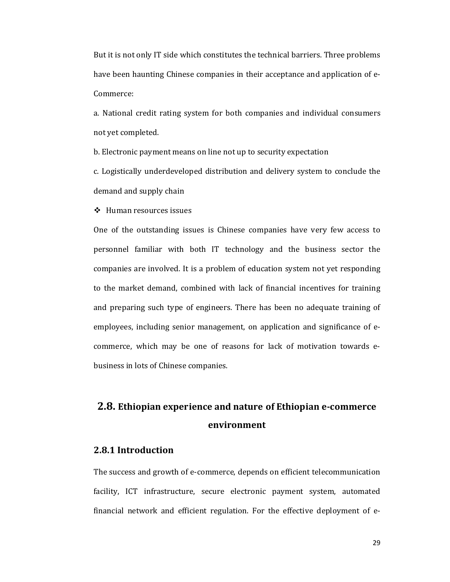But it is not only IT side which constitutes the technical barriers. Three problems have been haunting Chinese companies in their acceptance and application of e-Commerce:

a. National credit rating system for both companies and individual consumers not yet completed.

b. Electronic payment means on line not up to security expectation

c. Logistically underdeveloped distribution and delivery system to conclude the demand and supply chain

Human resources issues

One of the outstanding issues is Chinese companies have very few access to personnel familiar with both IT technology and the business sector the companies are involved. It is a problem of education system not yet responding to the market demand, combined with lack of financial incentives for training and preparing such type of engineers. There has been no adequate training of employees, including senior management, on application and significance of ecommerce, which may be one of reasons for lack of motivation towards ebusiness in lots of Chinese companies.

# **2.8. Ethiopian experience and nature of Ethiopian e-commerce environment**

# **2.8.1 Introduction**

The success and growth of e-commerce, depends on efficient telecommunication facility, ICT infrastructure, secure electronic payment system, automated financial network and efficient regulation. For the effective deployment of e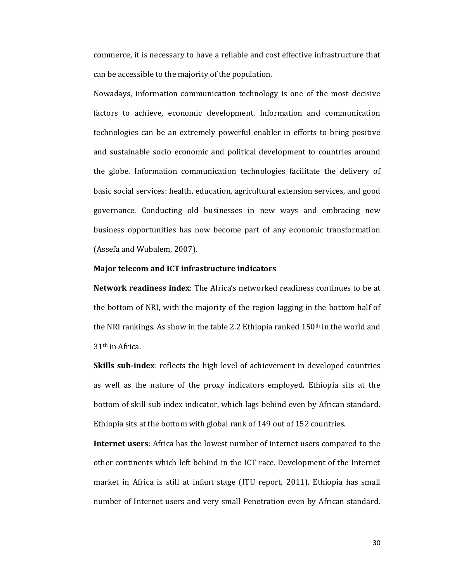commerce, it is necessary to have a reliable and cost effective infrastructure that can be accessible to the majority of the population.

Nowadays, information communication technology is one of the most decisive factors to achieve, economic development. Information and communication technologies can be an extremely powerful enabler in efforts to bring positive and sustainable socio economic and political development to countries around the globe. Information communication technologies facilitate the delivery of basic social services: health, education, agricultural extension services, and good governance. Conducting old businesses in new ways and embracing new business opportunities has now become part of any economic transformation (Assefa and Wubalem, 2007).

#### **Major telecom and ICT infrastructure indicators**

**Network readiness index**: The Africa's networked readiness continues to be at the bottom of NRI, with the majority of the region lagging in the bottom half of the NRI rankings. As show in the table 2.2 Ethiopia ranked 150<sup>th</sup> in the world and 31th in Africa.

**Skills sub-index**: reflects the high level of achievement in developed countries as well as the nature of the proxy indicators employed. Ethiopia sits at the bottom of skill sub index indicator, which lags behind even by African standard. Ethiopia sits at the bottom with global rank of 149 out of 152 countries.

**Internet users**: Africa has the lowest number of internet users compared to the other continents which left behind in the ICT race. Development of the Internet market in Africa is still at infant stage (ITU report, 2011). Ethiopia has small number of Internet users and very small Penetration even by African standard.

30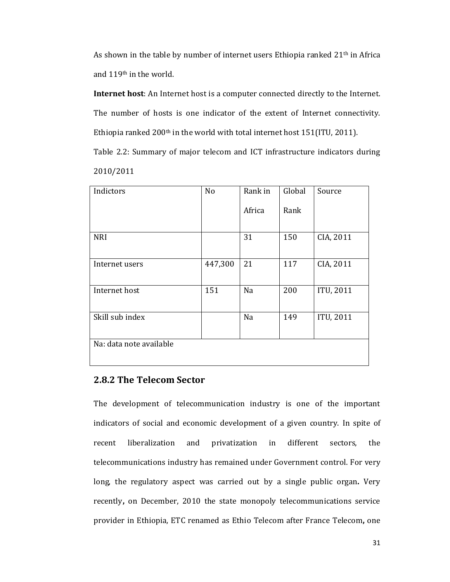As shown in the table by number of internet users Ethiopia ranked 21<sup>th</sup> in Africa and 119th in the world.

**Internet host**: An Internet host is a computer connected directly to the Internet. The number of hosts is one indicator of the extent of Internet connectivity. Ethiopia ranked 200<sup>th</sup> in the world with total internet host 151(ITU, 2011).

Table 2.2: Summary of major telecom and ICT infrastructure indicators during 2010/2011

| Indictors               | N <sub>o</sub> | Rank in | Global | Source           |
|-------------------------|----------------|---------|--------|------------------|
|                         |                | Africa  | Rank   |                  |
| <b>NRI</b>              |                | 31      | 150    | CIA, 2011        |
| Internet users          | 447,300        | 21      | 117    | CIA, 2011        |
| Internet host           | 151            | Na      | 200    | ITU, 2011        |
| Skill sub index         |                | Na      | 149    | <b>ITU, 2011</b> |
| Na: data note available |                |         |        |                  |

# **2.8.2 The Telecom Sector**

The development of telecommunication industry is one of the important indicators of social and economic development of a given country. In spite of recent liberalization and privatization in different sectors, the telecommunications industry has remained under Government control. For very long, the regulatory aspect was carried out by a single public organ**.** Very recently**,** on December, 2010 the state monopoly telecommunications service provider in Ethiopia, ETC renamed as Ethio Telecom after France Telecom**,** one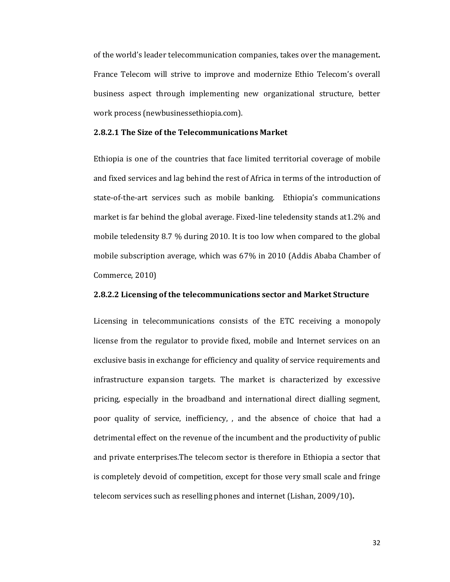of the world's leader telecommunication companies, takes over the management**.** France Telecom will strive to improve and modernize Ethio Telecom's overall business aspect through implementing new organizational structure, better work process (newbusinessethiopia.com).

# **2.8.2.1 The Size of the Telecommunications Market**

Ethiopia is one of the countries that face limited territorial coverage of mobile and fixed services and lag behind the rest of Africa in terms of the introduction of state-of-the-art services such as mobile banking. Ethiopia's communications market is far behind the global average. Fixed-line teledensity stands at1.2% and mobile teledensity 8.7 % during 2010. It is too low when compared to the global mobile subscription average, which was 67% in 2010 (Addis Ababa Chamber of Commerce, 2010)

#### **2.8.2.2 Licensing of the telecommunications sector and Market Structure**

Licensing in telecommunications consists of the ETC receiving a monopoly license from the regulator to provide fixed, mobile and Internet services on an exclusive basis in exchange for efficiency and quality of service requirements and infrastructure expansion targets. The market is characterized by excessive pricing, especially in the broadband and international direct dialling segment, poor quality of service, inefficiency, , and the absence of choice that had a detrimental effect on the revenue of the incumbent and the productivity of public and private enterprises.The telecom sector is therefore in Ethiopia a sector that is completely devoid of competition, except for those very small scale and fringe telecom services such as reselling phones and internet (Lishan, 2009/10)**.**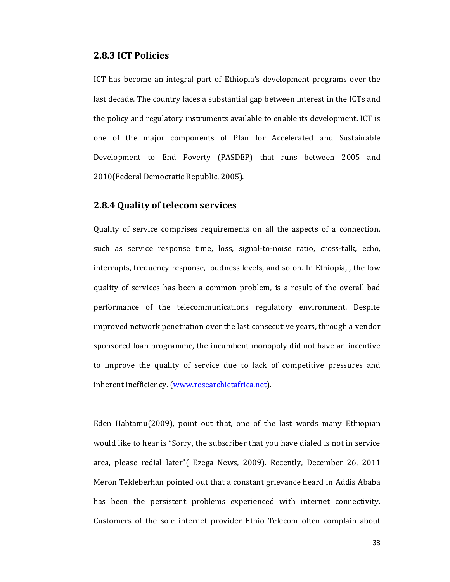# **2.8.3 ICT Policies**

ICT has become an integral part of Ethiopia's development programs over the last decade. The country faces a substantial gap between interest in the ICTs and the policy and regulatory instruments available to enable its development. ICT is one of the major components of Plan for Accelerated and Sustainable Development to End Poverty (PASDEP) that runs between 2005 and 2010(Federal Democratic Republic, 2005).

# **2.8.4 Quality of telecom services**

Quality of service comprises requirements on all the aspects of a connection, such as service response time, loss, signal-to-noise ratio, cross-talk, echo, interrupts, frequency response, loudness levels, and so on. In Ethiopia, , the low quality of services has been a common problem, is a result of the overall bad performance of the telecommunications regulatory environment. Despite improved network penetration over the last consecutive years, through a vendor sponsored loan programme, the incumbent monopoly did not have an incentive to improve the quality of service due to lack of competitive pressures and inherent inefficiency. (www.researchictafrica.net).

Eden Habtamu(2009), point out that, one of the last words many Ethiopian would like to hear is "Sorry, the subscriber that you have dialed is not in service area, please redial later"( Ezega News, 2009). Recently, December 26, 2011 Meron Tekleberhan pointed out that a constant grievance heard in Addis Ababa has been the persistent problems experienced with internet connectivity. Customers of the sole internet provider Ethio Telecom often complain about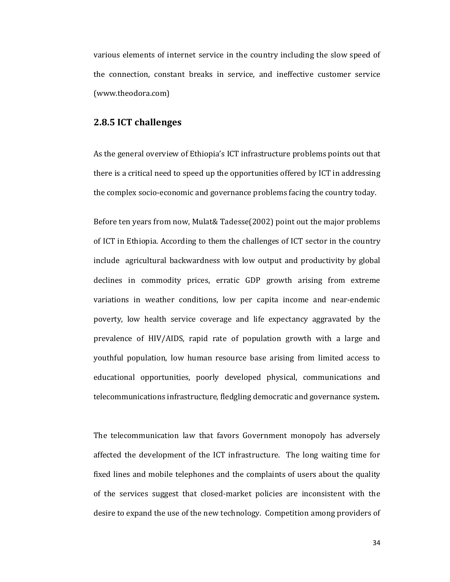various elements of internet service in the country including the slow speed of the connection, constant breaks in service, and ineffective customer service (www.theodora.com)

# **2.8.5 ICT challenges**

As the general overview of Ethiopia's ICT infrastructure problems points out that there is a critical need to speed up the opportunities offered by ICT in addressing the complex socio-economic and governance problems facing the country today.

Before ten years from now, Mulat& Tadesse(2002) point out the major problems of ICT in Ethiopia. According to them the challenges of ICT sector in the country include agricultural backwardness with low output and productivity by global declines in commodity prices, erratic GDP growth arising from extreme variations in weather conditions, low per capita income and near-endemic poverty, low health service coverage and life expectancy aggravated by the prevalence of HIV/AIDS, rapid rate of population growth with a large and youthful population, low human resource base arising from limited access to educational opportunities, poorly developed physical, communications and telecommunications infrastructure, fledgling democratic and governance system**.** 

The telecommunication law that favors Government monopoly has adversely affected the development of the ICT infrastructure. The long waiting time for fixed lines and mobile telephones and the complaints of users about the quality of the services suggest that closed-market policies are inconsistent with the desire to expand the use of the new technology. Competition among providers of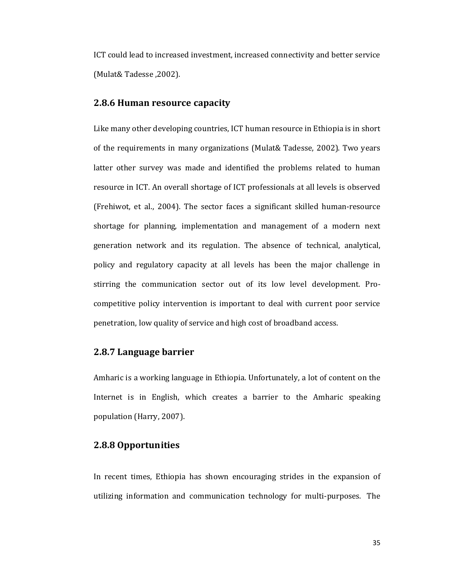ICT could lead to increased investment, increased connectivity and better service (Mulat& Tadesse ,2002).

## **2.8.6 Human resource capacity**

Like many other developing countries, ICT human resource in Ethiopia is in short of the requirements in many organizations (Mulat& Tadesse, 2002). Two years latter other survey was made and identified the problems related to human resource in ICT. An overall shortage of ICT professionals at all levels is observed (Frehiwot, et al., 2004). The sector faces a significant skilled human-resource shortage for planning, implementation and management of a modern next generation network and its regulation. The absence of technical, analytical, policy and regulatory capacity at all levels has been the major challenge in stirring the communication sector out of its low level development. Procompetitive policy intervention is important to deal with current poor service penetration, low quality of service and high cost of broadband access.

# **2.8.7 Language barrier**

Amharic is a working language in Ethiopia. Unfortunately, a lot of content on the Internet is in English, which creates a barrier to the Amharic speaking population (Harry, 2007).

# **2.8.8 Opportunities**

In recent times, Ethiopia has shown encouraging strides in the expansion of utilizing information and communication technology for multi-purposes. The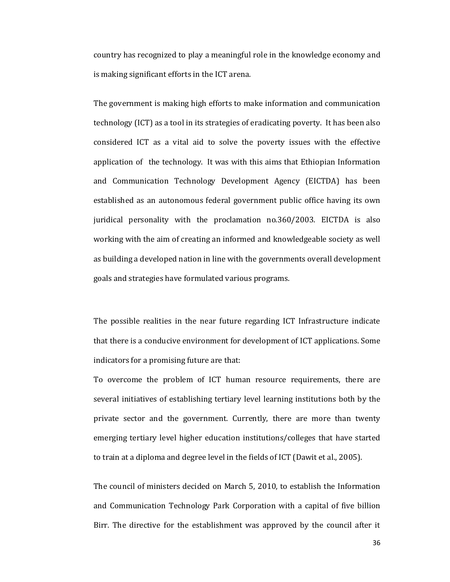country has recognized to play a meaningful role in the knowledge economy and is making significant efforts in the ICT arena.

The government is making high efforts to make information and communication technology (ICT) as a tool in its strategies of eradicating poverty. It has been also considered ICT as a vital aid to solve the poverty issues with the effective application of the technology. It was with this aims that Ethiopian Information and Communication Technology Development Agency (EICTDA) has been established as an autonomous federal government public office having its own juridical personality with the proclamation no.360/2003. EICTDA is also working with the aim of creating an informed and knowledgeable society as well as building a developed nation in line with the governments overall development goals and strategies have formulated various programs.

The possible realities in the near future regarding ICT Infrastructure indicate that there is a conducive environment for development of ICT applications. Some indicators for a promising future are that:

To overcome the problem of ICT human resource requirements, there are several initiatives of establishing tertiary level learning institutions both by the private sector and the government. Currently, there are more than twenty emerging tertiary level higher education institutions/colleges that have started to train at a diploma and degree level in the fields of ICT (Dawit et al., 2005).

The council of ministers decided on March 5, 2010, to establish the Information and Communication Technology Park Corporation with a capital of five billion Birr. The directive for the establishment was approved by the council after it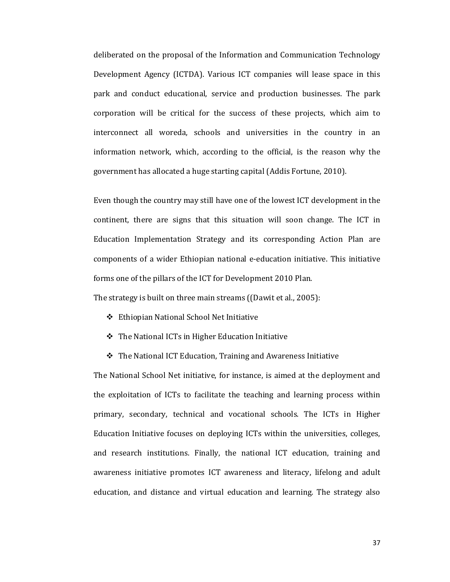deliberated on the proposal of the Information and Communication Technology Development Agency (ICTDA). Various ICT companies will lease space in this park and conduct educational, service and production businesses. The park corporation will be critical for the success of these projects, which aim to interconnect all woreda, schools and universities in the country in an information network, which, according to the official, is the reason why the government has allocated a huge starting capital (Addis Fortune, 2010).

Even though the country may still have one of the lowest ICT development in the continent, there are signs that this situation will soon change. The ICT in Education Implementation Strategy and its corresponding Action Plan are components of a wider Ethiopian national e-education initiative. This initiative forms one of the pillars of the ICT for Development 2010 Plan.

The strategy is built on three main streams ((Dawit et al., 2005):

- Ethiopian National School Net Initiative
- The National ICTs in Higher Education Initiative
- $\triangle$  The National ICT Education, Training and Awareness Initiative

The National School Net initiative, for instance, is aimed at the deployment and the exploitation of ICTs to facilitate the teaching and learning process within primary, secondary, technical and vocational schools. The ICTs in Higher Education Initiative focuses on deploying ICTs within the universities, colleges, and research institutions. Finally, the national ICT education, training and awareness initiative promotes ICT awareness and literacy, lifelong and adult education, and distance and virtual education and learning. The strategy also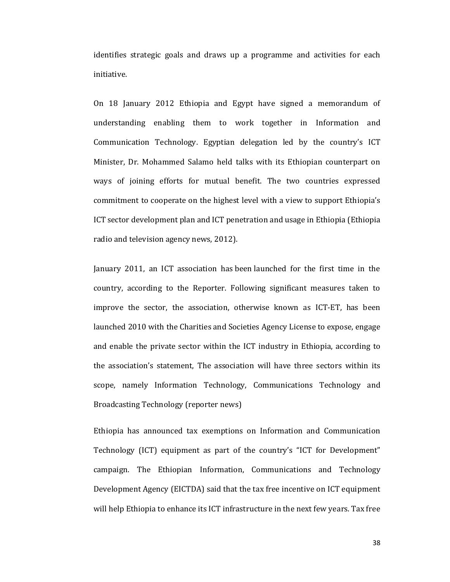identifies strategic goals and draws up a programme and activities for each initiative.

On 18 January 2012 Ethiopia and Egypt have signed a memorandum of understanding enabling them to work together in Information and Communication Technology. Egyptian delegation led by the country's ICT Minister, Dr. Mohammed Salamo held talks with its Ethiopian counterpart on ways of joining efforts for mutual benefit. The two countries expressed commitment to cooperate on the highest level with a view to support Ethiopia's ICT sector development plan and ICT penetration and usage in Ethiopia (Ethiopia radio and television agency news, 2012).

January 2011, an ICT association has been launched for the first time in the country, according to the Reporter. Following significant measures taken to improve the sector, the association, otherwise known as ICT-ET, has been launched 2010 with the Charities and Societies Agency License to expose, engage and enable the private sector within the ICT industry in Ethiopia, according to the association's statement, The association will have three sectors within its scope, namely Information Technology, Communications Technology and Broadcasting Technology (reporter news)

Ethiopia has announced tax exemptions on Information and Communication Technology (ICT) equipment as part of the country's "ICT for Development" campaign. The Ethiopian Information, Communications and Technology Development Agency (EICTDA) said that the tax free incentive on ICT equipment will help Ethiopia to enhance its ICT infrastructure in the next few years. Tax free

38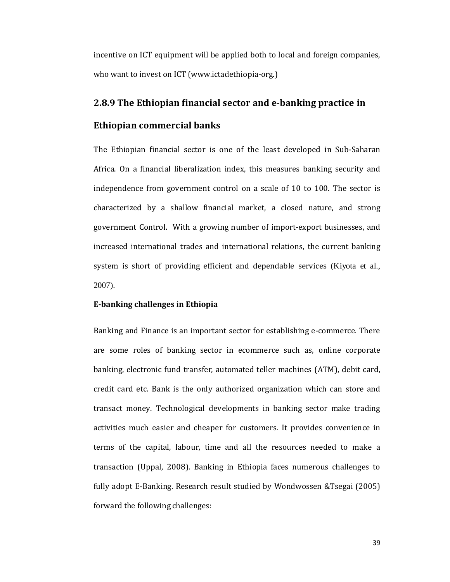incentive on ICT equipment will be applied both to local and foreign companies, who want to invest on ICT (www.ictadethiopia-org.)

# **2.8.9 The Ethiopian financial sector and e-banking practice in Ethiopian commercial banks**

The Ethiopian financial sector is one of the least developed in Sub-Saharan Africa. On a financial liberalization index, this measures banking security and independence from government control on a scale of 10 to 100. The sector is characterized by a shallow financial market, a closed nature, and strong government Control. With a growing number of import-export businesses, and increased international trades and international relations, the current banking system is short of providing efficient and dependable services (Kiyota et al., 2007).

#### **E-banking challenges in Ethiopia**

Banking and Finance is an important sector for establishing e-commerce. There are some roles of banking sector in ecommerce such as, online corporate banking, electronic fund transfer, automated teller machines (ATM), debit card, credit card etc. Bank is the only authorized organization which can store and transact money. Technological developments in banking sector make trading activities much easier and cheaper for customers. It provides convenience in terms of the capital, labour, time and all the resources needed to make a transaction (Uppal, 2008). Banking in Ethiopia faces numerous challenges to fully adopt E-Banking. Research result studied by Wondwossen &Tsegai (2005) forward the following challenges: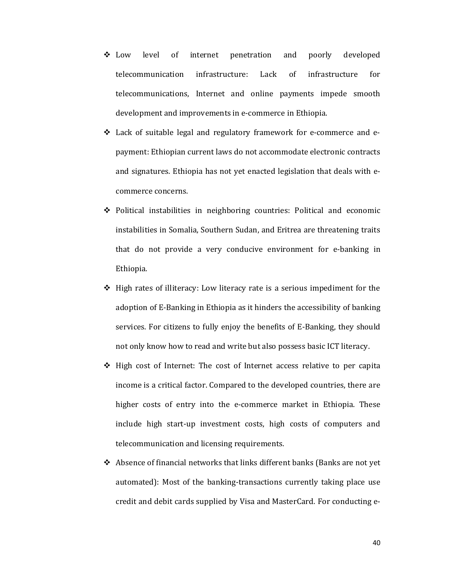- Low level of internet penetration and poorly developed telecommunication infrastructure: Lack of infrastructure for telecommunications, Internet and online payments impede smooth development and improvements in e-commerce in Ethiopia.
- $\div$  Lack of suitable legal and regulatory framework for e-commerce and epayment: Ethiopian current laws do not accommodate electronic contracts and signatures. Ethiopia has not yet enacted legislation that deals with ecommerce concerns.
- $\div$  Political instabilities in neighboring countries: Political and economic instabilities in Somalia, Southern Sudan, and Eritrea are threatening traits that do not provide a very conducive environment for e-banking in Ethiopia.
- $\div$  High rates of illiteracy: Low literacy rate is a serious impediment for the adoption of E-Banking in Ethiopia as it hinders the accessibility of banking services. For citizens to fully enjoy the benefits of E-Banking, they should not only know how to read and write but also possess basic ICT literacy.
- $\div$  High cost of Internet: The cost of Internet access relative to per capita income is a critical factor. Compared to the developed countries, there are higher costs of entry into the e-commerce market in Ethiopia. These include high start-up investment costs, high costs of computers and telecommunication and licensing requirements.
- $\triangle$  Absence of financial networks that links different banks (Banks are not yet automated): Most of the banking-transactions currently taking place use credit and debit cards supplied by Visa and MasterCard. For conducting e-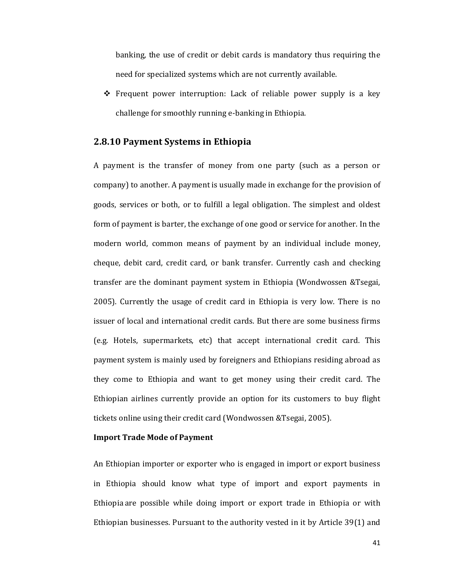banking, the use of credit or debit cards is mandatory thus requiring the need for specialized systems which are not currently available.

 $\div$  Frequent power interruption: Lack of reliable power supply is a key challenge for smoothly running e-banking in Ethiopia.

# **2.8.10 Payment Systems in Ethiopia**

A payment is the transfer of money from one party (such as a person or company) to another. A payment is usually made in exchange for the provision of goods, services or both, or to fulfill a legal obligation. The simplest and oldest form of payment is barter, the exchange of one good or service for another. In the modern world, common means of payment by an individual include money, cheque, debit card, credit card, or bank transfer. Currently cash and checking transfer are the dominant payment system in Ethiopia (Wondwossen &Tsegai, 2005). Currently the usage of credit card in Ethiopia is very low. There is no issuer of local and international credit cards. But there are some business firms (e.g. Hotels, supermarkets, etc) that accept international credit card. This payment system is mainly used by foreigners and Ethiopians residing abroad as they come to Ethiopia and want to get money using their credit card. The Ethiopian airlines currently provide an option for its customers to buy flight tickets online using their credit card (Wondwossen &Tsegai, 2005).

### **Import Trade Mode of Payment**

An Ethiopian importer or exporter who is engaged in import or export business in Ethiopia should know what type of import and export payments in Ethiopia are possible while doing import or export trade in Ethiopia or with Ethiopian businesses. Pursuant to the authority vested in it by Article 39(1) and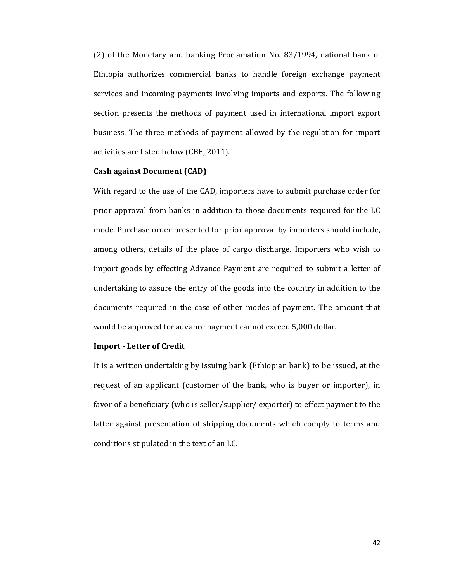(2) of the Monetary and banking Proclamation No. 83/1994, national bank of Ethiopia authorizes commercial banks to handle foreign exchange payment services and incoming payments involving imports and exports. The following section presents the methods of payment used in international import export business. The three methods of payment allowed by the regulation for import activities are listed below (CBE, 2011).

## **Cash against Document (CAD)**

With regard to the use of the CAD, importers have to submit purchase order for prior approval from banks in addition to those documents required for the LC mode. Purchase order presented for prior approval by importers should include, among others, details of the place of cargo discharge. Importers who wish to import goods by effecting Advance Payment are required to submit a letter of undertaking to assure the entry of the goods into the country in addition to the documents required in the case of other modes of payment. The amount that would be approved for advance payment cannot exceed 5,000 dollar.

#### **Import - Letter of Credit**

It is a written undertaking by issuing bank (Ethiopian bank) to be issued, at the request of an applicant (customer of the bank, who is buyer or importer), in favor of a beneficiary (who is seller/supplier/ exporter) to effect payment to the latter against presentation of shipping documents which comply to terms and conditions stipulated in the text of an LC.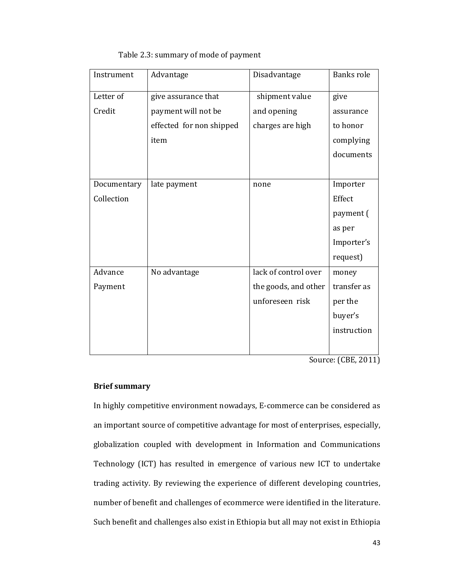| Instrument  | Advantage                | Disadvantage         | <b>Banks role</b> |
|-------------|--------------------------|----------------------|-------------------|
| Letter of   | give assurance that      | shipment value       | give              |
| Credit      | payment will not be      | and opening          | assurance         |
|             | effected for non shipped | charges are high     | to honor          |
|             | item                     |                      | complying         |
|             |                          |                      | documents         |
|             |                          |                      |                   |
| Documentary | late payment             | none                 | Importer          |
| Collection  |                          |                      | Effect            |
|             |                          |                      | payment (         |
|             |                          |                      | as per            |
|             |                          |                      | Importer's        |
|             |                          |                      | request)          |
| Advance     | No advantage             | lack of control over | money             |
| Payment     |                          | the goods, and other | transfer as       |
|             |                          | unforeseen risk      | per the           |
|             |                          |                      | buyer's           |
|             |                          |                      | instruction       |
|             |                          |                      |                   |

Source: (CBE, 2011)

# **Brief summary**

In highly competitive environment nowadays, E-commerce can be considered as an important source of competitive advantage for most of enterprises, especially, globalization coupled with development in Information and Communications Technology (ICT) has resulted in emergence of various new ICT to undertake trading activity. By reviewing the experience of different developing countries, number of benefit and challenges of ecommerce were identified in the literature. Such benefit and challenges also exist in Ethiopia but all may not exist in Ethiopia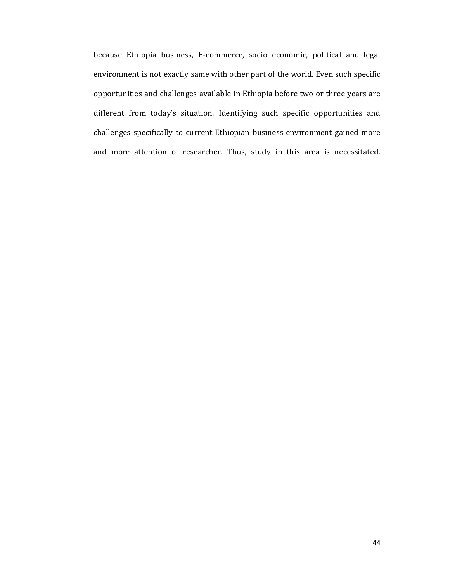because Ethiopia business, E-commerce, socio economic, political and legal environment is not exactly same with other part of the world. Even such specific opportunities and challenges available in Ethiopia before two or three years are different from today's situation. Identifying such specific opportunities and challenges specifically to current Ethiopian business environment gained more and more attention of researcher. Thus, study in this area is necessitated.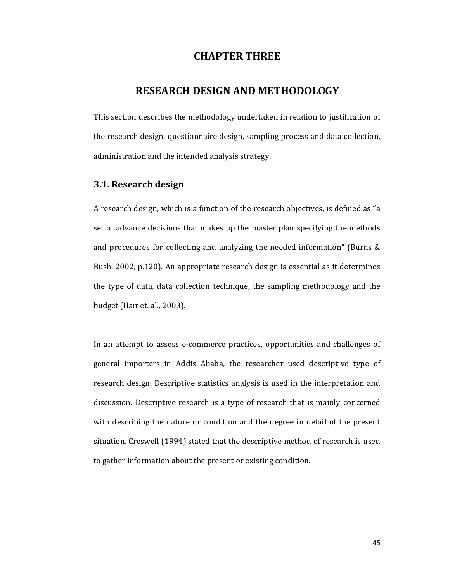# **CHAPTER THREE**

# **RESEARCH DESIGN AND METHODOLOGY**

This section describes the methodology undertaken in relation to justification of the research design, questionnaire design, sampling process and data collection, administration and the intended analysis strategy.

# **3.1. Research design**

A research design, which is a function of the research objectives, is defined as "a set of advance decisions that makes up the master plan specifying the methods and procedures for collecting and analyzing the needed information" (Burns & Bush, 2002, p.120). An appropriate research design is essential as it determines the type of data, data collection technique, the sampling methodology and the budget (Hair et. al., 2003).

In an attempt to assess e-commerce practices, opportunities and challenges of general importers in Addis Ababa, the researcher used descriptive type of research design. Descriptive statistics analysis is used in the interpretation and discussion. Descriptive research is a type of research that is mainly concerned with describing the nature or condition and the degree in detail of the present situation. Creswell (1994) stated that the descriptive method of research is used to gather information about the present or existing condition.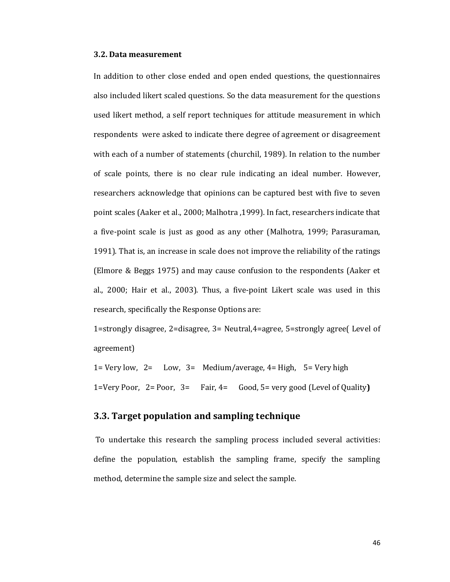#### **3.2. Data measurement**

In addition to other close ended and open ended questions, the questionnaires also included likert scaled questions. So the data measurement for the questions used likert method, a self report techniques for attitude measurement in which respondents were asked to indicate there degree of agreement or disagreement with each of a number of statements (churchil, 1989). In relation to the number of scale points, there is no clear rule indicating an ideal number. However, researchers acknowledge that opinions can be captured best with five to seven point scales (Aaker et al., 2000; Malhotra ,1999). In fact, researchers indicate that a five-point scale is just as good as any other (Malhotra, 1999; Parasuraman, 1991). That is, an increase in scale does not improve the reliability of the ratings (Elmore & Beggs 1975) and may cause confusion to the respondents (Aaker et al., 2000; Hair et al., 2003). Thus, a five-point Likert scale was used in this research, specifically the Response Options are:

1=strongly disagree, 2=disagree, 3= Neutral,4=agree, 5=strongly agree( Level of agreement)

1= Very low,  $2=$  Low,  $3=$  Medium/average,  $4=$  High,  $5=$  Very high 1=Very Poor, 2= Poor, 3= Fair, 4= Good, 5= very good (Level of Quality**)**

# **3.3. Target population and sampling technique**

To undertake this research the sampling process included several activities: define the population, establish the sampling frame, specify the sampling method, determine the sample size and select the sample.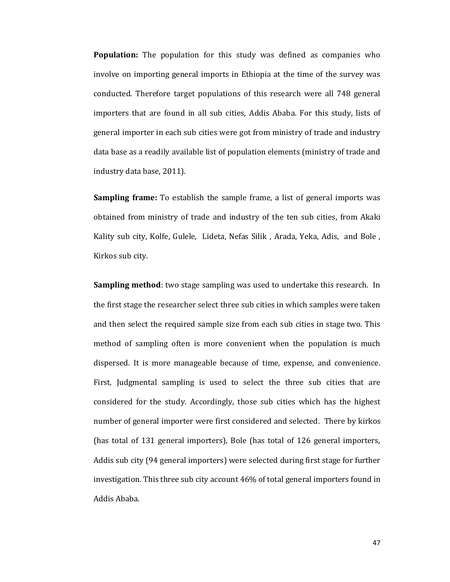**Population:** The population for this study was defined as companies who involve on importing general imports in Ethiopia at the time of the survey was conducted. Therefore target populations of this research were all 748 general importers that are found in all sub cities, Addis Ababa. For this study, lists of general importer in each sub cities were got from ministry of trade and industry data base as a readily available list of population elements (ministry of trade and industry data base, 2011).

**Sampling frame:** To establish the sample frame, a list of general imports was obtained from ministry of trade and industry of the ten sub cities, from Akaki Kality sub city, Kolfe, Gulele, Lideta, Nefas Silik , Arada, Yeka, Adis, and Bole , Kirkos sub city.

**Sampling method**: two stage sampling was used to undertake this research. In the first stage the researcher select three sub cities in which samples were taken and then select the required sample size from each sub cities in stage two. This method of sampling often is more convenient when the population is much dispersed. It is more manageable because of time, expense, and convenience. First, Judgmental sampling is used to select the three sub cities that are considered for the study. Accordingly, those sub cities which has the highest number of general importer were first considered and selected. There by kirkos (has total of 131 general importers), Bole (has total of 126 general importers, Addis sub city (94 general importers) were selected during first stage for further investigation. This three sub city account 46% of total general importers found in Addis Ababa.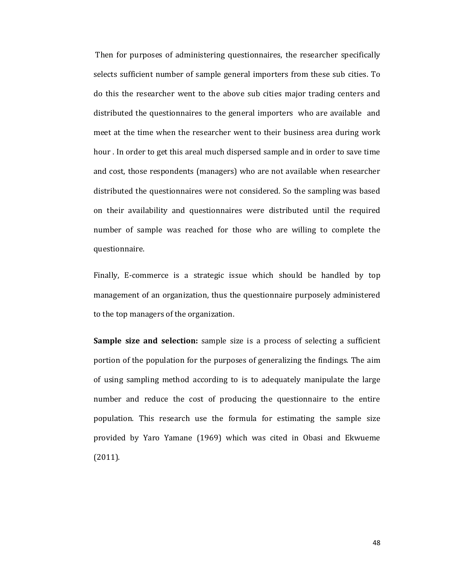Then for purposes of administering questionnaires, the researcher specifically selects sufficient number of sample general importers from these sub cities. To do this the researcher went to the above sub cities major trading centers and distributed the questionnaires to the general importers who are available and meet at the time when the researcher went to their business area during work hour . In order to get this areal much dispersed sample and in order to save time and cost, those respondents (managers) who are not available when researcher distributed the questionnaires were not considered. So the sampling was based on their availability and questionnaires were distributed until the required number of sample was reached for those who are willing to complete the questionnaire.

Finally, E-commerce is a strategic issue which should be handled by top management of an organization, thus the questionnaire purposely administered to the top managers of the organization.

**Sample size and selection:** sample size is a process of selecting a sufficient portion of the population for the purposes of generalizing the findings. The aim of using sampling method according to is to adequately manipulate the large number and reduce the cost of producing the questionnaire to the entire population. This research use the formula for estimating the sample size provided by Yaro Yamane (1969) which was cited in Obasi and Ekwueme (2011).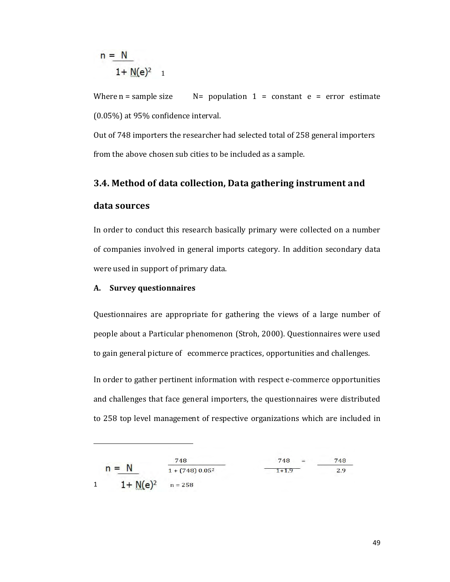$$
n = \frac{N}{1 + M(e)^2}
$$

Where  $n =$  sample size  $N =$  population  $1 =$  constant  $e =$  error estimate (0.05%) at 95% confidence interval.

Out of 748 importers the researcher had selected total of 258 general importers from the above chosen sub cities to be included as a sample.

# **3.4. Method of data collection, Data gathering instrument and data sources**

In order to conduct this research basically primary were collected on a number of companies involved in general imports category. In addition secondary data were used in support of primary data.

## **A. Survey questionnaires**

-

Questionnaires are appropriate for gathering the views of a large number of people about a Particular phenomenon (Stroh, 2000). Questionnaires were used to gain general picture of ecommerce practices, opportunities and challenges.

In order to gather pertinent information with respect e-commerce opportunities and challenges that face general importers, the questionnaires were distributed to 258 top level management of respective organizations which are included in

|   |              | 748               | 748<br>$=$ | 748 |  |
|---|--------------|-------------------|------------|-----|--|
|   | $n = N$      | $1 + (748) 0.052$ | $1 + 1.9$  | 2.9 |  |
| 1 | $1 + N(e)^2$ | $n = 258$         |            |     |  |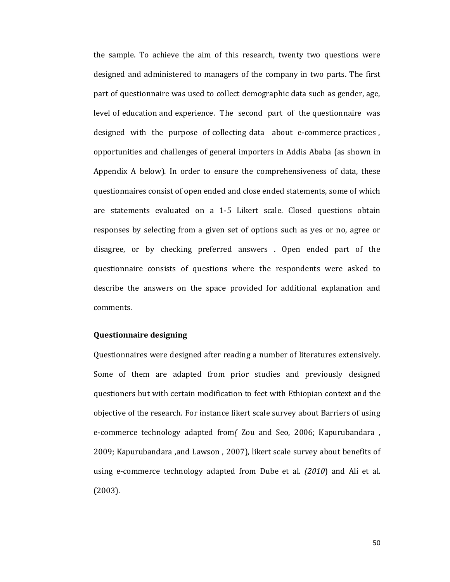the sample. To achieve the aim of this research, twenty two questions were designed and administered to managers of the company in two parts. The first part of questionnaire was used to collect demographic data such as gender, age, level of education and experience. The second part of the questionnaire was designed with the purpose of collecting data about e-commerce practices , opportunities and challenges of general importers in Addis Ababa (as shown in Appendix A below). In order to ensure the comprehensiveness of data, these questionnaires consist of open ended and close ended statements, some of which are statements evaluated on a 1-5 Likert scale. Closed questions obtain responses by selecting from a given set of options such as yes or no, agree or disagree, or by checking preferred answers . Open ended part of the questionnaire consists of questions where the respondents were asked to describe the answers on the space provided for additional explanation and comments.

#### **Questionnaire designing**

Questionnaires were designed after reading a number of literatures extensively. Some of them are adapted from prior studies and previously designed questioners but with certain modification to feet with Ethiopian context and the objective of the research. For instance likert scale survey about Barriers of using e-commerce technology adapted from*(* Zou and Seo, 2006; Kapurubandara , 2009; Kapurubandara ,and Lawson , 2007), likert scale survey about benefits of using e-commerce technology adapted from Dube et al*. (2010*) and Ali et al. (2003).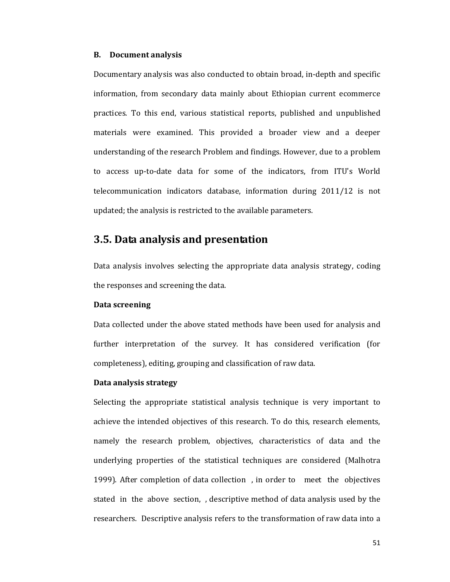#### **B. Document analysis**

Documentary analysis was also conducted to obtain broad, in-depth and specific information, from secondary data mainly about Ethiopian current ecommerce practices. To this end, various statistical reports, published and unpublished materials were examined. This provided a broader view and a deeper understanding of the research Problem and findings. However, due to a problem to access up-to-date data for some of the indicators, from ITU's World telecommunication indicators database, information during 2011/12 is not updated; the analysis is restricted to the available parameters.

# **3.5. Data analysis and presentation**

Data analysis involves selecting the appropriate data analysis strategy, coding the responses and screening the data.

#### **Data screening**

Data collected under the above stated methods have been used for analysis and further interpretation of the survey. It has considered verification (for completeness), editing, grouping and classification of raw data.

#### **Data analysis strategy**

Selecting the appropriate statistical analysis technique is very important to achieve the intended objectives of this research. To do this, research elements, namely the research problem, objectives, characteristics of data and the underlying properties of the statistical techniques are considered (Malhotra 1999). After completion of data collection , in order to meet the objectives stated in the above section, , descriptive method of data analysis used by the researchers. Descriptive analysis refers to the transformation of raw data into a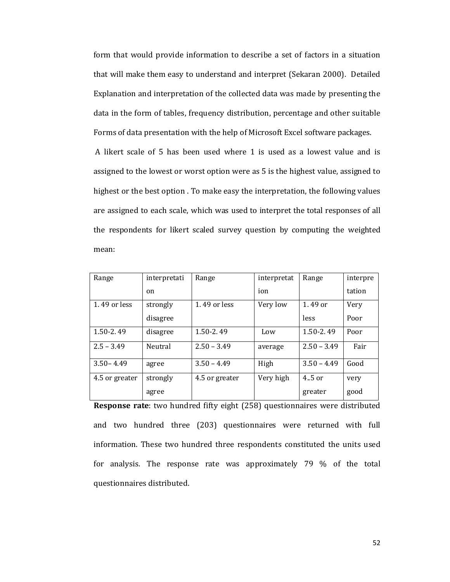form that would provide information to describe a set of factors in a situation that will make them easy to understand and interpret (Sekaran 2000). Detailed Explanation and interpretation of the collected data was made by presenting the data in the form of tables, frequency distribution, percentage and other suitable Forms of data presentation with the help of Microsoft Excel software packages.

 A likert scale of 5 has been used where 1 is used as a lowest value and is assigned to the lowest or worst option were as 5 is the highest value, assigned to highest or the best option . To make easy the interpretation, the following values are assigned to each scale, which was used to interpret the total responses of all the respondents for likert scaled survey question by computing the weighted mean:

| Range          | interpretati | Range          | interpretat | Range         | interpre |
|----------------|--------------|----------------|-------------|---------------|----------|
|                | on           |                | ion         |               | tation   |
| 1.49 or less   | strongly     | 1.49 or less   | Very low    | 1.49 or       | Very     |
|                | disagree     |                |             | less          | Poor     |
| $1.50 - 2.49$  | disagree     | 1.50-2.49      | Low         | $1.50 - 2.49$ | Poor     |
| $2.5 - 3.49$   | Neutral      | $2.50 - 3.49$  | average     | $2.50 - 3.49$ | Fair     |
| $3.50 - 4.49$  | agree        | $3.50 - 4.49$  | High        | $3.50 - 4.49$ | Good     |
| 4.5 or greater | strongly     | 4.5 or greater | Very high   | $4.5$ or      | very     |
|                | agree        |                |             | greater       | good     |

**Response rate**: two hundred fifty eight (258) questionnaires were distributed and two hundred three (203) questionnaires were returned with full information. These two hundred three respondents constituted the units used for analysis. The response rate was approximately 79 % of the total questionnaires distributed.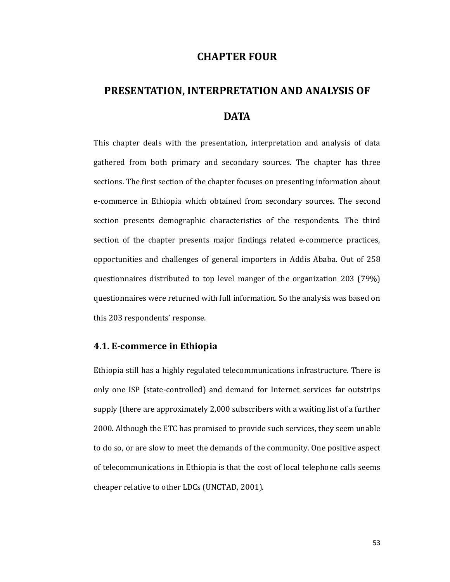# **CHAPTER FOUR**

# **PRESENTATION, INTERPRETATION AND ANALYSIS OF DATA**

This chapter deals with the presentation, interpretation and analysis of data gathered from both primary and secondary sources. The chapter has three sections. The first section of the chapter focuses on presenting information about e-commerce in Ethiopia which obtained from secondary sources. The second section presents demographic characteristics of the respondents. The third section of the chapter presents major findings related e-commerce practices, opportunities and challenges of general importers in Addis Ababa. Out of 258 questionnaires distributed to top level manger of the organization 203 (79%) questionnaires were returned with full information. So the analysis was based on this 203 respondents' response.

### **4.1. E-commerce in Ethiopia**

Ethiopia still has a highly regulated telecommunications infrastructure. There is only one ISP (state-controlled) and demand for Internet services far outstrips supply (there are approximately 2,000 subscribers with a waiting list of a further 2000. Although the ETC has promised to provide such services, they seem unable to do so, or are slow to meet the demands of the community. One positive aspect of telecommunications in Ethiopia is that the cost of local telephone calls seems cheaper relative to other LDCs (UNCTAD, 2001).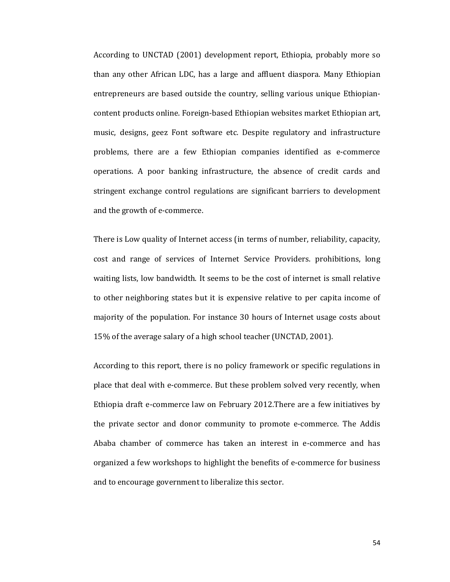According to UNCTAD (2001) development report, Ethiopia, probably more so than any other African LDC, has a large and affluent diaspora. Many Ethiopian entrepreneurs are based outside the country, selling various unique Ethiopiancontent products online. Foreign-based Ethiopian websites market Ethiopian art, music, designs, geez Font software etc. Despite regulatory and infrastructure problems, there are a few Ethiopian companies identified as e-commerce operations. A poor banking infrastructure, the absence of credit cards and stringent exchange control regulations are significant barriers to development and the growth of e-commerce.

There is Low quality of Internet access (in terms of number, reliability, capacity, cost and range of services of Internet Service Providers. prohibitions, long waiting lists, low bandwidth. It seems to be the cost of internet is small relative to other neighboring states but it is expensive relative to per capita income of majority of the population. For instance 30 hours of Internet usage costs about 15% of the average salary of a high school teacher (UNCTAD, 2001).

According to this report, there is no policy framework or specific regulations in place that deal with e-commerce. But these problem solved very recently, when Ethiopia draft e-commerce law on February 2012.There are a few initiatives by the private sector and donor community to promote e-commerce. The Addis Ababa chamber of commerce has taken an interest in e-commerce and has organized a few workshops to highlight the benefits of e-commerce for business and to encourage government to liberalize this sector.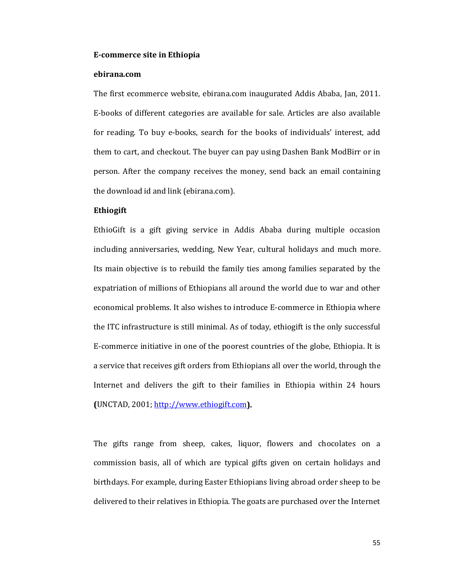#### **E-commerce site in Ethiopia**

#### **ebirana.com**

The first ecommerce website, ebirana.com inaugurated Addis Ababa, Jan, 2011. E-books of different categories are available for sale. Articles are also available for reading. To buy e-books, search for the books of individuals' interest, add them to cart, and checkout. The buyer can pay using Dashen Bank ModBirr or in person. After the company receives the money, send back an email containing the download id and link (ebirana.com).

### **Ethiogift**

EthioGift is a gift giving service in Addis Ababa during multiple occasion including anniversaries, wedding, New Year, cultural holidays and much more. Its main objective is to rebuild the family ties among families separated by the expatriation of millions of Ethiopians all around the world due to war and other economical problems. It also wishes to introduce E-commerce in Ethiopia where the ITC infrastructure is still minimal. As of today, ethiogift is the only successful E-commerce initiative in one of the poorest countries of the globe, Ethiopia. It is a service that receives gift orders from Ethiopians all over the world, through the Internet and delivers the gift to their families in Ethiopia within 24 hours **(**UNCTAD, 2001; http://www.ethiogift.com**).**

The gifts range from sheep, cakes, liquor, flowers and chocolates on a commission basis, all of which are typical gifts given on certain holidays and birthdays. For example, during Easter Ethiopians living abroad order sheep to be delivered to their relatives in Ethiopia. The goats are purchased over the Internet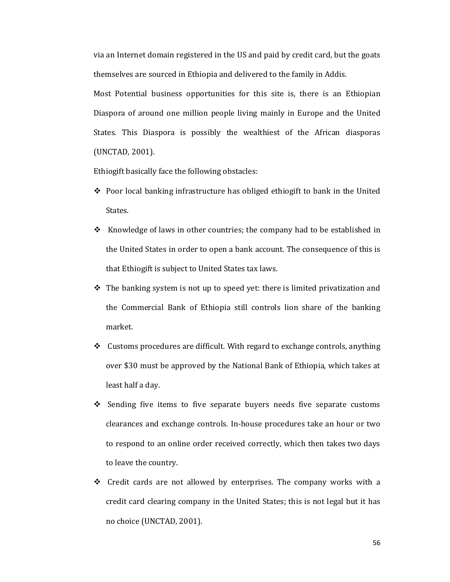via an Internet domain registered in the US and paid by credit card, but the goats themselves are sourced in Ethiopia and delivered to the family in Addis.

Most Potential business opportunities for this site is, there is an Ethiopian Diaspora of around one million people living mainly in Europe and the United States. This Diaspora is possibly the wealthiest of the African diasporas (UNCTAD, 2001).

Ethiogift basically face the following obstacles:

- $\div$  Poor local banking infrastructure has obliged ethiogift to bank in the United States.
- $\cdot$  Knowledge of laws in other countries; the company had to be established in the United States in order to open a bank account. The consequence of this is that Ethiogift is subject to United States tax laws.
- $\div$  The banking system is not up to speed yet: there is limited privatization and the Commercial Bank of Ethiopia still controls lion share of the banking market.
- $\div$  Customs procedures are difficult. With regard to exchange controls, anything over \$30 must be approved by the National Bank of Ethiopia, which takes at least half a day.
- $\div$  Sending five items to five separate buyers needs five separate customs clearances and exchange controls. In-house procedures take an hour or two to respond to an online order received correctly, which then takes two days to leave the country.
- $\div$  Credit cards are not allowed by enterprises. The company works with a credit card clearing company in the United States; this is not legal but it has no choice (UNCTAD, 2001).

56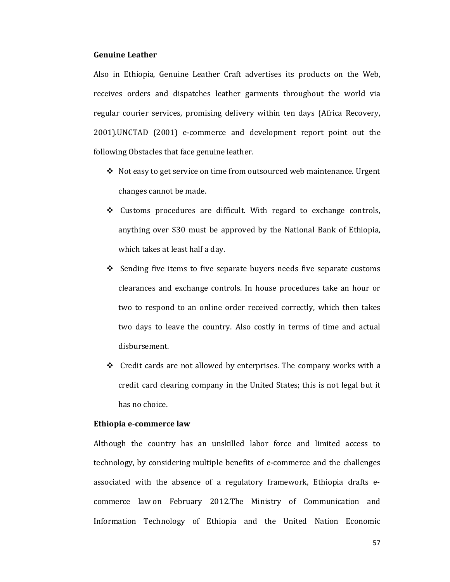#### **Genuine Leather**

Also in Ethiopia, Genuine Leather Craft advertises its products on the Web, receives orders and dispatches leather garments throughout the world via regular courier services, promising delivery within ten days (Africa Recovery, 2001).UNCTAD (2001) e-commerce and development report point out the following Obstacles that face genuine leather.

- Not easy to get service on time from outsourced web maintenance. Urgent changes cannot be made.
- Customs procedures are difficult. With regard to exchange controls, anything over \$30 must be approved by the National Bank of Ethiopia, which takes at least half a day.
- $\div$  Sending five items to five separate buyers needs five separate customs clearances and exchange controls. In house procedures take an hour or two to respond to an online order received correctly, which then takes two days to leave the country. Also costly in terms of time and actual disbursement.
- $\div$  Credit cards are not allowed by enterprises. The company works with a credit card clearing company in the United States; this is not legal but it has no choice.

#### **Ethiopia e-commerce law**

Although the country has an unskilled labor force and limited access to technology, by considering multiple benefits of e-commerce and the challenges associated with the absence of a regulatory framework, Ethiopia drafts ecommerce law on February 2012.The Ministry of Communication and Information Technology of Ethiopia and the United Nation Economic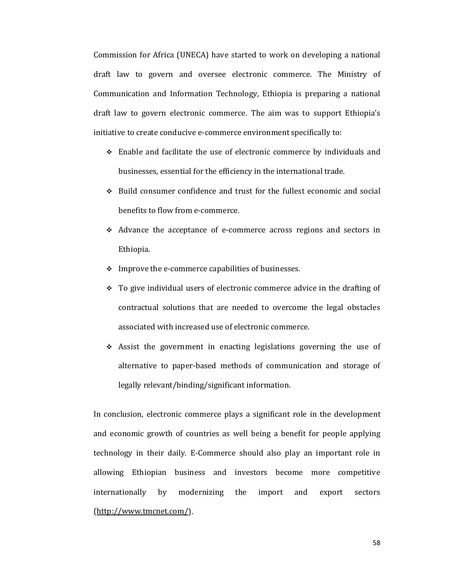Commission for Africa (UNECA) have started to work on developing a national draft law to govern and oversee electronic commerce. The Ministry of Communication and Information Technology, Ethiopia is preparing a national draft law to govern electronic commerce. The aim was to support Ethiopia's initiative to create conducive e-commerce environment specifically to:

- Enable and facilitate the use of electronic commerce by individuals and businesses, essential for the efficiency in the international trade.
- $\div$  Build consumer confidence and trust for the fullest economic and social benefits to flow from e-commerce.
- Advance the acceptance of e-commerce across regions and sectors in Ethiopia.
- $\div$  Improve the e-commerce capabilities of businesses.
- To give individual users of electronic commerce advice in the drafting of contractual solutions that are needed to overcome the legal obstacles associated with increased use of electronic commerce.
- $\div$  Assist the government in enacting legislations governing the use of alternative to paper-based methods of communication and storage of legally relevant/binding/significant information.

In conclusion, electronic commerce plays a significant role in the development and economic growth of countries as well being a benefit for people applying technology in their daily. E-Commerce should also play an important role in allowing Ethiopian business and investors become more competitive internationally by modernizing the import and export sectors (http://www.tmcnet.com/).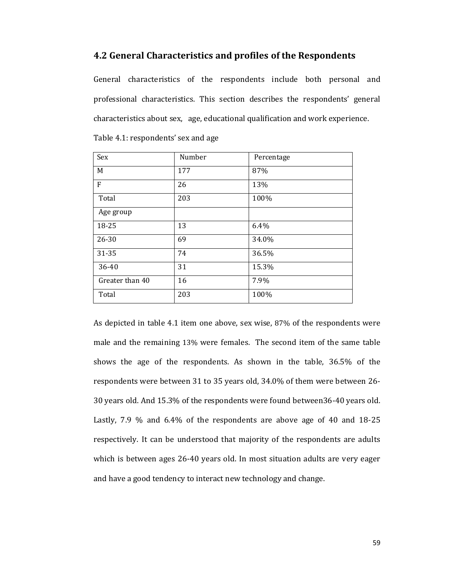# **4.2 General Characteristics and profiles of the Respondents**

General characteristics of the respondents include both personal and professional characteristics. This section describes the respondents' general characteristics about sex, age, educational qualification and work experience.

| Sex             | Number | Percentage |
|-----------------|--------|------------|
| M               | 177    | 87%        |
| $\mathbf{F}$    | 26     | 13%        |
| Total           | 203    | 100%       |
| Age group       |        |            |
| 18-25           | 13     | 6.4%       |
| $26 - 30$       | 69     | 34.0%      |
| 31-35           | 74     | 36.5%      |
| 36-40           | 31     | 15.3%      |
| Greater than 40 | 16     | 7.9%       |
| Total           | 203    | 100%       |

Table 4.1: respondents' sex and age

As depicted in table 4.1 item one above, sex wise, 87% of the respondents were male and the remaining 13% were females. The second item of the same table shows the age of the respondents. As shown in the table, 36.5% of the respondents were between 31 to 35 years old, 34.0% of them were between 26- 30 years old. And 15.3% of the respondents were found between36-40 years old. Lastly, 7.9 % and 6.4% of the respondents are above age of 40 and 18-25 respectively. It can be understood that majority of the respondents are adults which is between ages 26-40 years old. In most situation adults are very eager and have a good tendency to interact new technology and change.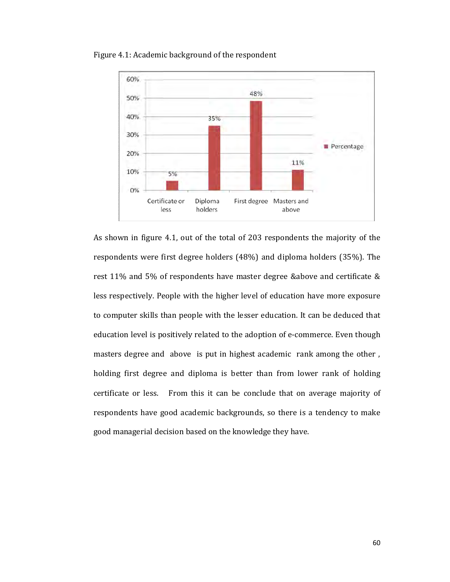

Figure 4.1: Academic background of the respondent

As shown in figure 4.1, out of the total of 203 respondents the majority of the respondents were first degree holders (48%) and diploma holders (35%). The rest 11% and 5% of respondents have master degree & above and certificate & less respectively. People with the higher level of education have more exposure to computer skills than people with the lesser education. It can be deduced that education level is positively related to the adoption of e-commerce. Even though masters degree and above is put in highest academic rank among the other, holding first degree and diploma is better than from lower rank of holding certificate or less. From this it can be conclude that on average majority of respondents have good academic backgrounds, so there is a tendency to make good managerial decision based on the knowledge they have.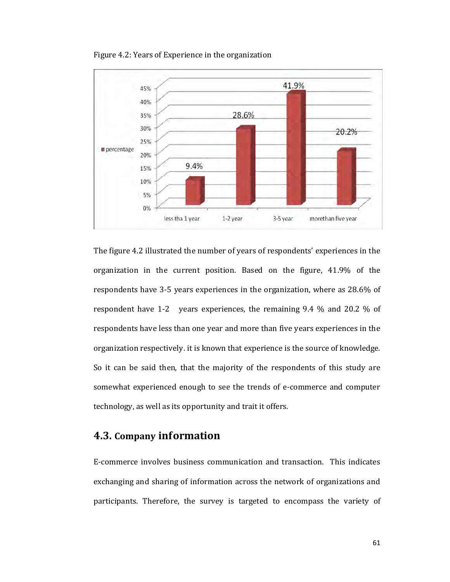

Figure 4.2: Years of Experience in the organization

The figure 4.2 illustrated the number of years of respondents' experiences in the organization in the current position. Based on the figure, 41.9% of the respondents have 3-5 years experiences in the organization, where as 28.6% of respondent have 1-2 years experiences, the remaining 9.4 % and 20.2 % of respondents have less than one year and more than five years experiences in the organization respectively. it is known that experience is the source of knowledge. So it can be said then, that the majority of the respondents of this study are somewhat experienced enough to see the trends of e-commerce and computer technology, as well as its opportunity and trait it offers.

# **4.3. Company information**

E-commerce involves business communication and transaction. This indicates exchanging and sharing of information across the network of organizations and participants. Therefore, the survey is targeted to encompass the variety of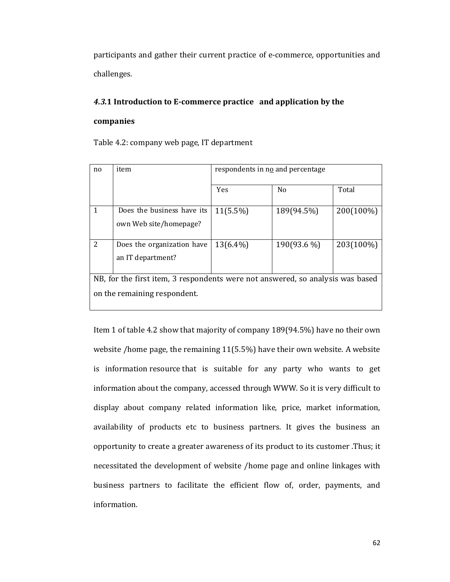participants and gather their current practice of e-commerce, opportunities and challenges.

## *4.3.***1 Introduction to E-commerce practice and application by the**

#### **companies**

Table 4.2: company web page, IT department

| n <sub>0</sub>                                                                 | item                         | respondents in no and percentage |                |           |  |
|--------------------------------------------------------------------------------|------------------------------|----------------------------------|----------------|-----------|--|
|                                                                                |                              | Yes                              | N <sub>0</sub> | Total     |  |
| 1                                                                              | Does the business have its   | $11(5.5\%)$                      | 189(94.5%)     | 200(100%) |  |
|                                                                                | own Web site/homepage?       |                                  |                |           |  |
|                                                                                |                              |                                  |                |           |  |
| $\overline{2}$                                                                 | Does the organization have   | $13(6.4\%)$                      | 190(93.6 %)    | 203(100%) |  |
|                                                                                | an IT department?            |                                  |                |           |  |
|                                                                                |                              |                                  |                |           |  |
| NB, for the first item, 3 respondents were not answered, so analysis was based |                              |                                  |                |           |  |
|                                                                                | on the remaining respondent. |                                  |                |           |  |

Item 1 of table 4.2 show that majority of company 189(94.5%) have no their own website /home page, the remaining 11(5.5%) have their own website. A website is information resource that is suitable for any party who wants to get information about the company, accessed through WWW. So it is very difficult to display about company related information like, price, market information, availability of products etc to business partners. It gives the business an opportunity to create a greater awareness of its product to its customer .Thus; it necessitated the development of website /home page and online linkages with business partners to facilitate the efficient flow of, order, payments, and information.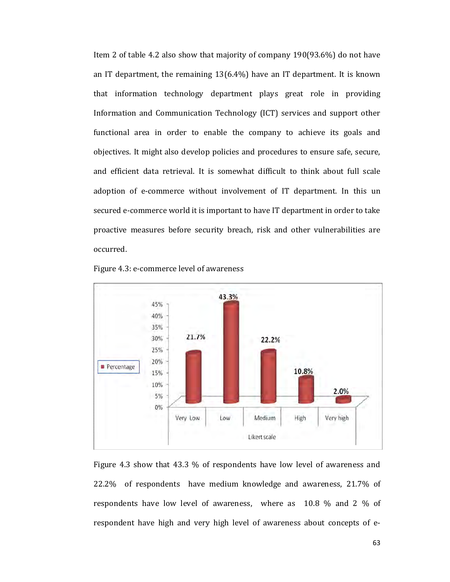Item 2 of table 4.2 also show that majority of company 190(93.6%) do not have an IT department, the remaining  $13(6.4%)$  have an IT department. It is known that information technology department plays great role in providing Information and Communication Technology (ICT) services and support other functional area in order to enable the company to achieve its goals and objectives. It might also develop policies and procedures to ensure safe, secure, and efficient data retrieval. It is somewhat difficult to think about full scale adoption of e-commerce without involvement of IT department. In this un secured e-commerce world it is important to have IT department in order to take proactive measures before security breach, risk and other vulnerabilities are occurred.



Figure 4.3: e-commerce level of awareness

Figure 4.3 show that 43.3 % of respondents have low level of awareness and 22.2% of respondents have medium knowledge and awareness, 21.7% of respondents have low level of awareness, where as 10.8 % and 2 % of respondent have high and very high level of awareness about concepts of e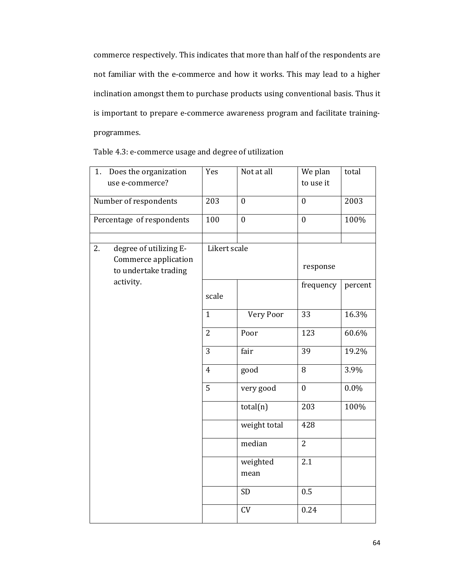commerce respectively. This indicates that more than half of the respondents are not familiar with the e-commerce and how it works. This may lead to a higher inclination amongst them to purchase products using conventional basis. Thus it is important to prepare e-commerce awareness program and facilitate trainingprogrammes.

| Does the organization<br>1.<br>use e-commerce?                               | Yes            | Not at all       | We plan<br>to use it | total   |
|------------------------------------------------------------------------------|----------------|------------------|----------------------|---------|
| Number of respondents                                                        | 203            | $\boldsymbol{0}$ | $\boldsymbol{0}$     | 2003    |
| Percentage of respondents                                                    | 100            | $\boldsymbol{0}$ | $\mathbf{0}$         | 100%    |
| degree of utilizing E-<br>2.<br>Commerce application<br>to undertake trading | Likert scale   |                  | response             |         |
| activity.                                                                    | scale          |                  | frequency            | percent |
|                                                                              | $\mathbf{1}$   | Very Poor        | 33                   | 16.3%   |
|                                                                              | $\overline{2}$ | Poor             | 123                  | 60.6%   |
|                                                                              | 3              | fair             | 39                   | 19.2%   |
|                                                                              | $\overline{4}$ | good             | 8                    | 3.9%    |
|                                                                              | 5              | very good        | $\mathbf{0}$         | $0.0\%$ |
|                                                                              |                | total(n)         | 203                  | 100%    |
|                                                                              |                | weight total     | 428                  |         |
|                                                                              |                | median           | $\overline{2}$       |         |
|                                                                              |                | weighted<br>mean | 2.1                  |         |
|                                                                              |                | <b>SD</b>        | 0.5                  |         |
|                                                                              |                | CV               | 0.24                 |         |

Table 4.3: e-commerce usage and degree of utilization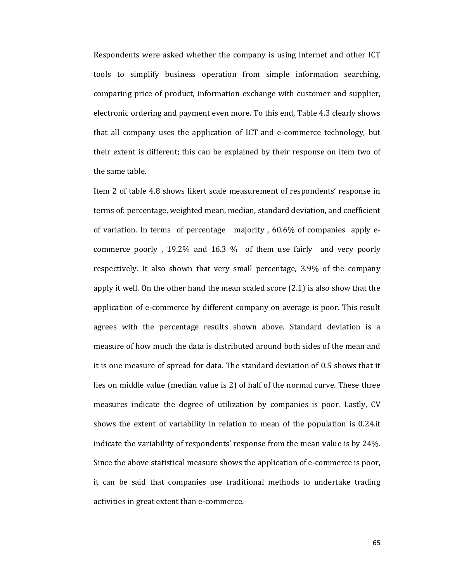Respondents were asked whether the company is using internet and other ICT tools to simplify business operation from simple information searching, comparing price of product, information exchange with customer and supplier, electronic ordering and payment even more. To this end, Table 4.3 clearly shows that all company uses the application of ICT and e-commerce technology, but their extent is different; this can be explained by their response on item two of the same table.

Item 2 of table 4.8 shows likert scale measurement of respondents' response in terms of: percentage, weighted mean, median, standard deviation, and coefficient of variation. In terms of percentage majority , 60.6% of companies apply ecommerce poorly , 19.2% and 16.3 % of them use fairly and very poorly respectively. It also shown that very small percentage, 3.9% of the company apply it well. On the other hand the mean scaled score (2.1) is also show that the application of e-commerce by different company on average is poor. This result agrees with the percentage results shown above. Standard deviation is a measure of how much the data is distributed around both sides of the mean and it is one measure of spread for data. The standard deviation of 0.5 shows that it lies on middle value (median value is 2) of half of the normal curve. These three measures indicate the degree of utilization by companies is poor. Lastly, CV shows the extent of variability in relation to mean of the population is 0.24.it indicate the variability of respondents' response from the mean value is by 24%. Since the above statistical measure shows the application of e-commerce is poor, it can be said that companies use traditional methods to undertake trading activities in great extent than e-commerce.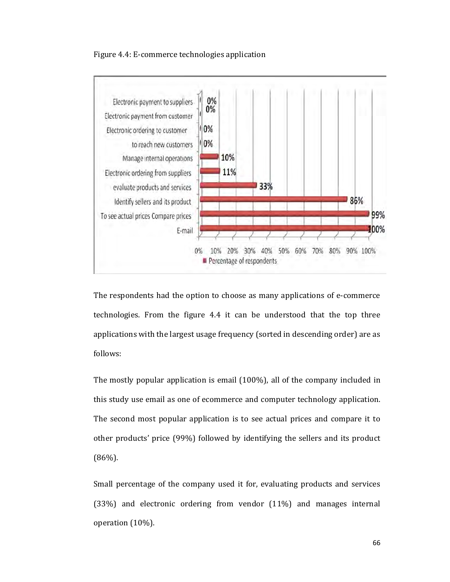



The respondents had the option to choose as many applications of e-commerce technologies. From the figure 4.4 it can be understood that the top three applications with the largest usage frequency (sorted in descending order) are as follows:

The mostly popular application is email (100%), all of the company included in this study use email as one of ecommerce and computer technology application. The second most popular application is to see actual prices and compare it to other products' price (99%) followed by identifying the sellers and its product (86%).

Small percentage of the company used it for, evaluating products and services (33%) and electronic ordering from vendor (11%) and manages internal operation (10%).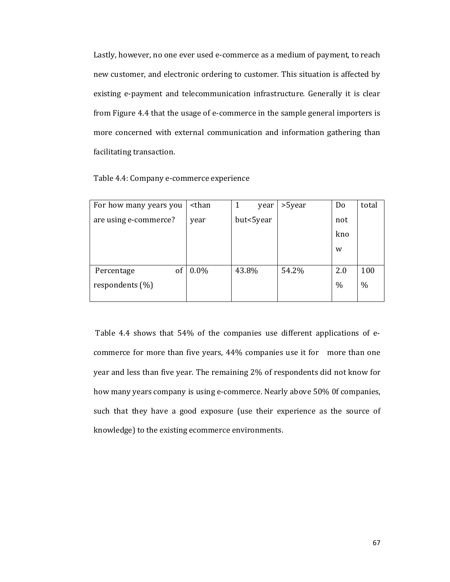Lastly, however, no one ever used e-commerce as a medium of payment, to reach new customer, and electronic ordering to customer. This situation is affected by existing e-payment and telecommunication infrastructure. Generally it is clear from Figure 4.4 that the usage of e-commerce in the sample general importers is more concerned with external communication and information gathering than facilitating transaction.

|  | Table 4.4: Company e-commerce experience |  |
|--|------------------------------------------|--|
|--|------------------------------------------|--|

| For how many years you | <than< th=""><th>1<br/>year</th><th>&gt;5year</th><th>Do</th><th>total</th></than<> | 1<br>year | >5year | Do   | total |
|------------------------|-------------------------------------------------------------------------------------|-----------|--------|------|-------|
| are using e-commerce?  | year                                                                                | but<5year |        | not  |       |
|                        |                                                                                     |           |        | kno  |       |
|                        |                                                                                     |           |        | w    |       |
|                        |                                                                                     |           |        |      |       |
| of<br>Percentage       | $0.0\%$                                                                             | 43.8%     | 54.2%  | 2.0  | 100   |
| respondents (%)        |                                                                                     |           |        | $\%$ | $\%$  |
|                        |                                                                                     |           |        |      |       |

Table 4.4 shows that 54% of the companies use different applications of ecommerce for more than five years, 44% companies use it for more than one year and less than five year. The remaining 2% of respondents did not know for how many years company is using e-commerce. Nearly above 50% 0f companies, such that they have a good exposure (use their experience as the source of knowledge) to the existing ecommerce environments.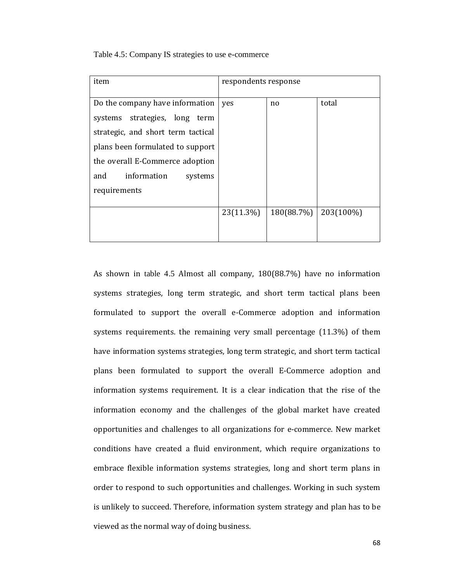Table 4.5: Company IS strategies to use e-commerce

| item                               | respondents response |            |           |  |
|------------------------------------|----------------------|------------|-----------|--|
| Do the company have information    | yes                  | no.        | total     |  |
| systems strategies, long term      |                      |            |           |  |
| strategic, and short term tactical |                      |            |           |  |
| plans been formulated to support   |                      |            |           |  |
| the overall E-Commerce adoption    |                      |            |           |  |
| information<br>and<br>systems      |                      |            |           |  |
| requirements                       |                      |            |           |  |
|                                    |                      |            |           |  |
|                                    | 23(11.3%)            | 180(88.7%) | 203(100%) |  |
|                                    |                      |            |           |  |
|                                    |                      |            |           |  |

As shown in table 4.5 Almost all company, 180(88.7%) have no information systems strategies, long term strategic, and short term tactical plans been formulated to support the overall e-Commerce adoption and information systems requirements. the remaining very small percentage (11.3%) of them have information systems strategies, long term strategic, and short term tactical plans been formulated to support the overall E-Commerce adoption and information systems requirement. It is a clear indication that the rise of the information economy and the challenges of the global market have created opportunities and challenges to all organizations for e-commerce. New market conditions have created a fluid environment, which require organizations to embrace flexible information systems strategies, long and short term plans in order to respond to such opportunities and challenges. Working in such system is unlikely to succeed. Therefore, information system strategy and plan has to be viewed as the normal way of doing business.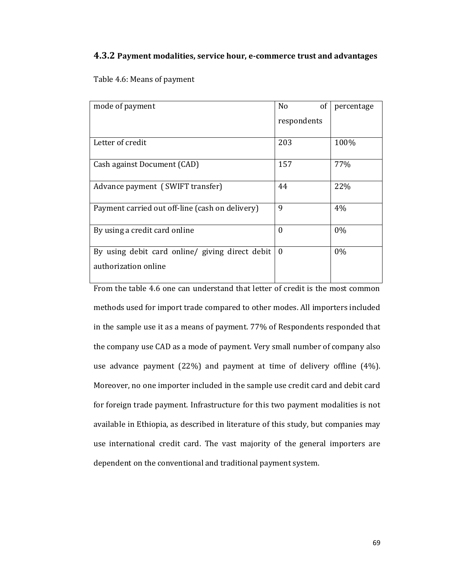### **4.3.2 Payment modalities, service hour, e-commerce trust and advantages**

Table 4.6: Means of payment

| mode of payment                                 | of<br>No    | percentage |
|-------------------------------------------------|-------------|------------|
|                                                 | respondents |            |
|                                                 |             |            |
| Letter of credit                                | 203         | 100%       |
| Cash against Document (CAD)                     | 157         | 77%        |
| Advance payment (SWIFT transfer)                | 44          | 22%        |
| Payment carried out off-line (cash on delivery) | 9           | 4%         |
| By using a credit card online                   | $\Omega$    | $0\%$      |
| By using debit card online/ giving direct debit | $\Omega$    | $0\%$      |
| authorization online                            |             |            |
|                                                 |             |            |

From the table 4.6 one can understand that letter of credit is the most common methods used for import trade compared to other modes. All importers included in the sample use it as a means of payment. 77% of Respondents responded that the company use CAD as a mode of payment. Very small number of company also use advance payment (22%) and payment at time of delivery offline (4%). Moreover, no one importer included in the sample use credit card and debit card for foreign trade payment. Infrastructure for this two payment modalities is not available in Ethiopia, as described in literature of this study, but companies may use international credit card. The vast majority of the general importers are dependent on the conventional and traditional payment system.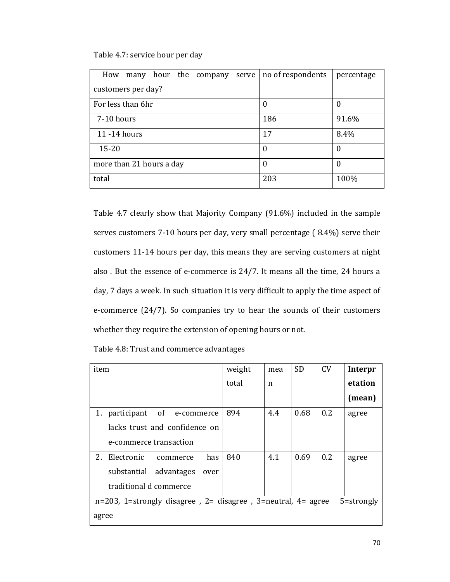### Table 4.7: service hour per day

| How<br>hour the company serve<br>many | no of respondents | percentage |  |  |  |  |  |  |
|---------------------------------------|-------------------|------------|--|--|--|--|--|--|
| customers per day?                    |                   |            |  |  |  |  |  |  |
| For less than 6hr                     | 0                 |            |  |  |  |  |  |  |
| 7-10 hours                            | 186               | 91.6%      |  |  |  |  |  |  |
| 11 - 14 hours                         | 17                | 8.4%       |  |  |  |  |  |  |
| $15 - 20$                             | 0                 | 0          |  |  |  |  |  |  |
| more than 21 hours a day              | $\overline{0}$    |            |  |  |  |  |  |  |
| total                                 | 203               | 100%       |  |  |  |  |  |  |

Table 4.7 clearly show that Majority Company (91.6%) included in the sample serves customers 7-10 hours per day, very small percentage ( 8.4%) serve their customers 11-14 hours per day, this means they are serving customers at night also . But the essence of e-commerce is 24/7. It means all the time, 24 hours a day, 7 days a week. In such situation it is very difficult to apply the time aspect of e-commerce (24/7). So companies try to hear the sounds of their customers whether they require the extension of opening hours or not.

Table 4.8: Trust and commerce advantages

| item                                                                          | weight | mea | <b>SD</b> | CV  | Interpr |
|-------------------------------------------------------------------------------|--------|-----|-----------|-----|---------|
|                                                                               | total  | n   |           |     | etation |
|                                                                               |        |     |           |     | (mean)  |
| 1. participant of e-commerce                                                  | 894    | 4.4 | 0.68      | 0.2 | agree   |
| lacks trust and confidence on                                                 |        |     |           |     |         |
| e-commerce transaction                                                        |        |     |           |     |         |
| 2.<br>Electronic<br>has<br>commerce                                           | 840    | 4.1 | 0.69      | 0.2 | agree   |
| substantial advantages<br>over                                                |        |     |           |     |         |
| traditional d commerce                                                        |        |     |           |     |         |
| $n=203$ , 1=strongly disagree, 2= disagree, 3=neutral, 4= agree<br>5=strongly |        |     |           |     |         |
| agree                                                                         |        |     |           |     |         |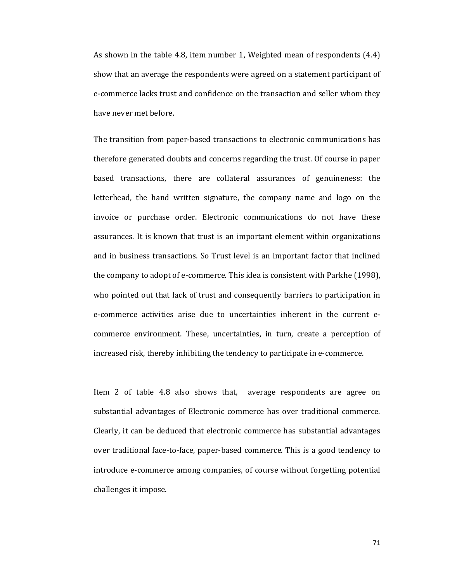As shown in the table 4.8, item number 1, Weighted mean of respondents  $(4.4)$ show that an average the respondents were agreed on a statement participant of e-commerce lacks trust and confidence on the transaction and seller whom they have never met before.

The transition from paper-based transactions to electronic communications has therefore generated doubts and concerns regarding the trust. Of course in paper based transactions, there are collateral assurances of genuineness: the letterhead, the hand written signature, the company name and logo on the invoice or purchase order. Electronic communications do not have these assurances. It is known that trust is an important element within organizations and in business transactions. So Trust level is an important factor that inclined the company to adopt of e-commerce. This idea is consistent with Parkhe (1998), who pointed out that lack of trust and consequently barriers to participation in e-commerce activities arise due to uncertainties inherent in the current ecommerce environment. These, uncertainties, in turn, create a perception of increased risk, thereby inhibiting the tendency to participate in e-commerce.

Item 2 of table 4.8 also shows that, average respondents are agree on substantial advantages of Electronic commerce has over traditional commerce. Clearly, it can be deduced that electronic commerce has substantial advantages over traditional face-to-face, paper-based commerce. This is a good tendency to introduce e-commerce among companies, of course without forgetting potential challenges it impose.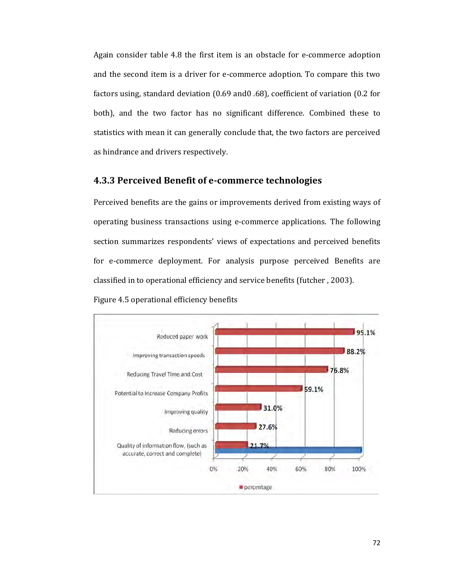Again consider table 4.8 the first item is an obstacle for e-commerce adoption and the second item is a driver for e-commerce adoption. To compare this two factors using, standard deviation (0.69 and0 .68), coefficient of variation (0.2 for both), and the two factor has no significant difference. Combined these to statistics with mean it can generally conclude that, the two factors are perceived as hindrance and drivers respectively.

## **4.3.3 Perceived Benefit of e-commerce technologies**

Perceived benefits are the gains or improvements derived from existing ways of operating business transactions using e-commerce applications. The following section summarizes respondents' views of expectations and perceived benefits for e-commerce deployment. For analysis purpose perceived Benefits are classified in to operational efficiency and service benefits (futcher , 2003).



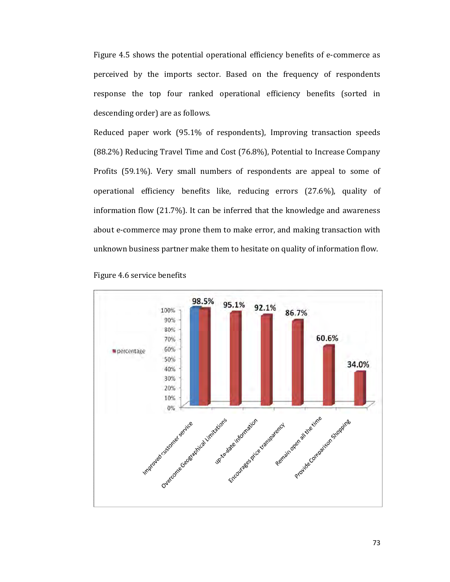Figure 4.5 shows the potential operational efficiency benefits of e-commerce as perceived by the imports sector. Based on the frequency of respondents response the top four ranked operational efficiency benefits (sorted in descending order) are as follows.

Reduced paper work (95.1% of respondents), Improving transaction speeds (88.2%) Reducing Travel Time and Cost (76.8%), Potential to Increase Company Profits (59.1%). Very small numbers of respondents are appeal to some of operational efficiency benefits like, reducing errors (27.6%), quality of information flow (21.7%). It can be inferred that the knowledge and awareness about e-commerce may prone them to make error, and making transaction with unknown business partner make them to hesitate on quality of information flow.



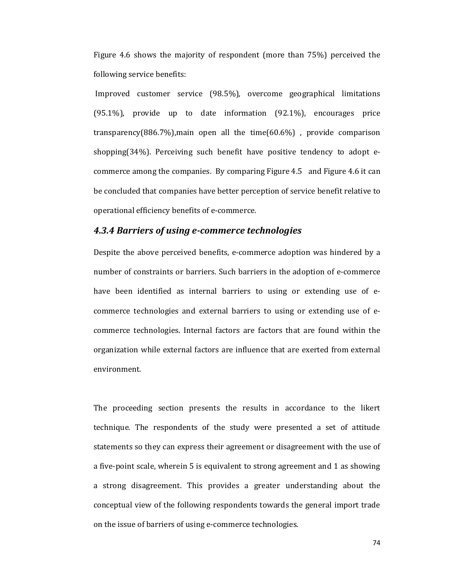Figure 4.6 shows the majority of respondent (more than 75%) perceived the following service benefits:

Improved customer service (98.5%), overcome geographical limitations (95.1%), provide up to date information (92.1%), encourages price transparency(886.7%), main open all the time( $60.6\%$ ), provide comparison shopping(34%). Perceiving such benefit have positive tendency to adopt ecommerce among the companies. By comparing Figure 4.5 and Figure 4.6 it can be concluded that companies have better perception of service benefit relative to operational efficiency benefits of e-commerce.

#### *4.3.4 Barriers of using e-commerce technologies*

Despite the above perceived benefits, e-commerce adoption was hindered by a number of constraints or barriers. Such barriers in the adoption of e-commerce have been identified as internal barriers to using or extending use of ecommerce technologies and external barriers to using or extending use of ecommerce technologies. Internal factors are factors that are found within the organization while external factors are influence that are exerted from external environment.

The proceeding section presents the results in accordance to the likert technique. The respondents of the study were presented a set of attitude statements so they can express their agreement or disagreement with the use of a five-point scale, wherein 5 is equivalent to strong agreement and 1 as showing a strong disagreement. This provides a greater understanding about the conceptual view of the following respondents towards the general import trade on the issue of barriers of using e-commerce technologies.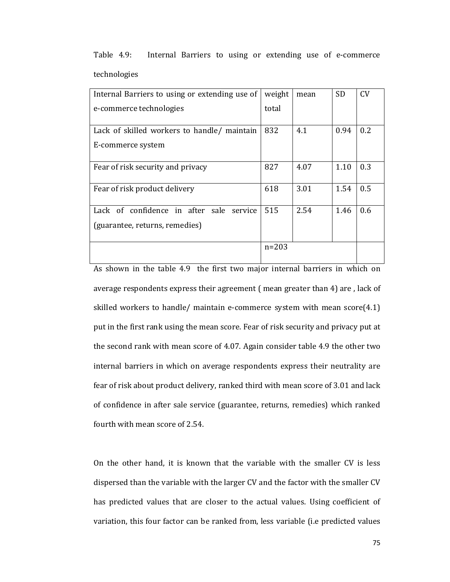| Internal Barriers to using or extending use of | weight    | mean | <b>SD</b> | <b>CV</b> |
|------------------------------------------------|-----------|------|-----------|-----------|
| e-commerce technologies                        | total     |      |           |           |
|                                                |           |      |           |           |
| Lack of skilled workers to handle/ maintain    | 832       | 4.1  | 0.94      | 0.2       |
| E-commerce system                              |           |      |           |           |
| Fear of risk security and privacy              | 827       | 4.07 | 1.10      | 0.3       |
| Fear of risk product delivery                  | 618       | 3.01 | 1.54      | 0.5       |
| Lack of confidence in after sale<br>service    | 515       | 2.54 | 1.46      | 0.6       |
| (guarantee, returns, remedies)                 |           |      |           |           |
|                                                | $n = 203$ |      |           |           |

Table 4.9: Internal Barriers to using or extending use of e-commerce technologies

As shown in the table 4.9 the first two major internal barriers in which on average respondents express their agreement ( mean greater than 4) are , lack of skilled workers to handle/ maintain e-commerce system with mean score(4.1) put in the first rank using the mean score. Fear of risk security and privacy put at the second rank with mean score of 4.07. Again consider table 4.9 the other two internal barriers in which on average respondents express their neutrality are fear of risk about product delivery, ranked third with mean score of 3.01 and lack of confidence in after sale service (guarantee, returns, remedies) which ranked fourth with mean score of 2.54.

On the other hand, it is known that the variable with the smaller CV is less dispersed than the variable with the larger CV and the factor with the smaller CV has predicted values that are closer to the actual values. Using coefficient of variation, this four factor can be ranked from, less variable (i.e predicted values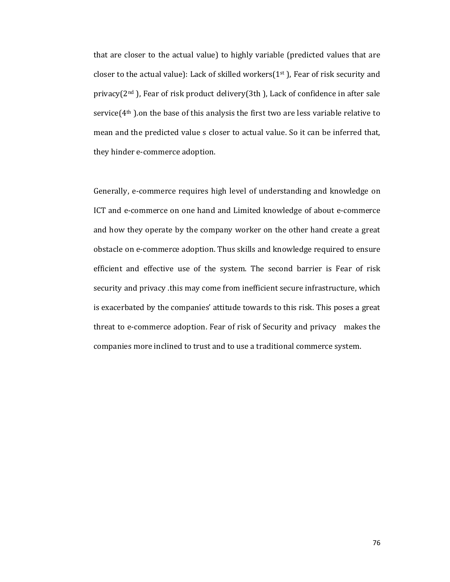that are closer to the actual value) to highly variable (predicted values that are closer to the actual value): Lack of skilled workers $(1<sup>st</sup>)$ , Fear of risk security and privacy( $2<sup>nd</sup>$ ), Fear of risk product delivery( $3<sup>th</sup>$ ), Lack of confidence in after sale service(4<sup>th</sup>).on the base of this analysis the first two are less variable relative to mean and the predicted value s closer to actual value. So it can be inferred that, they hinder e-commerce adoption.

Generally, e-commerce requires high level of understanding and knowledge on ICT and e-commerce on one hand and Limited knowledge of about e-commerce and how they operate by the company worker on the other hand create a great obstacle on e-commerce adoption. Thus skills and knowledge required to ensure efficient and effective use of the system. The second barrier is Fear of risk security and privacy this may come from inefficient secure infrastructure, which is exacerbated by the companies' attitude towards to this risk. This poses a great threat to e-commerce adoption. Fear of risk of Security and privacy makes the companies more inclined to trust and to use a traditional commerce system.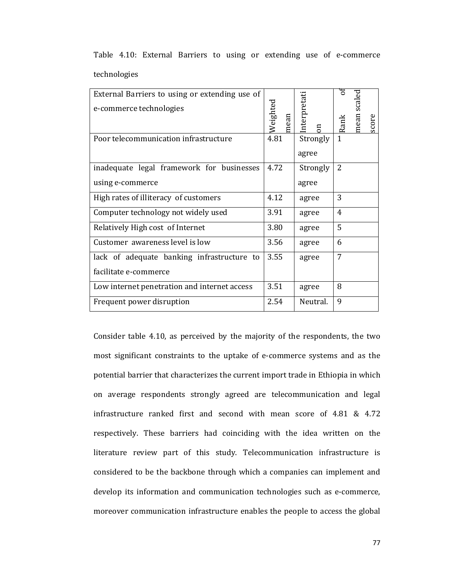| External Barriers to using or extending use of<br>e-commerce technologies | Weighted | nterpretati    |                | mean scal |       |
|---------------------------------------------------------------------------|----------|----------------|----------------|-----------|-------|
|                                                                           | mean     | $\overline{a}$ | Rank           |           | score |
| Poor telecommunication infrastructure                                     | 4.81     | Strongly       |                |           |       |
|                                                                           |          | agree          |                |           |       |
| inadequate legal framework for businesses                                 | 4.72     | Strongly       | $\overline{2}$ |           |       |
| using e-commerce                                                          |          | agree          |                |           |       |
| High rates of illiteracy of customers                                     | 4.12     | agree          | 3              |           |       |
| Computer technology not widely used                                       | 3.91     | agree          | 4              |           |       |
| Relatively High cost of Internet                                          | 3.80     | agree          | 5              |           |       |
| Customer awareness level is low                                           | 3.56     | agree          | 6              |           |       |
| lack of adequate banking infrastructure to                                | 3.55     | agree          | 7              |           |       |
| facilitate e-commerce                                                     |          |                |                |           |       |
| Low internet penetration and internet access                              | 3.51     | agree          | 8              |           |       |
| Frequent power disruption                                                 | 2.54     | Neutral.       | 9              |           |       |

Table 4.10: External Barriers to using or extending use of e-commerce technologies

Consider table 4.10, as perceived by the majority of the respondents, the two most significant constraints to the uptake of e-commerce systems and as the potential barrier that characterizes the current import trade in Ethiopia in which on average respondents strongly agreed are telecommunication and legal infrastructure ranked first and second with mean score of 4.81 & 4.72 respectively. These barriers had coinciding with the idea written on the literature review part of this study. Telecommunication infrastructure is considered to be the backbone through which a companies can implement and develop its information and communication technologies such as e-commerce, moreover communication infrastructure enables the people to access the global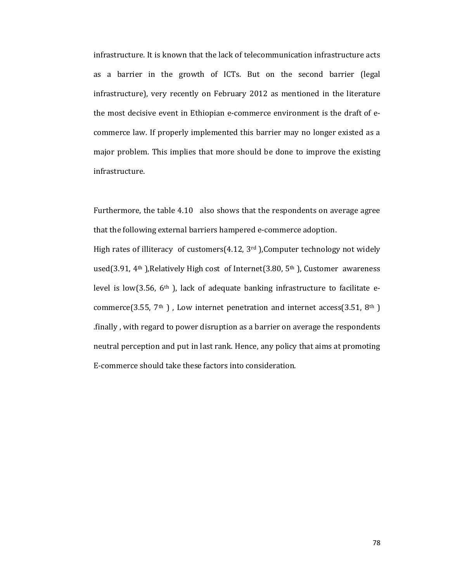infrastructure. It is known that the lack of telecommunication infrastructure acts as a barrier in the growth of ICTs. But on the second barrier (legal infrastructure), very recently on February 2012 as mentioned in the literature the most decisive event in Ethiopian e-commerce environment is the draft of ecommerce law. If properly implemented this barrier may no longer existed as a major problem. This implies that more should be done to improve the existing infrastructure.

Furthermore, the table 4.10 also shows that the respondents on average agree that the following external barriers hampered e-commerce adoption.

High rates of illiteracy of customers $(4.12, 3<sup>rd</sup>)$ , Computer technology not widely used(3.91, 4<sup>th</sup>), Relatively High cost of Internet(3.80,  $5<sup>th</sup>$ ), Customer awareness level is low(3.56, 6<sup>th</sup>), lack of adequate banking infrastructure to facilitate ecommerce(3.55,  $7<sup>th</sup>$ ), Low internet penetration and internet access(3.51,  $8<sup>th</sup>$ ) finally, with regard to power disruption as a barrier on average the respondents. neutral perception and put in last rank. Hence, any policy that aims at promoting E-commerce should take these factors into consideration.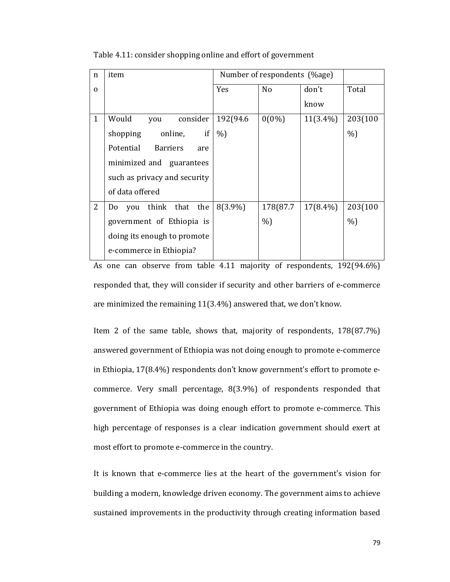| $\mathbf n$  | item                                |            | Number of respondents (%age) |             |         |  |
|--------------|-------------------------------------|------------|------------------------------|-------------|---------|--|
| 0            |                                     | <b>Yes</b> | No                           | don't       | Total   |  |
|              |                                     |            |                              | know        |         |  |
| $\mathbf{1}$ | Would<br>consider<br>you            | 192(94.6)  | $0(0\%)$                     | $11(3.4\%)$ | 203(100 |  |
|              | if<br>online,<br>shopping           | $%$ )      |                              |             | %       |  |
|              | Potential<br><b>Barriers</b><br>are |            |                              |             |         |  |
|              | minimized and guarantees            |            |                              |             |         |  |
|              | such as privacy and security        |            |                              |             |         |  |
|              | of data offered                     |            |                              |             |         |  |
| 2            | think that<br>the<br>you<br>Do      | $8(3.9\%)$ | 178(87.7                     | $17(8.4\%)$ | 203(100 |  |
|              | government of Ethiopia is           |            | $\%$                         |             | %       |  |
|              | doing its enough to promote         |            |                              |             |         |  |
|              | e-commerce in Ethiopia?             |            |                              |             |         |  |

Table 4.11: consider shopping online and effort of government

As one can observe from table 4.11 majority of respondents, 192(94.6%) responded that, they will consider if security and other barriers of e-commerce are minimized the remaining 11(3.4%) answered that, we don't know.

Item 2 of the same table, shows that, majority of respondents, 178(87.7%) answered government of Ethiopia was not doing enough to promote e-commerce in Ethiopia, 17(8.4%) respondents don't know government's effort to promote ecommerce. Very small percentage, 8(3.9%) of respondents responded that government of Ethiopia was doing enough effort to promote e-commerce. This high percentage of responses is a clear indication government should exert at most effort to promote e-commerce in the country.

It is known that e-commerce lies at the heart of the government's vision for building a modern, knowledge driven economy. The government aims to achieve sustained improvements in the productivity through creating information based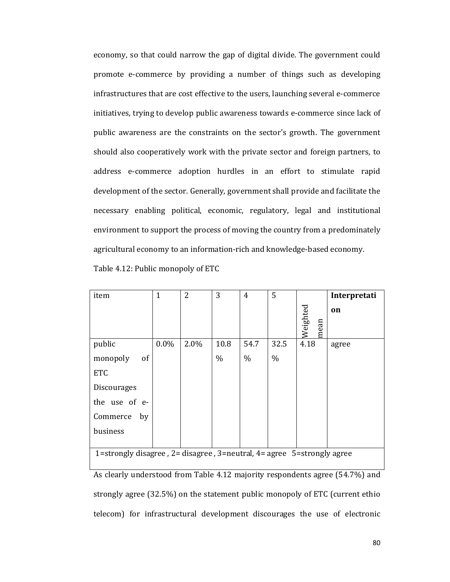economy, so that could narrow the gap of digital divide. The government could promote e-commerce by providing a number of things such as developing infrastructures that are cost effective to the users, launching several e-commerce initiatives, trying to develop public awareness towards e-commerce since lack of public awareness are the constraints on the sector's growth. The government should also cooperatively work with the private sector and foreign partners, to address e-commerce adoption hurdles in an effort to stimulate rapid development of the sector. Generally, government shall provide and facilitate the necessary enabling political, economic, regulatory, legal and institutional environment to support the process of moving the country from a predominately agricultural economy to an information-rich and knowledge-based economy. Table 4.12: Public monopoly of ETC

| item                                                                               | $\overline{1}$ | $\overline{2}$ | 3    | 4    | 5    |                  | Interpretati |
|------------------------------------------------------------------------------------|----------------|----------------|------|------|------|------------------|--------------|
|                                                                                    |                |                |      |      |      | Weighted<br>mean | on           |
| public                                                                             | $0.0\%$        | 2.0%           | 10.8 | 54.7 | 32.5 | 4.18             | agree        |
| monopoly<br>of                                                                     |                |                | $\%$ | $\%$ | $\%$ |                  |              |
| <b>ETC</b>                                                                         |                |                |      |      |      |                  |              |
| <b>Discourages</b>                                                                 |                |                |      |      |      |                  |              |
| the use of e-                                                                      |                |                |      |      |      |                  |              |
| Commerce<br>by                                                                     |                |                |      |      |      |                  |              |
| business                                                                           |                |                |      |      |      |                  |              |
|                                                                                    |                |                |      |      |      |                  |              |
| 1=strongly disagree, $2$ = disagree, $3$ =neutral, $4$ = agree $5$ =strongly agree |                |                |      |      |      |                  |              |

As clearly understood from Table 4.12 majority respondents agree (54.7%) and strongly agree (32.5%) on the statement public monopoly of ETC (current ethio telecom) for infrastructural development discourages the use of electronic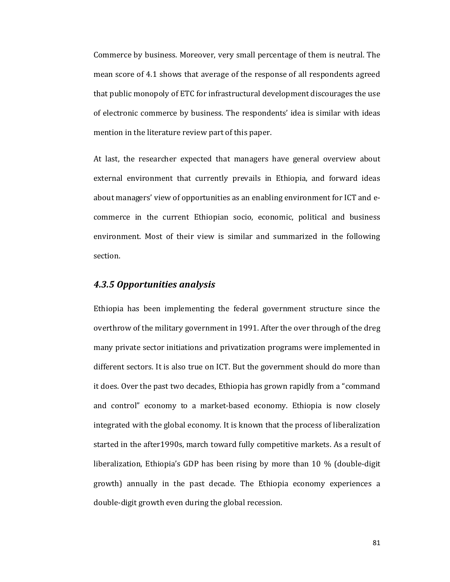Commerce by business. Moreover, very small percentage of them is neutral. The mean score of 4.1 shows that average of the response of all respondents agreed that public monopoly of ETC for infrastructural development discourages the use of electronic commerce by business. The respondents' idea is similar with ideas mention in the literature review part of this paper.

At last, the researcher expected that managers have general overview about external environment that currently prevails in Ethiopia, and forward ideas about managers' view of opportunities as an enabling environment for ICT and ecommerce in the current Ethiopian socio, economic, political and business environment. Most of their view is similar and summarized in the following section.

## *4.3.5 Opportunities analysis*

Ethiopia has been implementing the federal government structure since the overthrow of the military government in 1991. After the over through of the dreg many private sector initiations and privatization programs were implemented in different sectors. It is also true on ICT. But the government should do more than it does. Over the past two decades, Ethiopia has grown rapidly from a "command and control" economy to a market-based economy. Ethiopia is now closely integrated with the global economy. It is known that the process of liberalization started in the after1990s, march toward fully competitive markets. As a result of liberalization, Ethiopia's GDP has been rising by more than 10 % (double-digit growth) annually in the past decade. The Ethiopia economy experiences a double-digit growth even during the global recession.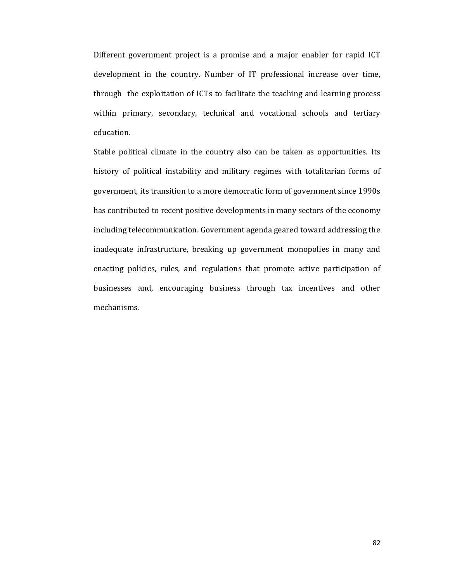Different government project is a promise and a major enabler for rapid ICT development in the country. Number of IT professional increase over time, through the exploitation of ICTs to facilitate the teaching and learning process within primary, secondary, technical and vocational schools and tertiary education.

Stable political climate in the country also can be taken as opportunities. Its history of political instability and military regimes with totalitarian forms of government, its transition to a more democratic form of government since 1990s has contributed to recent positive developments in many sectors of the economy including telecommunication. Government agenda geared toward addressing the inadequate infrastructure, breaking up government monopolies in many and enacting policies, rules, and regulations that promote active participation of businesses and, encouraging business through tax incentives and other mechanisms.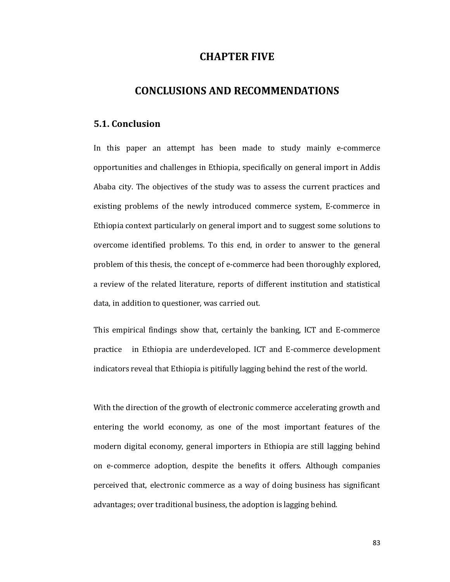## **CHAPTER FIVE**

## **CONCLUSIONS AND RECOMMENDATIONS**

### **5.1. Conclusion**

In this paper an attempt has been made to study mainly e-commerce opportunities and challenges in Ethiopia, specifically on general import in Addis Ababa city. The objectives of the study was to assess the current practices and existing problems of the newly introduced commerce system, E-commerce in Ethiopia context particularly on general import and to suggest some solutions to overcome identified problems. To this end, in order to answer to the general problem of this thesis, the concept of e-commerce had been thoroughly explored, a review of the related literature, reports of different institution and statistical data, in addition to questioner, was carried out.

This empirical findings show that, certainly the banking, ICT and E-commerce practice in Ethiopia are underdeveloped. ICT and E-commerce development indicators reveal that Ethiopia is pitifully lagging behind the rest of the world.

With the direction of the growth of electronic commerce accelerating growth and entering the world economy, as one of the most important features of the modern digital economy, general importers in Ethiopia are still lagging behind on e-commerce adoption, despite the benefits it offers. Although companies perceived that, electronic commerce as a way of doing business has significant advantages; over traditional business, the adoption is lagging behind.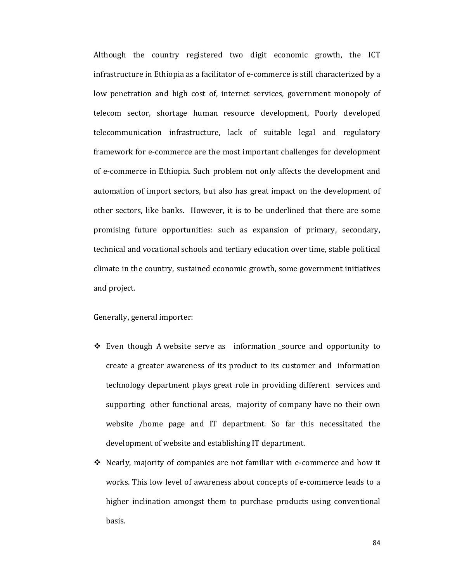Although the country registered two digit economic growth, the ICT infrastructure in Ethiopia as a facilitator of e-commerce is still characterized by a low penetration and high cost of, internet services, government monopoly of telecom sector, shortage human resource development, Poorly developed telecommunication infrastructure, lack of suitable legal and regulatory framework for e-commerce are the most important challenges for development of e-commerce in Ethiopia. Such problem not only affects the development and automation of import sectors, but also has great impact on the development of other sectors, like banks. However, it is to be underlined that there are some promising future opportunities: such as expansion of primary, secondary, technical and vocational schools and tertiary education over time, stable political climate in the country, sustained economic growth, some government initiatives and project.

Generally, general importer:

- ❖ Even though A website serve as information source and opportunity to create a greater awareness of its product to its customer and information technology department plays great role in providing different services and supporting other functional areas, majority of company have no their own website /home page and IT department. So far this necessitated the development of website and establishing IT department.
- $\div$  Nearly, majority of companies are not familiar with e-commerce and how it works. This low level of awareness about concepts of e-commerce leads to a higher inclination amongst them to purchase products using conventional basis.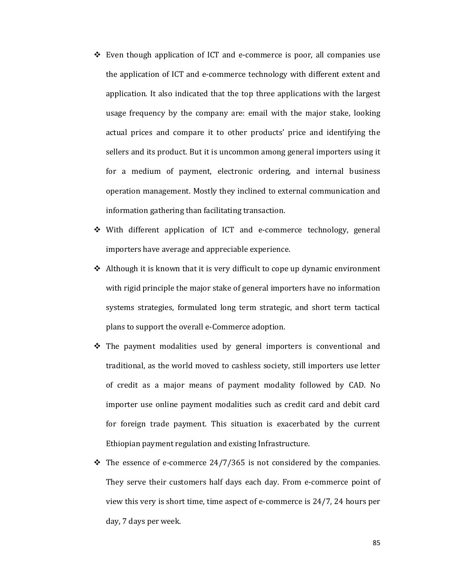- $\div$  Even though application of ICT and e-commerce is poor, all companies use the application of ICT and e-commerce technology with different extent and application. It also indicated that the top three applications with the largest usage frequency by the company are: email with the major stake, looking actual prices and compare it to other products' price and identifying the sellers and its product. But it is uncommon among general importers using it for a medium of payment, electronic ordering, and internal business operation management. Mostly they inclined to external communication and information gathering than facilitating transaction.
- With different application of ICT and e-commerce technology, general importers have average and appreciable experience.
- $\triangle$  Although it is known that it is very difficult to cope up dynamic environment with rigid principle the major stake of general importers have no information systems strategies, formulated long term strategic, and short term tactical plans to support the overall e-Commerce adoption.
- $\div$  The payment modalities used by general importers is conventional and traditional, as the world moved to cashless society, still importers use letter of credit as a major means of payment modality followed by CAD. No importer use online payment modalities such as credit card and debit card for foreign trade payment. This situation is exacerbated by the current Ethiopian payment regulation and existing Infrastructure.
- $\div$  The essence of e-commerce 24/7/365 is not considered by the companies. They serve their customers half days each day. From e-commerce point of view this very is short time, time aspect of e-commerce is 24/7, 24 hours per day, 7 days per week.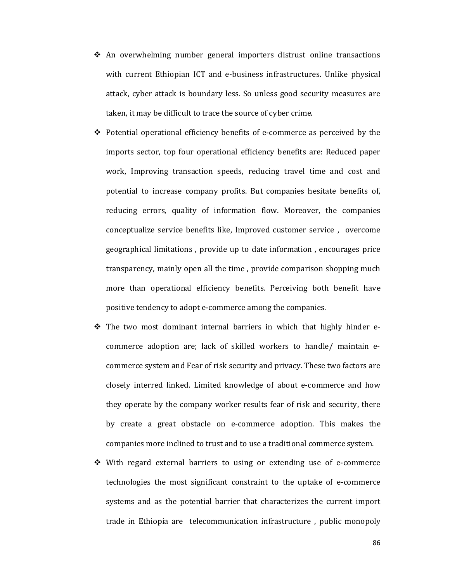- $\div$  An overwhelming number general importers distrust online transactions with current Ethiopian ICT and e-business infrastructures. Unlike physical attack, cyber attack is boundary less. So unless good security measures are taken, it may be difficult to trace the source of cyber crime.
- $\div$  Potential operational efficiency benefits of e-commerce as perceived by the imports sector, top four operational efficiency benefits are: Reduced paper work, Improving transaction speeds, reducing travel time and cost and potential to increase company profits. But companies hesitate benefits of, reducing errors, quality of information flow. Moreover, the companies conceptualize service benefits like, Improved customer service, overcome geographical limitations, provide up to date information, encourages price transparency, mainly open all the time, provide comparison shopping much more than operational efficiency benefits. Perceiving both benefit have positive tendency to adopt e-commerce among the companies.
- \* The two most dominant internal barriers in which that highly hinder ecommerce adoption are; lack of skilled workers to handle/ maintain ecommerce system and Fear of risk security and privacy. These two factors are closely interred linked. Limited knowledge of about e-commerce and how they operate by the company worker results fear of risk and security, there by create a great obstacle on e-commerce adoption. This makes the companies more inclined to trust and to use a traditional commerce system.
- $\div$  With regard external barriers to using or extending use of e-commerce technologies the most significant constraint to the uptake of e-commerce systems and as the potential barrier that characterizes the current import trade in Ethiopia are telecommunication infrastructure, public monopoly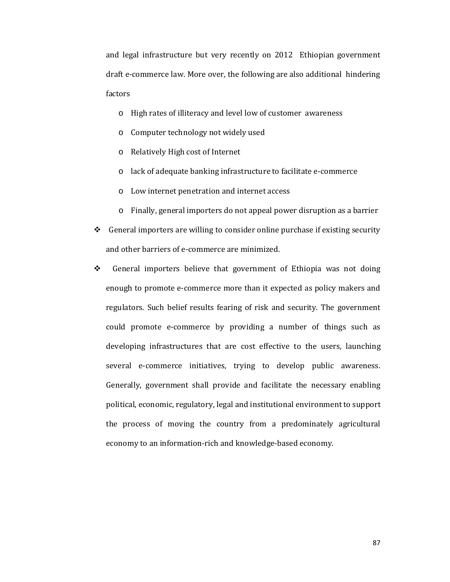and legal infrastructure but very recently on 2012 Ethiopian government draft e-commerce law. More over, the following are also additional hindering factors

- o High rates of illiteracy and level low of customer awareness
- o Computer technology not widely used
- o Relatively High cost of Internet
- o lack of adequate banking infrastructure to facilitate e-commerce
- o Low internet penetration and internet access
- o Finally, general importers do not appeal power disruption as a barrier
- $\triangleleft$  General importers are willing to consider online purchase if existing security and other barriers of e-commerce are minimized.
- ◆ General importers believe that government of Ethiopia was not doing enough to promote e-commerce more than it expected as policy makers and regulators. Such belief results fearing of risk and security. The government could promote e-commerce by providing a number of things such as developing infrastructures that are cost effective to the users, launching several e-commerce initiatives, trying to develop public awareness. Generally, government shall provide and facilitate the necessary enabling political, economic, regulatory, legal and institutional environment to support the process of moving the country from a predominately agricultural economy to an information-rich and knowledge-based economy.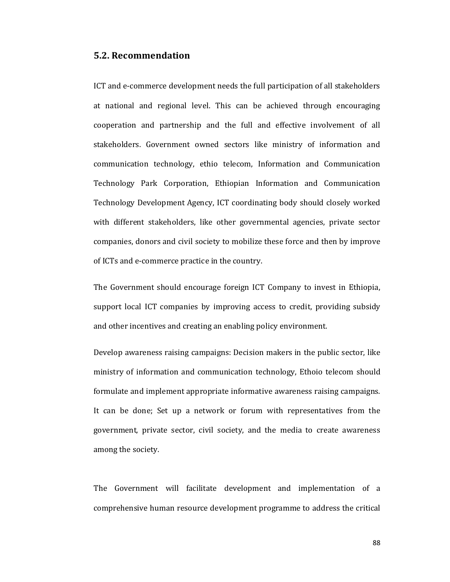## **5.2. Recommendation**

ICT and e-commerce development needs the full participation of all stakeholders at national and regional level. This can be achieved through encouraging cooperation and partnership and the full and effective involvement of all stakeholders. Government owned sectors like ministry of information and communication technology, ethio telecom, Information and Communication Technology Park Corporation, Ethiopian Information and Communication Technology Development Agency, ICT coordinating body should closely worked with different stakeholders, like other governmental agencies, private sector companies, donors and civil society to mobilize these force and then by improve of ICTs and e-commerce practice in the country.

The Government should encourage foreign ICT Company to invest in Ethiopia, support local ICT companies by improving access to credit, providing subsidy and other incentives and creating an enabling policy environment.

Develop awareness raising campaigns: Decision makers in the public sector, like ministry of information and communication technology, Ethoio telecom should formulate and implement appropriate informative awareness raising campaigns. It can be done; Set up a network or forum with representatives from the government, private sector, civil society, and the media to create awareness among the society.

The Government will facilitate development and implementation of a comprehensive human resource development programme to address the critical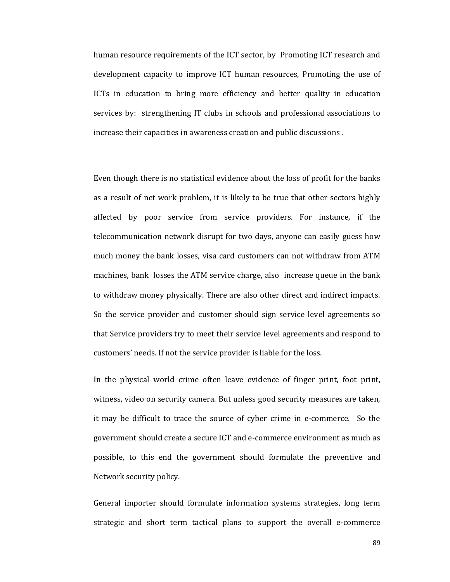human resource requirements of the ICT sector, by Promoting ICT research and development capacity to improve ICT human resources, Promoting the use of ICTs in education to bring more efficiency and better quality in education services by: strengthening IT clubs in schools and professional associations to increase their capacities in awareness creation and public discussions.

Even though there is no statistical evidence about the loss of profit for the banks as a result of net work problem, it is likely to be true that other sectors highly affected by poor service from service providers. For instance, if the telecommunication network disrupt for two days, anyone can easily guess how much money the bank losses, visa card customers can not withdraw from ATM machines, bank losses the ATM service charge, also increase queue in the bank to withdraw money physically. There are also other direct and indirect impacts. So the service provider and customer should sign service level agreements so that Service providers try to meet their service level agreements and respond to customers' needs. If not the service provider is liable for the loss.

In the physical world crime often leave evidence of finger print, foot print, witness, video on security camera. But unless good security measures are taken, it may be difficult to trace the source of cyber crime in e-commerce. So the government should create a secure ICT and e-commerce environment as much as possible, to this end the government should formulate the preventive and Network security policy.

General importer should formulate information systems strategies, long term strategic and short term tactical plans to support the overall e-commerce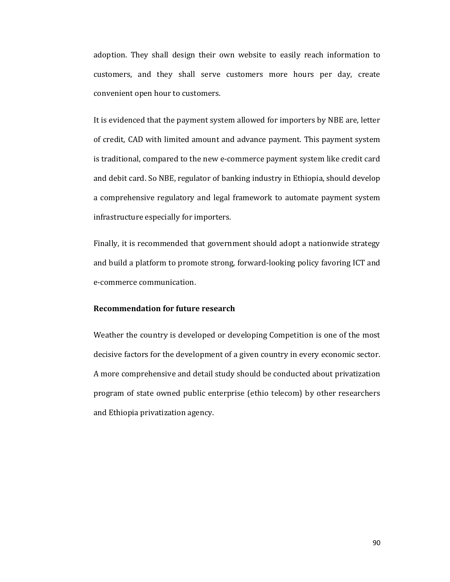adoption. They shall design their own website to easily reach information to customers, and they shall serve customers more hours per day, create convenient open hour to customers.

It is evidenced that the payment system allowed for importers by NBE are, letter of credit, CAD with limited amount and advance payment. This payment system is traditional, compared to the new e-commerce payment system like credit card and debit card. So NBE, regulator of banking industry in Ethiopia, should develop a comprehensive regulatory and legal framework to automate payment system infrastructure especially for importers.

Finally, it is recommended that government should adopt a nationwide strategy and build a platform to promote strong, forward-looking policy favoring ICT and e-commerce communication.

### **Recommendation for future research**

Weather the country is developed or developing Competition is one of the most decisive factors for the development of a given country in every economic sector. A more comprehensive and detail study should be conducted about privatization program of state owned public enterprise (ethio telecom) by other researchers and Ethiopia privatization agency.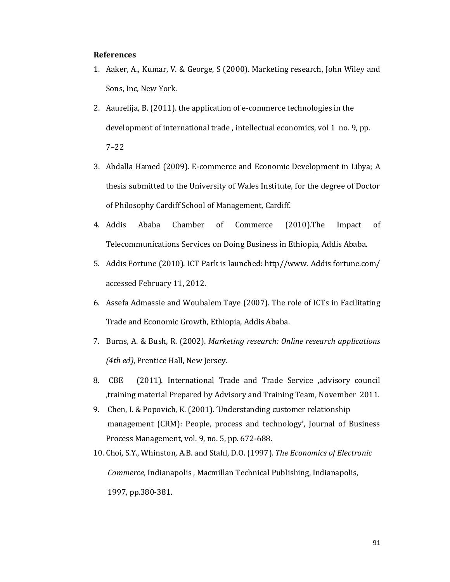#### **References**

- 1. Aaker, A., Kumar, V. & George, S (2000). Marketing research, John Wiley and Sons, Inc, New York.
- 2. Aaurelija, B. (2011). the application of e-commerce technologies in the development of international trade , intellectual economics, vol 1 no. 9, pp. 7–22
- 3. Abdalla Hamed (2009). E-commerce and Economic Development in Libya; A thesis submitted to the University of Wales Institute, for the degree of Doctor of Philosophy Cardiff School of Management, Cardiff.
- 4. Addis Ababa Chamber of Commerce (2010).The Impact of Telecommunications Services on Doing Business in Ethiopia, Addis Ababa.
- 5. Addis Fortune (2010). ICT Park is launched: http//www. Addis fortune.com/ accessed February 11, 2012.
- 6. Assefa Admassie and Woubalem Taye (2007). The role of ICTs in Facilitating Trade and Economic Growth, Ethiopia, Addis Ababa.
- 7. Burns, A. & Bush, R. (2002). *Marketing research: Online research applications (4th ed)*, Prentice Hall, New Jersey.
- 8. CBE (2011). International Trade and Trade Service ,advisory council ,training material Prepared by Advisory and Training Team, November 2011.
- 9. Chen, I. & Popovich, K. (2001). 'Understanding customer relationship management (CRM): People, process and technology', Journal of Business Process Management, vol. 9, no. 5, pp. 672-688.
- 10. Choi, S.Y., Whinston, A.B. and Stahl, D.O. (1997). *The Economics of Electronic Commerce*, Indianapolis , Macmillan Technical Publishing, Indianapolis, 1997, pp.380-381.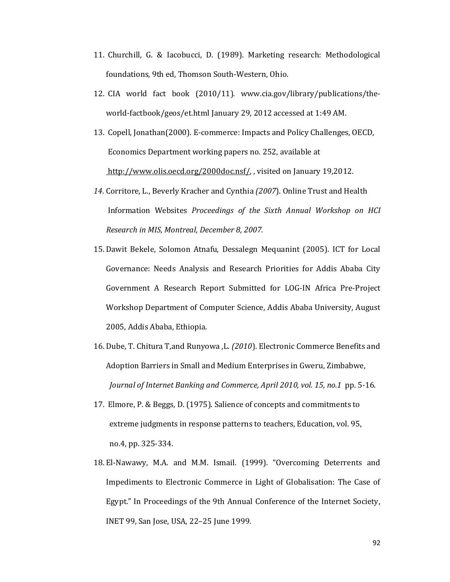- 11. Churchill, G. & Iacobucci, D. (1989). Marketing research: Methodological foundations, 9th ed, Thomson South-Western, Ohio.
- 12. CIA world fact book (2010/11). www.cia.gov/library/publications/theworld-factbook/geos/et.html January 29, 2012 accessed at 1:49 AM.
- 13. Copell, Jonathan(2000). E-commerce: Impacts and Policy Challenges, OECD, Economics Department working papers no. 252, available at http://www.olis.oecd.org/2000doc.nsf/, visited on January 19,2012.
- *14.* Corritore, L., Beverly Kracher and Cynthia *(2007*). Online Trust and Health Information Websites *Proceedings of the Sixth Annual Workshop on HCI Research in MIS, Montreal, December 8, 2007.*
- 15. Dawit Bekele, Solomon Atnafu, Dessalegn Mequanint (2005). ICT for Local Governance: Needs Analysis and Research Priorities for Addis Ababa City Government A Research Report Submitted for LOG-IN Africa Pre-Project Workshop Department of Computer Science, Addis Ababa University, August 2005, Addis Ababa, Ethiopia.
- 16. Dube, T. Chitura T,and Runyowa ,L. *(2010*). Electronic Commerce Benefits and Adoption Barriers in Small and Medium Enterprises in Gweru, Zimbabwe, *Journal of Internet Banking and Commerce, April 2010, vol. 15, no.1* pp. 5-16.
- 17. Elmore, P. & Beggs, D. (1975). Salience of concepts and commitments to extreme judgments in response patterns to teachers, Education, vol. 95, no.4, pp. 325-334.
- 18. El-Nawawy, M.A. and M.M. Ismail. (1999). "Overcoming Deterrents and Impediments to Electronic Commerce in Light of Globalisation: The Case of Egypt." In Proceedings of the 9th Annual Conference of the Internet Society, INET 99, San Jose, USA, 22–25 June 1999.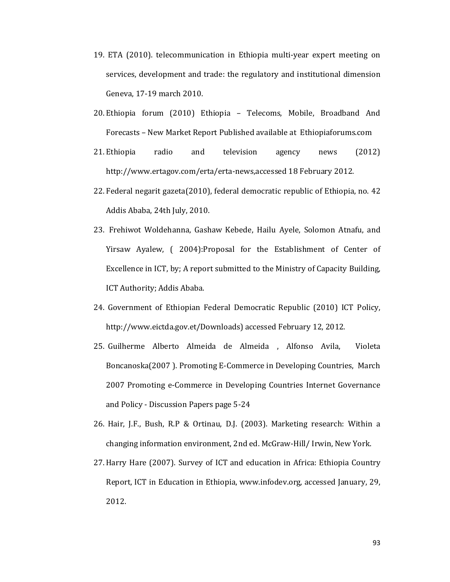- 19. ETA (2010). telecommunication in Ethiopia multi-year expert meeting on services, development and trade: the regulatory and institutional dimension Geneva, 17-19 march 2010.
- 20. Ethiopia forum (2010) Ethiopia Telecoms, Mobile, Broadband And Forecasts – New Market Report Published available at Ethiopiaforums.com
- 21. Ethiopia radio and television agency news (2012) http://www.ertagov.com/erta/erta-news,accessed 18 February 2012.
- 22. Federal negarit gazeta(2010), federal democratic republic of Ethiopia, no. 42 Addis Ababa, 24th July, 2010.
- 23. Frehiwot Woldehanna, Gashaw Kebede, Hailu Ayele, Solomon Atnafu, and Yirsaw Ayalew, ( 2004):Proposal for the Establishment of Center of Excellence in ICT, by; A report submitted to the Ministry of Capacity Building, ICT Authority; Addis Ababa.
- 24. Government of Ethiopian Federal Democratic Republic (2010) ICT Policy, http://www.eictda.gov.et/Downloads) accessed February 12, 2012.
- 25. Guilherme Alberto Almeida de Almeida , Alfonso Avila, Violeta Boncanoska(2007 ). Promoting E-Commerce in Developing Countries, March 2007 Promoting e-Commerce in Developing Countries Internet Governance and Policy - Discussion Papers page 5-24
- 26. Hair, J.F., Bush, R.P & Ortinau, D.J. (2003). Marketing research: Within a changing information environment, 2nd ed. McGraw-Hill/ Irwin, New York.
- 27. Harry Hare (2007). Survey of ICT and education in Africa: Ethiopia Country Report, ICT in Education in Ethiopia, www.infodev.org, accessed January, 29, 2012.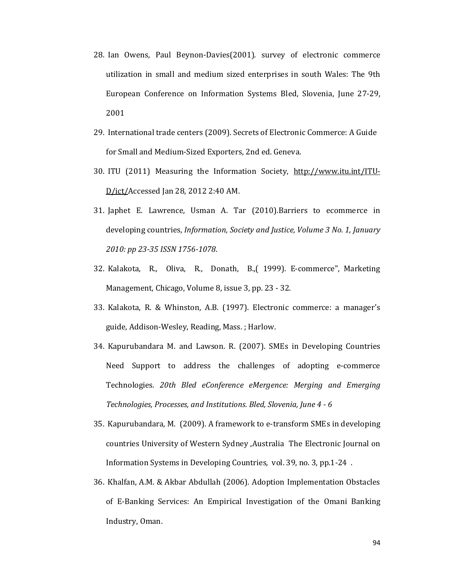- 28. Ian Owens, Paul Beynon-Davies(2001). survey of electronic commerce utilization in small and medium sized enterprises in south Wales: The 9th European Conference on Information Systems Bled, Slovenia, June 27-29, 2001
- 29. International trade centers (2009). Secrets of Electronic Commerce: A Guide for Small and Medium-Sized Exporters, 2nd ed. Geneva.
- 30. ITU (2011) Measuring the Information Society, http://www.itu.int/ITU-D/ict/Accessed Jan 28, 2012 2:40 AM.
- 31. Japhet E. Lawrence, Usman A. Tar (2010).Barriers to ecommerce in developing countries, *Information, Society and Justice, Volume 3 No. 1, January 2010: pp 23-35 ISSN 1756-1078*.
- 32. Kalakota, R., Oliva, R., Donath, B.,( 1999). E-commerce", Marketing Management, Chicago, Volume 8, issue 3, pp. 23 - 32.
- 33. Kalakota, R. & Whinston, A.B. (1997). Electronic commerce: a manager's guide, Addison-Wesley, Reading, Mass. ; Harlow.
- 34. Kapurubandara M. and Lawson. R. (2007). SMEs in Developing Countries Need Support to address the challenges of adopting e-commerce Technologies. *20th Bled eConference eMergence: Merging and Emerging Technologies, Processes, and Institutions. Bled, Slovenia, June 4 - 6*
- 35. Kapurubandara, M. (2009). A framework to e-transform SMEs in developing countries University of Western Sydney ,Australia The Electronic Journal on Information Systems in Developing Countries, vol. 39, no. 3, pp.1-24 .
- 36. Khalfan, A.M. & Akbar Abdullah (2006). Adoption Implementation Obstacles of E-Banking Services: An Empirical Investigation of the Omani Banking Industry, Oman.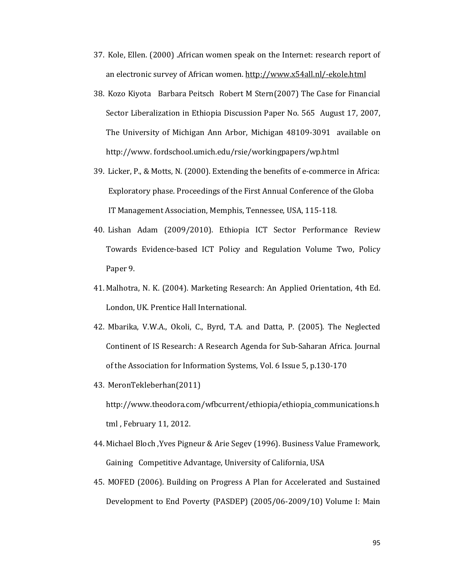- 37. Kole, Ellen. (2000) .African women speak on the Internet: research report of an electronic survey of African women. http://www.x54all.nl/-ekole.html
- 38. Kozo Kiyota Barbara Peitsch Robert M Stern(2007) The Case for Financial Sector Liberalization in Ethiopia Discussion Paper No. 565 August 17, 2007, The University of Michigan Ann Arbor, Michigan 48109-3091 available on http://www. fordschool.umich.edu/rsie/workingpapers/wp.html
- 39. Licker, P., & Motts, N. (2000). Extending the benefits of e-commerce in Africa: Exploratory phase. Proceedings of the First Annual Conference of the Globa IT Management Association, Memphis, Tennessee, USA, 115-118.
- 40. Lishan Adam (2009/2010). Ethiopia ICT Sector Performance Review Towards Evidence-based ICT Policy and Regulation Volume Two, Policy Paper 9.
- 41. Malhotra, N. K. (2004). Marketing Research: An Applied Orientation, 4th Ed. London, UK. Prentice Hall International.
- 42. Mbarika, V.W.A., Okoli, C., Byrd, T.A. and Datta, P. (2005). The Neglected Continent of IS Research: A Research Agenda for Sub-Saharan Africa. Journal of the Association for Information Systems, Vol. 6 Issue 5, p.130-170
- 43. MeronTekleberhan(2011) http://www.theodora.com/wfbcurrent/ethiopia/ethiopia\_communications.h tml , February 11, 2012.
- 44. Michael Bloch ,Yves Pigneur & Arie Segev (1996). Business Value Framework, Gaining Competitive Advantage, University of California, USA
- 45. MOFED (2006). Building on Progress A Plan for Accelerated and Sustained Development to End Poverty (PASDEP) (2005/06-2009/10) Volume I: Main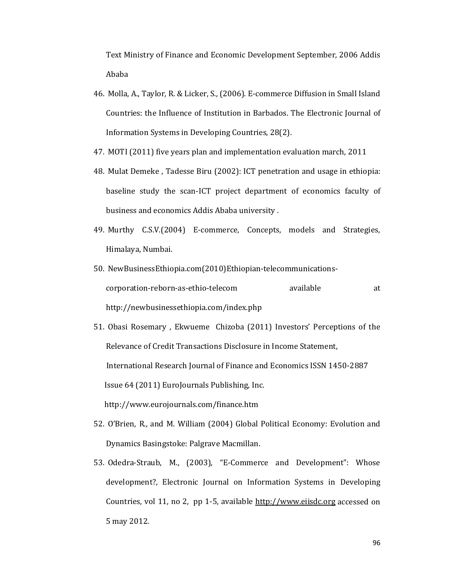Text Ministry of Finance and Economic Development September, 2006 Addis Ababa

- 46. Molla, A., Taylor, R. & Licker, S., (2006). E-commerce Diffusion in Small Island Countries: the Influence of Institution in Barbados. The Electronic Journal of Information Systems in Developing Countries, 28(2).
- 47. MOTI (2011) five years plan and implementation evaluation march, 2011
- 48. Mulat Demeke , Tadesse Biru (2002): ICT penetration and usage in ethiopia: baseline study the scan-ICT project department of economics faculty of business and economics Addis Ababa university .
- 49. Murthy C.S.V.(2004) E-commerce, Concepts, models and Strategies, Himalaya, Numbai.
- 50. NewBusinessEthiopia.com(2010)Ethiopian-telecommunicationscorporation-reborn-as-ethio-telecom available at http://newbusinessethiopia.com/index.php
- 51. Obasi Rosemary , Ekwueme Chizoba (2011) Investors' Perceptions of the Relevance of Credit Transactions Disclosure in Income Statement, International Research Journal of Finance and Economics ISSN 1450-2887 Issue 64 (2011) EuroJournals Publishing, Inc. http://www.eurojournals.com/finance.htm
- 52. O'Brien, R., and M. William (2004) Global Political Economy: Evolution and Dynamics Basingstoke: Palgrave Macmillan.
- 53. Odedra-Straub, M., (2003), "E-Commerce and Development": Whose development?, Electronic Journal on Information Systems in Developing Countries, vol 11, no 2, pp 1-5, available http://www.eiisdc.org accessed on 5 may 2012.

96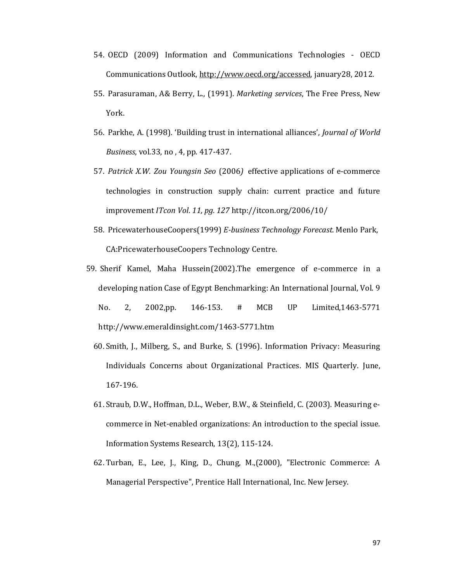- 54. OECD (2009) Information and Communications Technologies OECD Communications Outlook, http://www.oecd.org/accessed, january28, 2012.
- 55. Parasuraman, A& Berry, L., (1991). *Marketing services*, The Free Press, New York.
- 56. Parkhe, A. (1998). 'Building trust in international alliances', *Journal of World Business*, vol.33, no , 4, pp. 417-437.
- 57. *Patrick X.W. Zou Youngsin Seo* (2006*)* effective applications of e-commerce technologies in construction supply chain: current practice and future improvement *ITcon Vol. 11, pg. 127* http://itcon.org/2006/10/
- 58. PricewaterhouseCoopers(1999) *E-business Technology Forecast.* Menlo Park, CA:PricewaterhouseCoopers Technology Centre.
- 59. Sherif Kamel, Maha Hussein(2002).The emergence of e-commerce in a developing nation Case of Egypt Benchmarking: An International Journal, Vol. 9 No. 2, 2002,pp. 146-153. # MCB UP Limited,1463-5771 http://www.emeraldinsight.com/1463-5771.htm
	- 60. Smith, J., Milberg, S., and Burke, S. (1996). Information Privacy: Measuring Individuals Concerns about Organizational Practices. MIS Quarterly. June, 167-196.
	- 61. Straub, D.W., Hoffman, D.L., Weber, B.W., & Steinfield, C. (2003). Measuring ecommerce in Net-enabled organizations: An introduction to the special issue. Information Systems Research, 13(2), 115-124.
	- 62. Turban, E., Lee, J., King, D., Chung, M.,(2000), "Electronic Commerce: A Managerial Perspective", Prentice Hall International, Inc. New Jersey.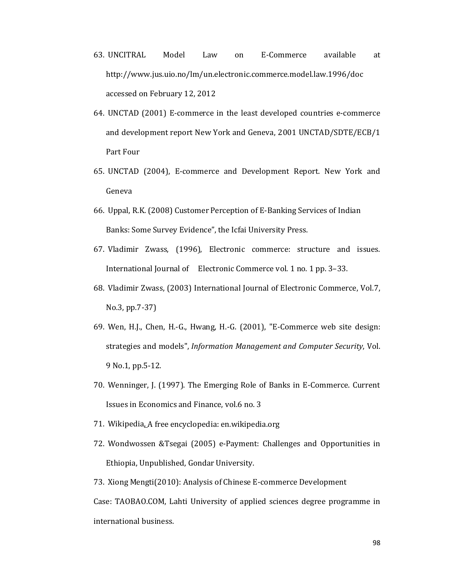- 63. UNCITRAL Model Law on E-Commerce available at http://www.jus.uio.no/lm/un.electronic.commerce.model.law.1996/doc accessed on February 12, 2012
- 64. UNCTAD (2001) E-commerce in the least developed countries e-commerce and development report New York and Geneva, 2001 UNCTAD/SDTE/ECB/1 Part Four
- 65. UNCTAD (2004), E-commerce and Development Report. New York and Geneva
- 66. Uppal, R.K. (2008) Customer Perception of E-Banking Services of Indian Banks: Some Survey Evidence", the Icfai University Press.
- 67. Vladimir Zwass, (1996), Electronic commerce: structure and issues. International Journal of Electronic Commerce vol. 1 no. 1 pp. 3–33.
- 68. Vladimir Zwass, (2003) International Journal of Electronic Commerce, Vol.7, No.3, pp.7-37)
- 69. Wen, H.J., Chen, H.-G., Hwang, H.-G. (2001), "E-Commerce web site design: strategies and models", *Information Management and Computer Security*, Vol. 9 No.1, pp.5-12.
- 70. Wenninger, J. (1997). The Emerging Role of Banks in E-Commerce. Current Issues in Economics and Finance, vol.6 no. 3
- 71. Wikipedia, A free encyclopedia: en.wikipedia.org
- 72. Wondwossen &Tsegai (2005) e-Payment: Challenges and Opportunities in Ethiopia, Unpublished, Gondar University.
- 73. Xiong Mengti(2010): Analysis of Chinese E-commerce Development Case: TAOBAO.COM, Lahti University of applied sciences degree programme in international business.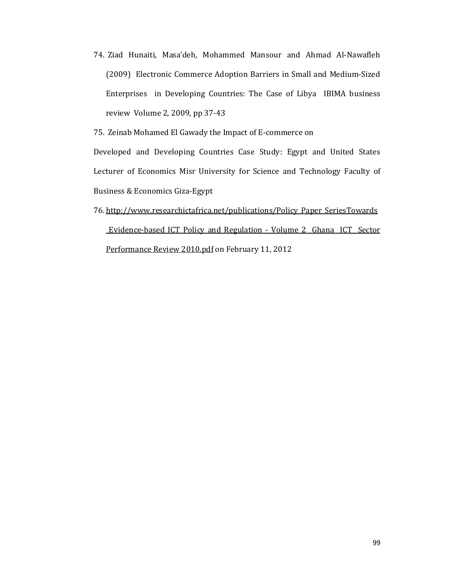74. Ziad Hunaiti, Masa'deh, Mohammed Mansour and Ahmad Al-Nawafleh (2009) Electronic Commerce Adoption Barriers in Small and Medium-Sized Enterprises in Developing Countries: The Case of Libya IBIMA business review Volume 2, 2009, pp 37-43

75. Zeinab Mohamed El Gawady the Impact of E-commerce on

Developed and Developing Countries Case Study: Egypt and United States Lecturer of Economics Misr University for Science and Technology Faculty of Business & Economics Giza-Egypt

76. http://www.researchictafrica.net/publications/Policy Paper SeriesTowards Evidence-based ICT Policy and Regulation - Volume 2 Ghana ICT Sector Performance Review 2010.pdf on February 11, 2012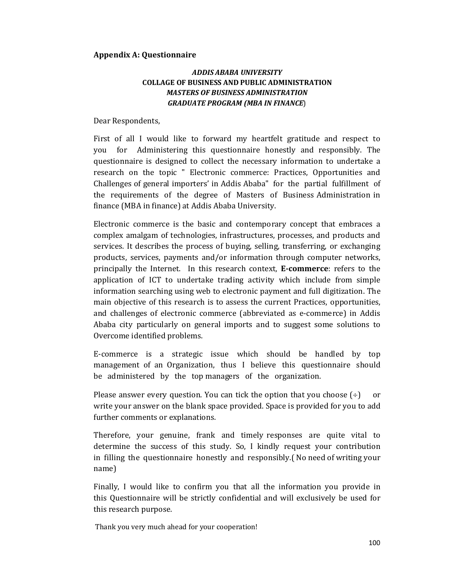#### **Appendix A: Questionnaire**

## **ADDIS ABABA UNIVERSITY COLLAGE OF BUSINESS AND PUBLIC ADMINISTRATION MASTERS OF BUSINESS ADMINISTRATION GRADUATE PROGRAM (MBA IN FINANCE)**

Dear Respondents,

First of all I would like to forward my heartfelt gratitude and respect to you for Administering this questionnaire honestly and responsibly. The questionnaire is designed to collect the necessary information to undertake a research on the topic " Electronic commerce: Practices, Opportunities and Challenges of general importers' in Addis Ababa" for the partial fulfillment of the requirements of the degree of Masters of Business Administration in finance (MBA in finance) at Addis Ababa University.

Electronic commerce is the basic and contemporary concept that embraces a complex amalgam of technologies, infrastructures, processes, and products and services. It describes the process of buying, selling, transferring, or exchanging products, services, payments and/or information through computer networks, principally the Internet. In this research context, **E-commerce**: refers to the application of ICT to undertake trading activity which include from simple information searching using web to electronic payment and full digitization. The main objective of this research is to assess the current Practices, opportunities, and challenges of electronic commerce (abbreviated as e-commerce) in Addis Ababa city particularly on general imports and to suggest some solutions to Overcome identified problems.

E-commerce is a strategic issue which should be handled by top management of an Organization, thus I believe this questionnaire should be administered by the top managers of the organization.

Please answer every question. You can tick the option that you choose  $(\div)$ <sub>or</sub> write your answer on the blank space provided. Space is provided for you to add further comments or explanations.

Therefore, your genuine, frank and timely responses are quite vital to determine the success of this study. So, I kindly request your contribution in filling the questionnaire honestly and responsibly. (No need of writing your name)

Finally, I would like to confirm you that all the information you provide in this Questionnaire will be strictly confidential and will exclusively be used for this research purpose.

Thank you very much ahead for your cooperation!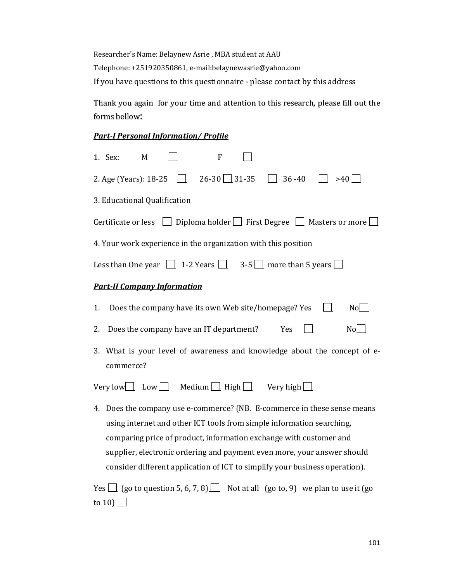Researcher's Name: Belaynew Asrie , MBA student at AAU Telephone: +251920350861, e-mail:belaynewasrie@yahoo.com If you have questions to this questionnaire - please contact by this address

Thank you again for your time and attention to this research, please fill out the forms bellow:

### *Part-I Personal Information/ Profile*

| 1. Sex:<br>M<br>F                                                                                                                                                                                                                                      |  |  |  |  |  |  |  |
|--------------------------------------------------------------------------------------------------------------------------------------------------------------------------------------------------------------------------------------------------------|--|--|--|--|--|--|--|
| $\Box$ 26-30 31-35 $\Box$ 36-40<br>2. Age (Years): 18-25<br>>40                                                                                                                                                                                        |  |  |  |  |  |  |  |
| 3. Educational Qualification                                                                                                                                                                                                                           |  |  |  |  |  |  |  |
| Certificate or less $\Box$ Diploma holder $\Box$ First Degree $\Box$ Masters or more $\Box$                                                                                                                                                            |  |  |  |  |  |  |  |
| 4. Your work experience in the organization with this position                                                                                                                                                                                         |  |  |  |  |  |  |  |
| Less than One year $\begin{array}{ c c c c c c } \hline \end{array}$ 1-2 Years $\begin{array}{ c c c c c } \hline \end{array}$ 3-5 $\begin{array}{ c c c c c } \hline \end{array}$ more than 5 years $\begin{array}{ c c c c c c } \hline \end{array}$ |  |  |  |  |  |  |  |
| <b>Part-II Company Information</b>                                                                                                                                                                                                                     |  |  |  |  |  |  |  |
| Does the company have its own Web site/homepage? Yes<br>No<br>1.                                                                                                                                                                                       |  |  |  |  |  |  |  |
| Does the company have an IT department?<br>No<br>Yes<br>2.                                                                                                                                                                                             |  |  |  |  |  |  |  |
| 3. What is your level of awareness and knowledge about the concept of e-<br>commerce?                                                                                                                                                                  |  |  |  |  |  |  |  |
| Very low $\Box$ Low $\Box$ Medium $\Box$ High $\Box$ Very high $\Box$                                                                                                                                                                                  |  |  |  |  |  |  |  |
| 4. Does the company use e-commerce? (NB. E-commerce in these sense means                                                                                                                                                                               |  |  |  |  |  |  |  |
| using internet and other ICT tools from simple information searching,                                                                                                                                                                                  |  |  |  |  |  |  |  |
| comparing price of product, information exchange with customer and                                                                                                                                                                                     |  |  |  |  |  |  |  |
| supplier, electronic ordering and payment even more, your answer should                                                                                                                                                                                |  |  |  |  |  |  |  |
| consider different application of ICT to simplify your business operation).                                                                                                                                                                            |  |  |  |  |  |  |  |

Yes  $\Box$  (go to question 5, 6, 7, 8)  $\Box$  Not at all (go to, 9) we plan to use it (go to 10)  $\Box$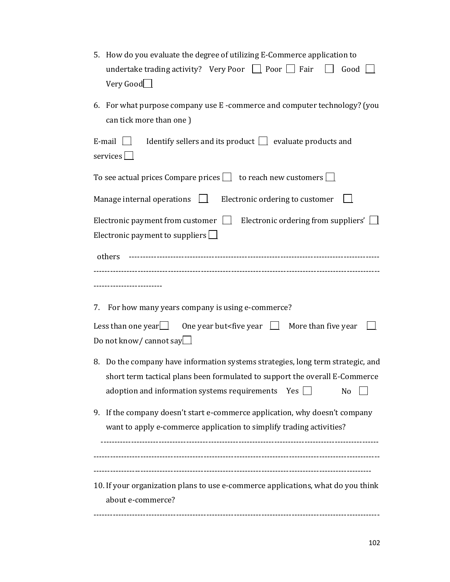| 5. How do you evaluate the degree of utilizing E-Commerce application to<br>undertake trading activity? Very Poor $\Box$ Poor $\Box$ Fair<br>Good $\Box$<br>$\mathbf{1}$<br>Very Good                                              |  |  |  |  |  |  |
|------------------------------------------------------------------------------------------------------------------------------------------------------------------------------------------------------------------------------------|--|--|--|--|--|--|
| 6. For what purpose company use E-commerce and computer technology? (you<br>can tick more than one)                                                                                                                                |  |  |  |  |  |  |
| Identify sellers and its product $\Box$ evaluate products and<br>E-mail $\Box$<br>services $\Box$                                                                                                                                  |  |  |  |  |  |  |
| To see actual prices Compare prices $\Box$ to reach new customers $\Box$                                                                                                                                                           |  |  |  |  |  |  |
| Manage internal operations $\Box$ Electronic ordering to customer                                                                                                                                                                  |  |  |  |  |  |  |
| Electronic payment from customer $\Box$ Electronic ordering from suppliers' $\Box$<br>Electronic payment to suppliers $\Box$                                                                                                       |  |  |  |  |  |  |
| others                                                                                                                                                                                                                             |  |  |  |  |  |  |
|                                                                                                                                                                                                                                    |  |  |  |  |  |  |
| 7. For how many years company is using e-commerce?                                                                                                                                                                                 |  |  |  |  |  |  |
| Less than one year $\Box$<br>One year but <five <math="" year="">\Box More than five year<br/>Do not know/ cannot say</five>                                                                                                       |  |  |  |  |  |  |
| 8. Do the company have information systems strategies, long term strategic, and<br>short term tactical plans been formulated to support the overall E-Commerce<br>adoption and information systems requirements<br>$Yes$    <br>No |  |  |  |  |  |  |
| If the company doesn't start e-commerce application, why doesn't company<br>9.<br>want to apply e-commerce application to simplify trading activities?                                                                             |  |  |  |  |  |  |
|                                                                                                                                                                                                                                    |  |  |  |  |  |  |
| 10. If your organization plans to use e-commerce applications, what do you think<br>about e-commerce?                                                                                                                              |  |  |  |  |  |  |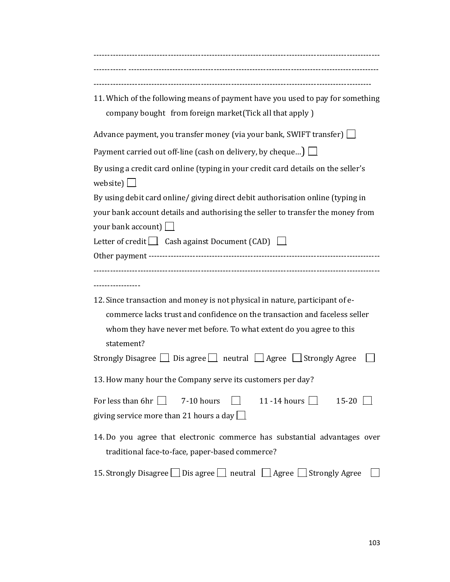| 11. Which of the following means of payment have you used to pay for something<br>company bought from foreign market (Tick all that apply)                                                                                                       |
|--------------------------------------------------------------------------------------------------------------------------------------------------------------------------------------------------------------------------------------------------|
| Advance payment, you transfer money (via your bank, SWIFT transfer) $\Box$                                                                                                                                                                       |
| Payment carried out off-line (cash on delivery, by cheque) $\Box$                                                                                                                                                                                |
| By using a credit card online (typing in your credit card details on the seller's<br>website) $\boxed{\phantom{a}}$                                                                                                                              |
| By using debit card online/ giving direct debit authorisation online (typing in                                                                                                                                                                  |
| your bank account details and authorising the seller to transfer the money from<br>your bank account) $\Box$                                                                                                                                     |
| Letter of credit $\Box$ Cash against Document (CAD) $\Box$                                                                                                                                                                                       |
|                                                                                                                                                                                                                                                  |
| ----------------                                                                                                                                                                                                                                 |
| 12. Since transaction and money is not physical in nature, participant of e-<br>commerce lacks trust and confidence on the transaction and faceless seller<br>whom they have never met before. To what extent do you agree to this<br>statement? |
| Strongly Disagree     Dis agree     neutral     Agree     Strongly Agree                                                                                                                                                                         |
| 13. How many hour the Company serve its customers per day?                                                                                                                                                                                       |
| For less than 6hr $\vert \ \vert$<br>7-10 hours<br>11 -14 hours $\Box$<br>$15-20$ $\perp$<br>giving service more than 21 hours a day $\Box$                                                                                                      |
| 14. Do you agree that electronic commerce has substantial advantages over<br>traditional face-to-face, paper-based commerce?                                                                                                                     |
| 15. Strongly Disagree Dis agree D neutral Agree Strongly Agree                                                                                                                                                                                   |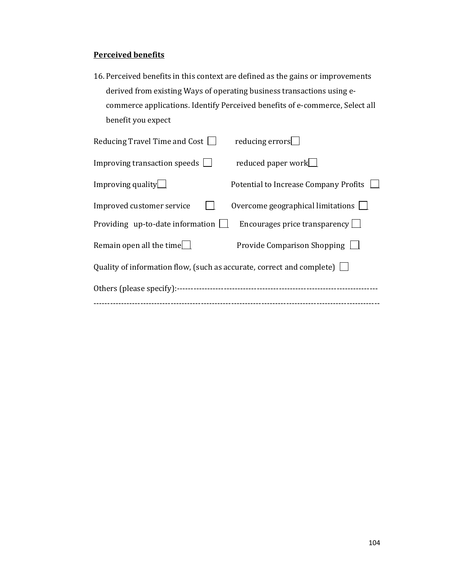## **Perceived benefits**

16. Perceived benefits in this context are defined as the gains or improvements derived from existing Ways of operating business transactions using ecommerce applications. Identify Perceived benefits of e-commerce, Select all benefit you expect

| Reducing Travel Time and Cost $\Box$                                         | reducing errors                          |  |  |  |  |
|------------------------------------------------------------------------------|------------------------------------------|--|--|--|--|
| Improving transaction speeds $\Box$                                          | reduced paper work                       |  |  |  |  |
| Improving quality $\Box$                                                     | Potential to Increase Company Profits    |  |  |  |  |
| Improved customer service                                                    | Overcome geographical limitations $\Box$ |  |  |  |  |
| Providing up-to-date information $\Box$                                      | Encourages price transparency $\Box$     |  |  |  |  |
| Remain open all the time $\Box$                                              | Provide Comparison Shopping $\Box$       |  |  |  |  |
| Quality of information flow, (such as accurate, correct and complete) $\Box$ |                                          |  |  |  |  |
|                                                                              |                                          |  |  |  |  |
|                                                                              |                                          |  |  |  |  |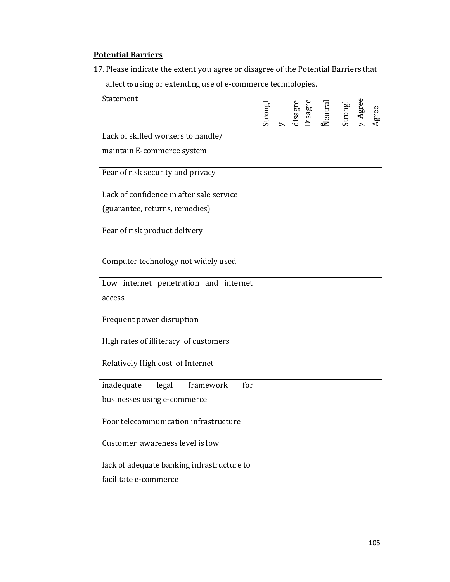# **Potential Barriers**

17. Please indicate the extent you agree or disagree of the Potential Barriers that affect **to** using or extending use of e-commerce technologies.

| Statement                                  | Strongl | isagr | Disagre | <b>Reutral</b> | Strongl | Agree | Agree |
|--------------------------------------------|---------|-------|---------|----------------|---------|-------|-------|
| Lack of skilled workers to handle/         |         |       |         |                |         |       |       |
| maintain E-commerce system                 |         |       |         |                |         |       |       |
| Fear of risk security and privacy          |         |       |         |                |         |       |       |
| Lack of confidence in after sale service   |         |       |         |                |         |       |       |
| (guarantee, returns, remedies)             |         |       |         |                |         |       |       |
| Fear of risk product delivery              |         |       |         |                |         |       |       |
| Computer technology not widely used        |         |       |         |                |         |       |       |
| Low internet penetration and internet      |         |       |         |                |         |       |       |
| access                                     |         |       |         |                |         |       |       |
| Frequent power disruption                  |         |       |         |                |         |       |       |
| High rates of illiteracy of customers      |         |       |         |                |         |       |       |
| Relatively High cost of Internet           |         |       |         |                |         |       |       |
| framework<br>inadequate<br>for<br>legal    |         |       |         |                |         |       |       |
| businesses using e-commerce                |         |       |         |                |         |       |       |
| Poor telecommunication infrastructure      |         |       |         |                |         |       |       |
| Customer awareness level is low            |         |       |         |                |         |       |       |
| lack of adequate banking infrastructure to |         |       |         |                |         |       |       |
| facilitate e-commerce                      |         |       |         |                |         |       |       |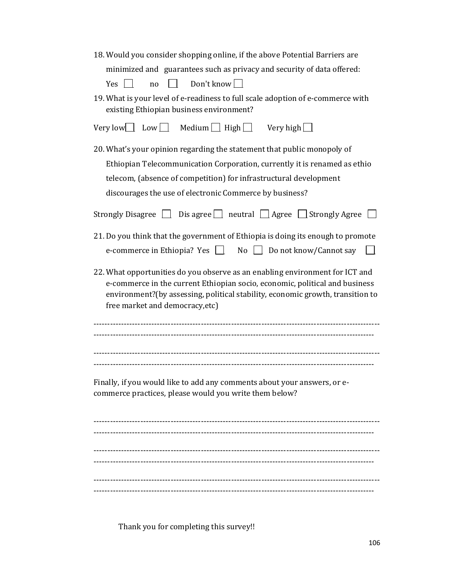| 18. Would you consider shopping online, if the above Potential Barriers are                                                                                   |
|---------------------------------------------------------------------------------------------------------------------------------------------------------------|
| minimized and guarantees such as privacy and security of data offered:                                                                                        |
| $\Box$ Don't know $\Box$<br>$Yes$ $\Box$<br>no                                                                                                                |
| 19. What is your level of e-readiness to full scale adoption of e-commerce with                                                                               |
| existing Ethiopian business environment?                                                                                                                      |
| Very low Low Medium High Very high $\Box$                                                                                                                     |
| 20. What's your opinion regarding the statement that public monopoly of                                                                                       |
| Ethiopian Telecommunication Corporation, currently it is renamed as ethio                                                                                     |
| telecom, (absence of competition) for infrastructural development                                                                                             |
| discourages the use of electronic Commerce by business?                                                                                                       |
|                                                                                                                                                               |
| Strongly Disagree $\Box$ Dis agree $\Box$ neutral $\Box$ Agree $\Box$ Strongly Agree $\Box$                                                                   |
| 21. Do you think that the government of Ethiopia is doing its enough to promote                                                                               |
| e-commerce in Ethiopia? Yes $\Box$ No $\Box$ Do not know/Cannot say<br>$\mathbf{1}$                                                                           |
|                                                                                                                                                               |
| 22. What opportunities do you observe as an enabling environment for ICT and                                                                                  |
| e-commerce in the current Ethiopian socio, economic, political and business<br>environment?(by assessing, political stability, economic growth, transition to |
| free market and democracy, etc)                                                                                                                               |
|                                                                                                                                                               |
|                                                                                                                                                               |
|                                                                                                                                                               |
|                                                                                                                                                               |
|                                                                                                                                                               |
| Finally, if you would like to add any comments about your answers, or e-<br>commerce practices, please would you write them below?                            |
|                                                                                                                                                               |
|                                                                                                                                                               |
|                                                                                                                                                               |
|                                                                                                                                                               |
|                                                                                                                                                               |
|                                                                                                                                                               |
|                                                                                                                                                               |
|                                                                                                                                                               |

Thank you for completing this survey!!